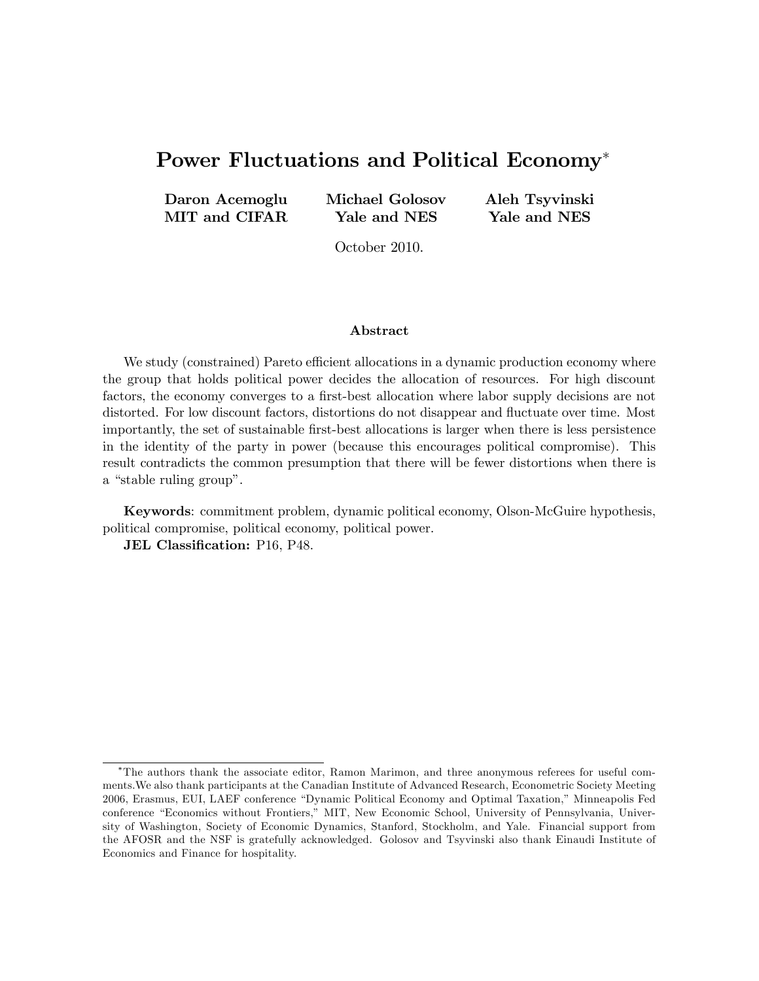# Power Fluctuations and Political Economy

Daron Acemoglu MIT and CIFAR Michael Golosov Yale and NES

Aleh Tsyvinski Yale and NES

October 2010.

#### Abstract

We study (constrained) Pareto efficient allocations in a dynamic production economy where the group that holds political power decides the allocation of resources. For high discount factors, the economy converges to a first-best allocation where labor supply decisions are not distorted. For low discount factors, distortions do not disappear and fluctuate over time. Most importantly, the set of sustainable first-best allocations is larger when there is less persistence in the identity of the party in power (because this encourages political compromise). This result contradicts the common presumption that there will be fewer distortions when there is a "stable ruling group".

Keywords: commitment problem, dynamic political economy, Olson-McGuire hypothesis, political compromise, political economy, political power.

JEL Classification: P16, P48.

The authors thank the associate editor, Ramon Marimon, and three anonymous referees for useful comments.We also thank participants at the Canadian Institute of Advanced Research, Econometric Society Meeting 2006, Erasmus, EUI, LAEF conference "Dynamic Political Economy and Optimal Taxation," Minneapolis Fed conference "Economics without Frontiers," MIT, New Economic School, University of Pennsylvania, University of Washington, Society of Economic Dynamics, Stanford, Stockholm, and Yale. Financial support from the AFOSR and the NSF is gratefully acknowledged. Golosov and Tsyvinski also thank Einaudi Institute of Economics and Finance for hospitality.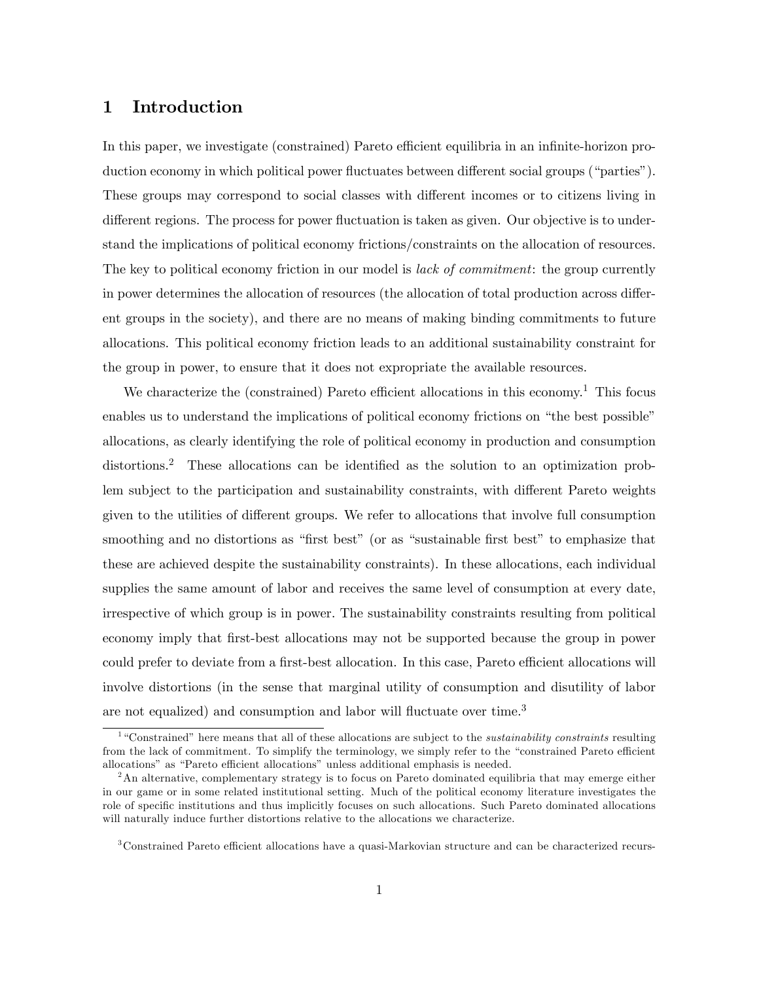## 1 Introduction

In this paper, we investigate (constrained) Pareto efficient equilibria in an infinite-horizon production economy in which political power fluctuates between different social groups ("parties"). These groups may correspond to social classes with different incomes or to citizens living in different regions. The process for power fluctuation is taken as given. Our objective is to understand the implications of political economy frictions/constraints on the allocation of resources. The key to political economy friction in our model is *lack of commitment*: the group currently in power determines the allocation of resources (the allocation of total production across different groups in the society), and there are no means of making binding commitments to future allocations. This political economy friction leads to an additional sustainability constraint for the group in power, to ensure that it does not expropriate the available resources.

We characterize the (constrained) Pareto efficient allocations in this economy.<sup>1</sup> This focus enables us to understand the implications of political economy frictions on "the best possible" allocations, as clearly identifying the role of political economy in production and consumption distortions.<sup>2</sup> These allocations can be identified as the solution to an optimization problem subject to the participation and sustainability constraints, with different Pareto weights given to the utilities of different groups. We refer to allocations that involve full consumption smoothing and no distortions as "first best" (or as "sustainable first best" to emphasize that these are achieved despite the sustainability constraints). In these allocations, each individual supplies the same amount of labor and receives the same level of consumption at every date, irrespective of which group is in power. The sustainability constraints resulting from political economy imply that Örst-best allocations may not be supported because the group in power could prefer to deviate from a first-best allocation. In this case, Pareto efficient allocations will involve distortions (in the sense that marginal utility of consumption and disutility of labor are not equalized) and consumption and labor will fluctuate over time.<sup>3</sup>

<sup>&</sup>lt;sup>1</sup> "Constrained" here means that all of these allocations are subject to the *sustainability constraints* resulting from the lack of commitment. To simplify the terminology, we simply refer to the "constrained Pareto efficient allocations" as "Pareto efficient allocations" unless additional emphasis is needed.

<sup>&</sup>lt;sup>2</sup>An alternative, complementary strategy is to focus on Pareto dominated equilibria that may emerge either in our game or in some related institutional setting. Much of the political economy literature investigates the role of specific institutions and thus implicitly focuses on such allocations. Such Pareto dominated allocations will naturally induce further distortions relative to the allocations we characterize.

 $3$ Constrained Pareto efficient allocations have a quasi-Markovian structure and can be characterized recurs-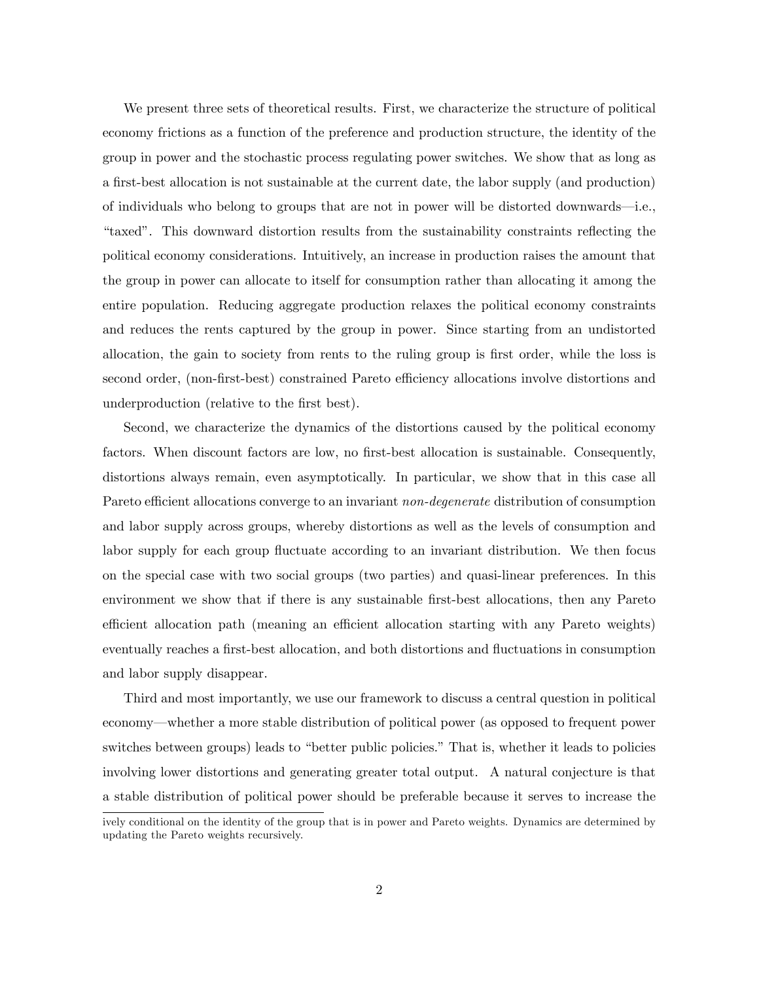We present three sets of theoretical results. First, we characterize the structure of political economy frictions as a function of the preference and production structure, the identity of the group in power and the stochastic process regulating power switches. We show that as long as a first-best allocation is not sustainable at the current date, the labor supply (and production) of individuals who belong to groups that are not in power will be distorted downwards—i.e., ìtaxedî. This downward distortion results from the sustainability constraints reáecting the political economy considerations. Intuitively, an increase in production raises the amount that the group in power can allocate to itself for consumption rather than allocating it among the entire population. Reducing aggregate production relaxes the political economy constraints and reduces the rents captured by the group in power. Since starting from an undistorted allocation, the gain to society from rents to the ruling group is first order, while the loss is second order, (non-first-best) constrained Pareto efficiency allocations involve distortions and underproduction (relative to the first best).

Second, we characterize the dynamics of the distortions caused by the political economy factors. When discount factors are low, no first-best allocation is sustainable. Consequently, distortions always remain, even asymptotically. In particular, we show that in this case all Pareto efficient allocations converge to an invariant non-degenerate distribution of consumption and labor supply across groups, whereby distortions as well as the levels of consumption and labor supply for each group fluctuate according to an invariant distribution. We then focus on the special case with two social groups (two parties) and quasi-linear preferences. In this environment we show that if there is any sustainable first-best allocations, then any Pareto efficient allocation path (meaning an efficient allocation starting with any Pareto weights) eventually reaches a first-best allocation, and both distortions and fluctuations in consumption and labor supply disappear.

Third and most importantly, we use our framework to discuss a central question in political economy—whether a more stable distribution of political power (as opposed to frequent power switches between groups) leads to "better public policies." That is, whether it leads to policies involving lower distortions and generating greater total output. A natural conjecture is that a stable distribution of political power should be preferable because it serves to increase the

ively conditional on the identity of the group that is in power and Pareto weights. Dynamics are determined by updating the Pareto weights recursively.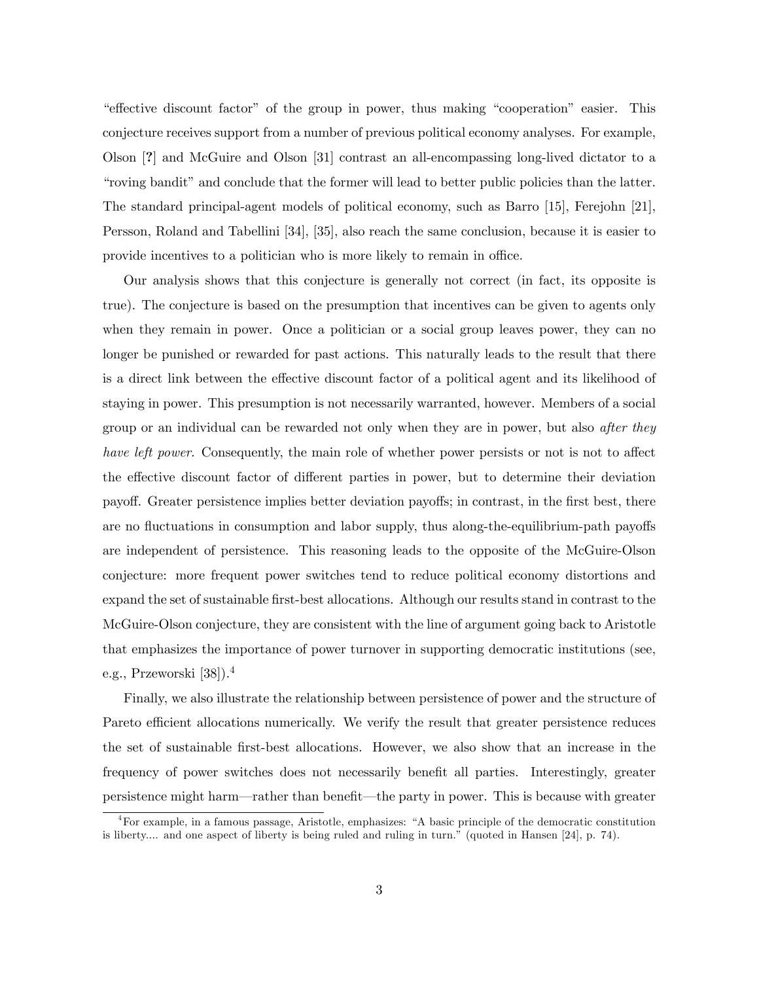<sup>"</sup>effective discount factor" of the group in power, thus making "cooperation" easier. This conjecture receives support from a number of previous political economy analyses. For example, Olson [?] and McGuire and Olson [31] contrast an all-encompassing long-lived dictator to a ìroving banditîand conclude that the former will lead to better public policies than the latter. The standard principal-agent models of political economy, such as Barro [15], Ferejohn [21], Persson, Roland and Tabellini [34], [35], also reach the same conclusion, because it is easier to provide incentives to a politician who is more likely to remain in office.

Our analysis shows that this conjecture is generally not correct (in fact, its opposite is true). The conjecture is based on the presumption that incentives can be given to agents only when they remain in power. Once a politician or a social group leaves power, they can no longer be punished or rewarded for past actions. This naturally leads to the result that there is a direct link between the effective discount factor of a political agent and its likelihood of staying in power. This presumption is not necessarily warranted, however. Members of a social group or an individual can be rewarded not only when they are in power, but also after they have left power. Consequently, the main role of whether power persists or not is not to affect the effective discount factor of different parties in power, but to determine their deviation payoff. Greater persistence implies better deviation payoffs; in contrast, in the first best, there are no fluctuations in consumption and labor supply, thus along-the-equilibrium-path payoffs are independent of persistence. This reasoning leads to the opposite of the McGuire-Olson conjecture: more frequent power switches tend to reduce political economy distortions and expand the set of sustainable Örst-best allocations. Although our results stand in contrast to the McGuire-Olson conjecture, they are consistent with the line of argument going back to Aristotle that emphasizes the importance of power turnover in supporting democratic institutions (see, e.g., Przeworski [38]).<sup>4</sup>

Finally, we also illustrate the relationship between persistence of power and the structure of Pareto efficient allocations numerically. We verify the result that greater persistence reduces the set of sustainable Örst-best allocations. However, we also show that an increase in the frequency of power switches does not necessarily benefit all parties. Interestingly, greater persistence might harm—rather than benefit—the party in power. This is because with greater

 ${}^{4}$ For example, in a famous passage, Aristotle, emphasizes: "A basic principle of the democratic constitution is liberty.... and one aspect of liberty is being ruled and ruling in turn.î (quoted in Hansen [24], p. 74).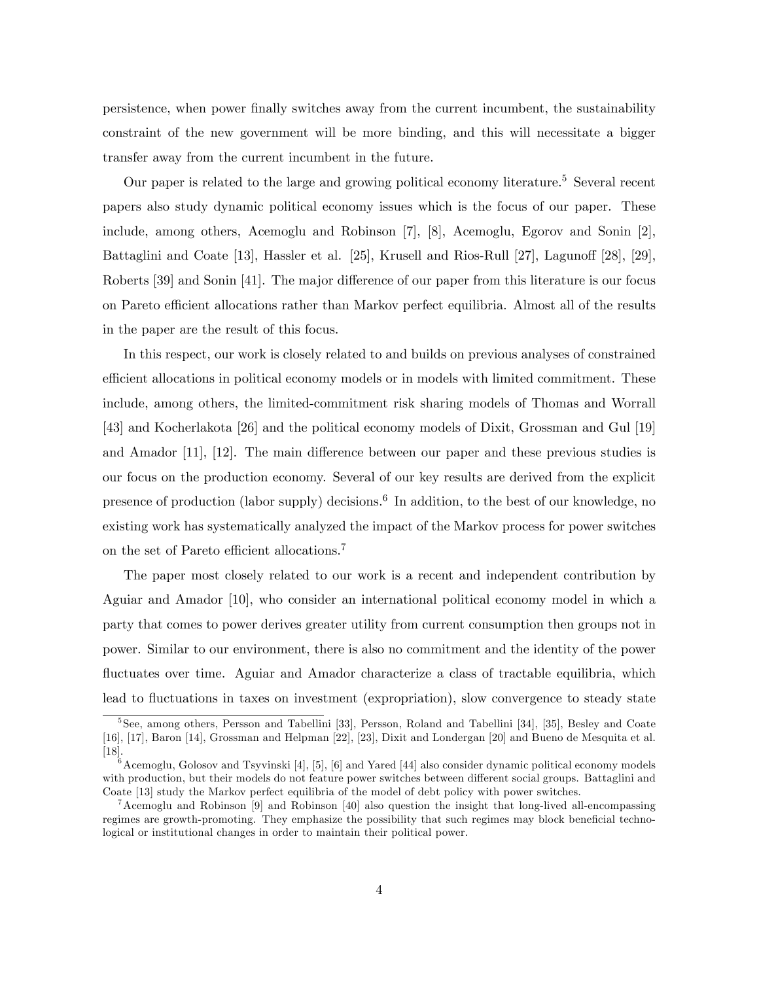persistence, when power Önally switches away from the current incumbent, the sustainability constraint of the new government will be more binding, and this will necessitate a bigger transfer away from the current incumbent in the future.

Our paper is related to the large and growing political economy literature.<sup>5</sup> Several recent papers also study dynamic political economy issues which is the focus of our paper. These include, among others, Acemoglu and Robinson [7], [8], Acemoglu, Egorov and Sonin [2], Battaglini and Coate  $[13]$ , Hassler et al.  $[25]$ , Krusell and Rios-Rull  $[27]$ , Lagunoff  $[28]$ ,  $[29]$ , Roberts [39] and Sonin [41]. The major difference of our paper from this literature is our focus on Pareto efficient allocations rather than Markov perfect equilibria. Almost all of the results in the paper are the result of this focus.

In this respect, our work is closely related to and builds on previous analyses of constrained efficient allocations in political economy models or in models with limited commitment. These include, among others, the limited-commitment risk sharing models of Thomas and Worrall [43] and Kocherlakota [26] and the political economy models of Dixit, Grossman and Gul [19] and Amador  $[11]$ ,  $[12]$ . The main difference between our paper and these previous studies is our focus on the production economy. Several of our key results are derived from the explicit presence of production (labor supply) decisions.<sup>6</sup> In addition, to the best of our knowledge, no existing work has systematically analyzed the impact of the Markov process for power switches on the set of Pareto efficient allocations.<sup>7</sup>

The paper most closely related to our work is a recent and independent contribution by Aguiar and Amador [10], who consider an international political economy model in which a party that comes to power derives greater utility from current consumption then groups not in power. Similar to our environment, there is also no commitment and the identity of the power fluctuates over time. Aguiar and Amador characterize a class of tractable equilibria, which lead to fluctuations in taxes on investment (expropriation), slow convergence to steady state

<sup>&</sup>lt;sup>5</sup>See, among others, Persson and Tabellini [33], Persson, Roland and Tabellini [34], [35], Besley and Coate [16], [17], Baron [14], Grossman and Helpman [22], [23], Dixit and Londergan [20] and Bueno de Mesquita et al. [18].

 $6$ Acemoglu, Golosov and Tsyvinski [4], [5], [6] and Yared [44] also consider dynamic political economy models with production, but their models do not feature power switches between different social groups. Battaglini and Coate [13] study the Markov perfect equilibria of the model of debt policy with power switches.

<sup>7</sup>Acemoglu and Robinson [9] and Robinson [40] also question the insight that long-lived all-encompassing regimes are growth-promoting. They emphasize the possibility that such regimes may block beneficial technological or institutional changes in order to maintain their political power.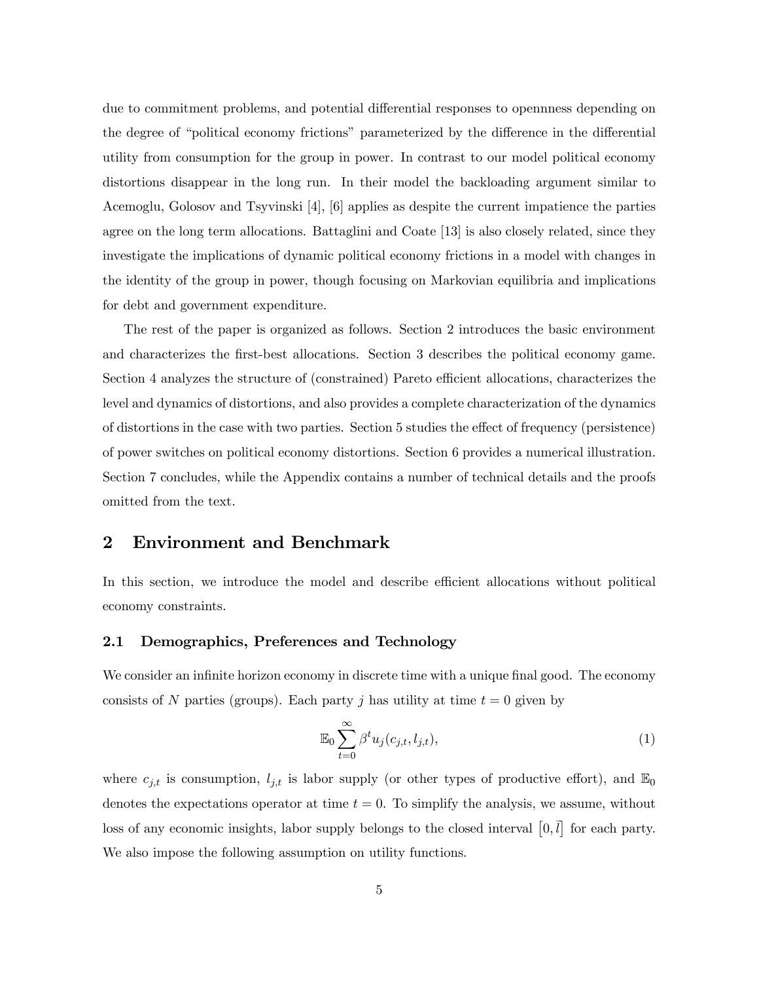due to commitment problems, and potential differential responses to opennness depending on the degree of "political economy frictions" parameterized by the difference in the differential utility from consumption for the group in power. In contrast to our model political economy distortions disappear in the long run. In their model the backloading argument similar to Acemoglu, Golosov and Tsyvinski [4], [6] applies as despite the current impatience the parties agree on the long term allocations. Battaglini and Coate [13] is also closely related, since they investigate the implications of dynamic political economy frictions in a model with changes in the identity of the group in power, though focusing on Markovian equilibria and implications for debt and government expenditure.

The rest of the paper is organized as follows. Section 2 introduces the basic environment and characterizes the first-best allocations. Section 3 describes the political economy game. Section 4 analyzes the structure of (constrained) Pareto efficient allocations, characterizes the level and dynamics of distortions, and also provides a complete characterization of the dynamics of distortions in the case with two parties. Section 5 studies the effect of frequency (persistence) of power switches on political economy distortions. Section 6 provides a numerical illustration. Section 7 concludes, while the Appendix contains a number of technical details and the proofs omitted from the text.

# 2 Environment and Benchmark

In this section, we introduce the model and describe efficient allocations without political economy constraints.

#### 2.1 Demographics, Preferences and Technology

We consider an infinite horizon economy in discrete time with a unique final good. The economy consists of N parties (groups). Each party j has utility at time  $t = 0$  given by

$$
\mathbb{E}_0 \sum_{t=0}^{\infty} \beta^t u_j(c_{j,t}, l_{j,t}), \tag{1}
$$

where  $c_{j,t}$  is consumption,  $l_{j,t}$  is labor supply (or other types of productive effort), and  $\mathbb{E}_0$ denotes the expectations operator at time  $t = 0$ . To simplify the analysis, we assume, without loss of any economic insights, labor supply belongs to the closed interval  $[0, \bar{l}]$  for each party. We also impose the following assumption on utility functions.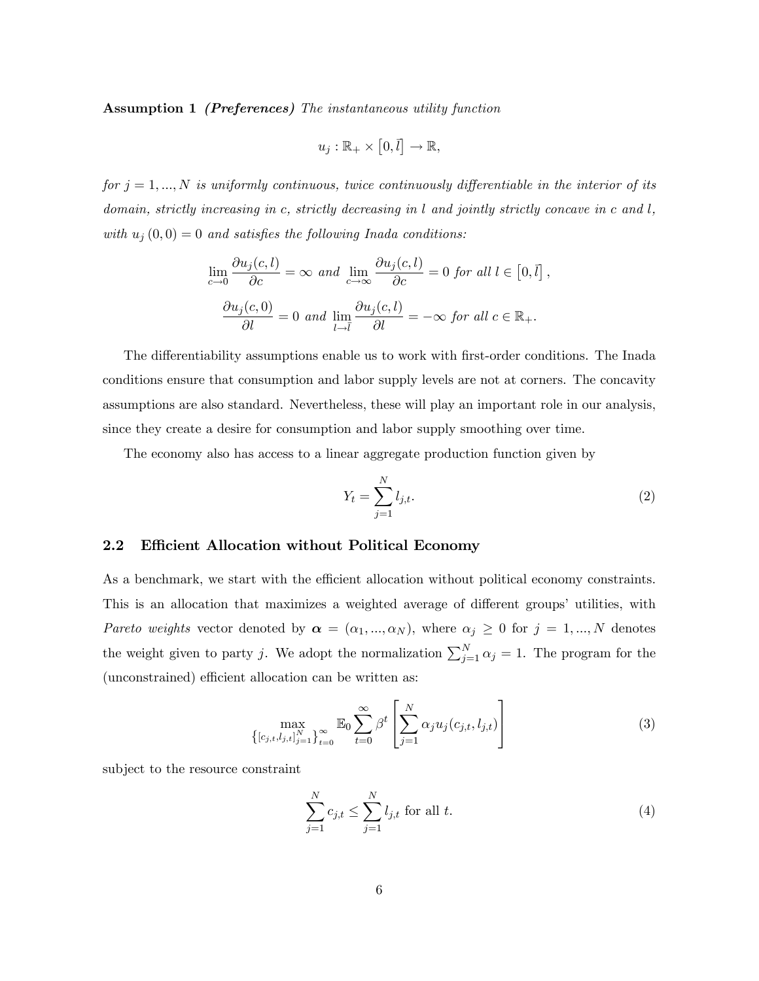Assumption 1 *(Preferences)* The instantaneous utility function

$$
u_j: \mathbb{R}_+ \times [0,\bar{l}] \to \mathbb{R},
$$

for  $j = 1, ..., N$  is uniformly continuous, twice continuously differentiable in the interior of its domain, strictly increasing in c, strictly decreasing in l and jointly strictly concave in c and l, with  $u_j(0,0) = 0$  and satisfies the following Inada conditions:

$$
\lim_{c \to 0} \frac{\partial u_j(c, l)}{\partial c} = \infty \text{ and } \lim_{c \to \infty} \frac{\partial u_j(c, l)}{\partial c} = 0 \text{ for all } l \in [0, \bar{l}],
$$

$$
\frac{\partial u_j(c, 0)}{\partial l} = 0 \text{ and } \lim_{l \to \bar{l}} \frac{\partial u_j(c, l)}{\partial l} = -\infty \text{ for all } c \in \mathbb{R}_+.
$$

The differentiability assumptions enable us to work with first-order conditions. The Inada conditions ensure that consumption and labor supply levels are not at corners. The concavity assumptions are also standard. Nevertheless, these will play an important role in our analysis, since they create a desire for consumption and labor supply smoothing over time.

The economy also has access to a linear aggregate production function given by

$$
Y_t = \sum_{j=1}^{N} l_{j,t}.\tag{2}
$$

#### 2.2 Efficient Allocation without Political Economy

As a benchmark, we start with the efficient allocation without political economy constraints. This is an allocation that maximizes a weighted average of different groups' utilities, with Pareto weights vector denoted by  $\alpha = (\alpha_1, ..., \alpha_N)$ , where  $\alpha_j \geq 0$  for  $j = 1, ..., N$  denotes the weight given to party j. We adopt the normalization  $\sum_{j=1}^{N} \alpha_j = 1$ . The program for the (unconstrained) efficient allocation can be written as:

$$
\max_{\left\{[c_{j,t}, l_{j,t}]\right\}_{t=1}^N\right\}_{t=0}^{\infty} \sum_{t=0}^{\infty} \beta^t \left[ \sum_{j=1}^N \alpha_j u_j(c_{j,t}, l_{j,t}) \right]
$$
(3)

subject to the resource constraint

$$
\sum_{j=1}^{N} c_{j,t} \le \sum_{j=1}^{N} l_{j,t} \text{ for all } t.
$$
 (4)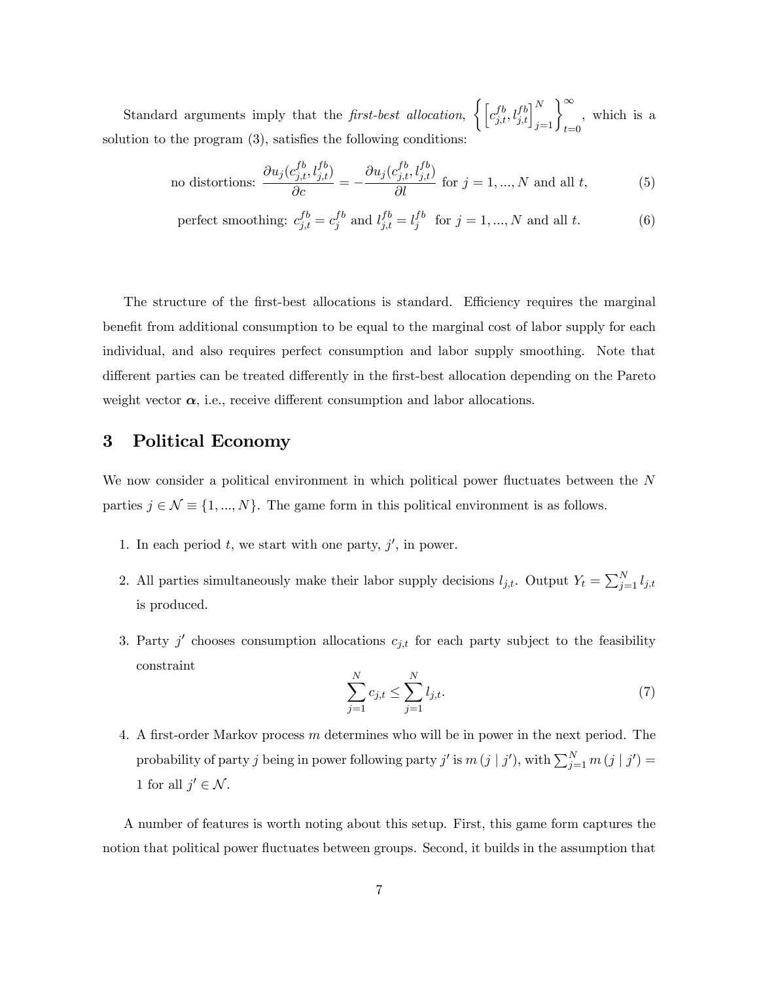Standard arguments imply that the first-best allocation,  $\left\{ \left[ c_{j,t}^{fb}, l_{j,t}^{fb} \right]_{j=1}^N \right\}_{t=0}^{\infty}$ , which is a solution to the program  $(3)$ , satisfies the following conditions:

no distortions: 
$$
\frac{\partial u_j(c_{j,t}^{fb}, l_{j,t}^{fb})}{\partial c} = -\frac{\partial u_j(c_{j,t}^{fb}, l_{j,t}^{fb})}{\partial l} \text{ for } j = 1, ..., N \text{ and all } t,
$$
 (5)

perfect smoothing:  $c_{j,t}^{fb} = c_j^{fb}$  $j^{fb}$  and  $l^{fb}_{j,t} = l^{fb}_j$  $j^{to}$  for  $j = 1, ..., N$  and all t. (6)

The structure of the first-best allocations is standard. Efficiency requires the marginal benefit from additional consumption to be equal to the marginal cost of labor supply for each individual, and also requires perfect consumption and labor supply smoothing. Note that different parties can be treated differently in the first-best allocation depending on the Pareto weight vector  $\alpha$ , i.e., receive different consumption and labor allocations.

# 3 Political Economy

We now consider a political environment in which political power fluctuates between the  $N$ parties  $j \in \mathcal{N} \equiv \{1, ..., N\}$ . The game form in this political environment is as follows.

- 1. In each period t, we start with one party,  $j'$ , in power.
- 2. All parties simultaneously make their labor supply decisions  $l_{j,t}$ . Output  $Y_t = \sum_{j=1}^{N} l_{j,t}$ is produced.
- 3. Party j' chooses consumption allocations  $c_{j,t}$  for each party subject to the feasibility constraint

$$
\sum_{j=1}^{N} c_{j,t} \le \sum_{j=1}^{N} l_{j,t}.\tag{7}
$$

4. A first-order Markov process m determines who will be in power in the next period. The probability of party j being in power following party j' is  $m(j | j')$ , with  $\sum_{j=1}^{N} m(j | j') =$ 1 for all  $j' \in \mathcal{N}$ .

A number of features is worth noting about this setup. First, this game form captures the notion that political power fluctuates between groups. Second, it builds in the assumption that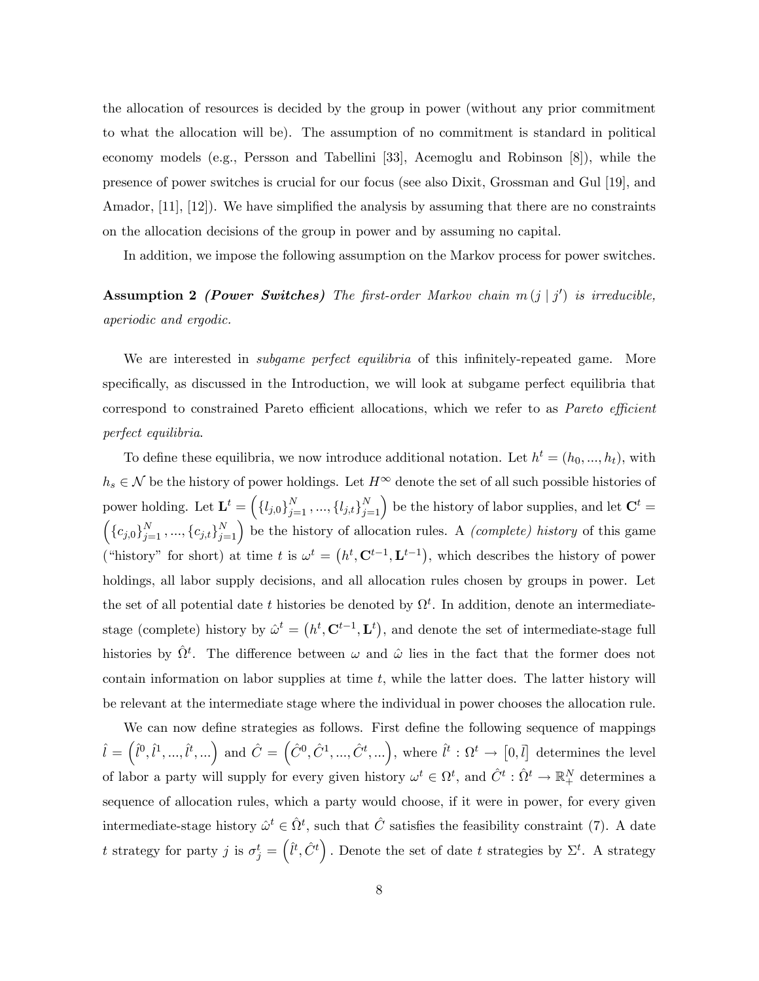the allocation of resources is decided by the group in power (without any prior commitment to what the allocation will be). The assumption of no commitment is standard in political economy models (e.g., Persson and Tabellini [33], Acemoglu and Robinson [8]), while the presence of power switches is crucial for our focus (see also Dixit, Grossman and Gul [19], and Amador,  $[11]$ ,  $[12]$ ). We have simplified the analysis by assuming that there are no constraints on the allocation decisions of the group in power and by assuming no capital.

In addition, we impose the following assumption on the Markov process for power switches.

**Assumption 2 (Power Switches)** The first-order Markov chain  $m(j | j')$  is irreducible, aperiodic and ergodic.

We are interested in *subgame perfect equilibria* of this infinitely-repeated game. More specifically, as discussed in the Introduction, we will look at subgame perfect equilibria that correspond to constrained Pareto efficient allocations, which we refer to as *Pareto efficient* perfect equilibria.

To define these equilibria, we now introduce additional notation. Let  $h^t = (h_0, ..., h_t)$ , with  $h_s \in \mathcal{N}$  be the history of power holdings. Let  $H^\infty$  denote the set of all such possible histories of power holding. Let  $\mathbf{L}^t = \left( \{l_{j,0}\}_{j=1}^N, ..., \{l_{j,t}\}_{j=1}^N \right)$  be the history of labor supplies, and let  $\mathbf{C}^t$  =  $\left(\{c_{j,0}\}_{j=1}^N, ..., \{c_{j,t}\}_{j=1}^N\right)$  be the history of allocation rules. A *(complete) history* of this game ("history" for short) at time t is  $\omega^t = (h^t, \mathbf{C}^{t-1}, \mathbf{L}^{t-1}),$  which describes the history of power holdings, all labor supply decisions, and all allocation rules chosen by groups in power. Let the set of all potential date t histories be denoted by  $\Omega^t$ . In addition, denote an intermediatestage (complete) history by  $\hat{\omega}^t = (h^t, \mathbf{C}^{t-1}, \mathbf{L}^t)$ , and denote the set of intermediate-stage full histories by  $\hat{\Omega}^t$ . The difference between  $\omega$  and  $\hat{\omega}$  lies in the fact that the former does not contain information on labor supplies at time  $t$ , while the latter does. The latter history will be relevant at the intermediate stage where the individual in power chooses the allocation rule.

We can now define strategies as follows. First define the following sequence of mappings  $\hat{l} = \left(\hat{l}^0, \hat{l}^1, ..., \hat{l}^t, ...\right)$  and  $\hat{C} = \left(\hat{C}^0, \hat{C}^1, ..., \hat{C}^t, ...\right)$ , where  $\hat{l}^t : \Omega^t \to [0, \bar{l}]$  determines the level of labor a party will supply for every given history  $\omega^t \in \Omega^t$ , and  $\hat{C}^t : \hat{\Omega}^t \to \mathbb{R}^N_+$  determines a sequence of allocation rules, which a party would choose, if it were in power, for every given intermediate-stage history  $\hat{\omega}^t \in \hat{\Omega}^t$ , such that  $\hat{C}$  satisfies the feasibility constraint (7). A date t strategy for party j is  $\sigma_j^t = (\hat{l}^t, \hat{C}^t)$ . Denote the set of date t strategies by  $\Sigma^t$ . A strategy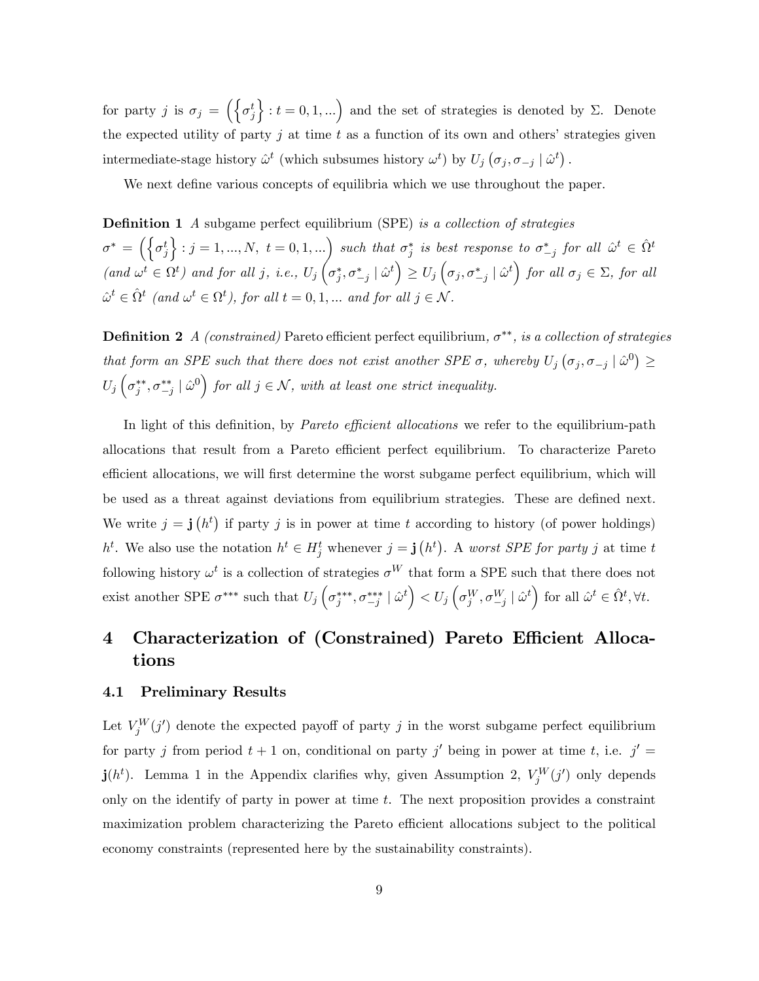for party j is  $\sigma_j = \left(\begin{cases} \sigma_j^t \end{cases}\right)$  $\big\}: t = 0, 1, ...$  and the set of strategies is denoted by  $\Sigma$ . Denote the expected utility of party j at time t as a function of its own and others' strategies given intermediate-stage history  $\hat{\omega}^t$  (which subsumes history  $\omega^t$ ) by  $U_j \left(\sigma_j, \sigma_{-j} \mid \hat{\omega}^t\right)$ .

We next define various concepts of equilibria which we use throughout the paper.

**Definition 1** A subgame perfect equilibrium (SPE) is a collection of strategies  $\sigma^* = \left(\left\{\sigma_j^t\right\}$  $\Big\}$ :  $j = 1, ..., N, t = 0, 1, ...$  such that  $\sigma_j^*$  is best response to  $\sigma_{-j}^*$  for all  $\hat{\omega}^t \in \hat{\Omega}^t$  $(and \omega^t \in \Omega^t)$  and for all j, i.e.,  $U_j\left(\sigma_j^*, \sigma_{-j}^* \mid \hat{\omega}^t\right) \geq U_j\left(\sigma_j, \sigma_{-j}^* \mid \hat{\omega}^t\right)$  for all  $\sigma_j \in \Sigma$ , for all  $\hat{\omega}^t \in \hat{\Omega}^t$  (and  $\omega^t \in \Omega^t$ ), for all  $t = 0, 1, ...$  and for all  $j \in \mathcal{N}$ .

**Definition 2** A (constrained) Pareto efficient perfect equilibrium,  $\sigma^{**}$ , is a collection of strategies that form an SPE such that there does not exist another SPE  $\sigma$ , whereby  $U_j(\sigma_j, \sigma_{-j} | \hat{\omega}^0) \geq$  $U_j\left(\sigma_j^{**},\sigma_{-j}^{**} \mid \hat{\omega}^0\right)$  for all  $j \in \mathcal{N}$ , with at least one strict inequality.

In light of this definition, by *Pareto efficient allocations* we refer to the equilibrium-path allocations that result from a Pareto efficient perfect equilibrium. To characterize Pareto efficient allocations, we will first determine the worst subgame perfect equilibrium, which will be used as a threat against deviations from equilibrium strategies. These are defined next. We write  $j = \mathbf{j}(h^t)$  if party j is in power at time t according to history (of power holdings) h<sup>t</sup>. We also use the notation  $h^t \in H_j^t$  whenever  $j = \mathbf{j}(h^t)$ . A worst SPE for party j at time t following history  $\omega^t$  is a collection of strategies  $\sigma^W$  that form a SPE such that there does not exist another SPE  $\sigma^{***}$  such that  $U_j\left(\sigma^{***}_j,\sigma^{***}_{-j}\mid \hat{\omega}^t\right) < U_j\left(\sigma^{W}_j,\sigma^{W}_{-j}\mid \hat{\omega}^t\right)$  for all  $\hat{\omega}^t \in \hat{\Omega}^t, \forall t$ .

# 4 Characterization of (Constrained) Pareto Efficient Allocations

#### 4.1 Preliminary Results

Let  $V_j^W(j')$  denote the expected payoff of party j in the worst subgame perfect equilibrium for party j from period  $t + 1$  on, conditional on party j' being in power at time t, i.e.  $j' =$  $\mathbf{j}(h^t)$ . Lemma 1 in the Appendix clarifies why, given Assumption 2,  $V_j^W(j')$  only depends only on the identify of party in power at time  $t$ . The next proposition provides a constraint maximization problem characterizing the Pareto efficient allocations subject to the political economy constraints (represented here by the sustainability constraints).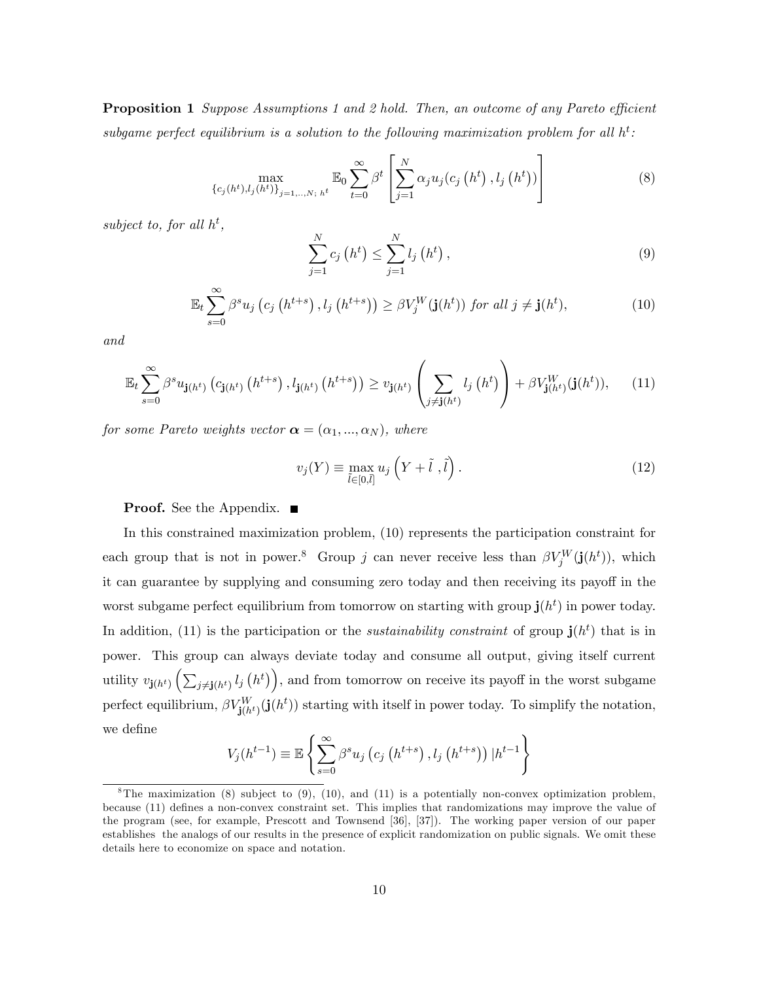**Proposition 1** Suppose Assumptions 1 and 2 hold. Then, an outcome of any Pareto efficient subgame perfect equilibrium is a solution to the following maximization problem for all  $h^t$ :

$$
\max_{\{c_j(h^t), l_j(h^t)\}_{j=1,\dots,N;\;h^t}} \mathbb{E}_0 \sum_{t=0}^{\infty} \beta^t \left[ \sum_{j=1}^N \alpha_j u_j(c_j(h^t), l_j(h^t)) \right]
$$
(8)

subject to, for all  $h^t$ ,

$$
\sum_{j=1}^{N} c_j (h^t) \le \sum_{j=1}^{N} l_j (h^t) , \qquad (9)
$$

$$
\mathbb{E}_{t} \sum_{s=0}^{\infty} \beta^{s} u_{j} \left( c_{j} \left( h^{t+s} \right), l_{j} \left( h^{t+s} \right) \right) \geq \beta V_{j}^{W}(\mathbf{j}(h^{t})) \text{ for all } j \neq \mathbf{j}(h^{t}), \tag{10}
$$

and

$$
\mathbb{E}_{t} \sum_{s=0}^{\infty} \beta^{s} u_{\mathbf{j}(h^{t})} \left( c_{\mathbf{j}(h^{t})} \left( h^{t+s} \right), l_{\mathbf{j}(h^{t})} \left( h^{t+s} \right) \right) \geq v_{\mathbf{j}(h^{t})} \left( \sum_{j \neq \mathbf{j}(h^{t})} l_{j} \left( h^{t} \right) \right) + \beta V_{\mathbf{j}(h^{t})}^{W} (\mathbf{j}(h^{t})), \tag{11}
$$

for some Pareto weights vector  $\boldsymbol{\alpha} = (\alpha_1, ..., \alpha_N)$ , where

$$
v_j(Y) \equiv \max_{\tilde{l} \in [0,\bar{l}]} u_j \left(Y + \tilde{l}, \tilde{l}\right).
$$
 (12)

#### **Proof.** See the Appendix. ■

In this constrained maximization problem, (10) represents the participation constraint for each group that is not in power.<sup>8</sup> Group j can never receive less than  $\beta V_j^W(\mathbf{j}(h^t))$ , which it can guarantee by supplying and consuming zero today and then receiving its payoff in the worst subgame perfect equilibrium from tomorrow on starting with group  $\mathbf{j}(h^t)$  in power today. In addition, (11) is the participation or the *sustainability constraint* of group  $\mathbf{j}(h^t)$  that is in power. This group can always deviate today and consume all output, giving itself current utility  $v_{\mathbf{j}(h^t)}\left(\sum_{j\neq\mathbf{j}(h^t)}l_j(h^t)\right)$ , and from tomorrow on receive its payoff in the worst subgame perfect equilibrium,  $\beta V_{j(h^t)}^W(j(h^t))$  starting with itself in power today. To simplify the notation, we define

$$
V_j(h^{t-1}) \equiv \mathbb{E}\left\{ \sum_{s=0}^{\infty} \beta^s u_j \left( c_j \left( h^{t+s} \right), l_j \left( h^{t+s} \right) \right) | h^{t-1} \right\}
$$

<sup>&</sup>lt;sup>8</sup>The maximization (8) subject to (9), (10), and (11) is a potentially non-convex optimization problem, because (11) defines a non-convex constraint set. This implies that randomizations may improve the value of the program (see, for example, Prescott and Townsend [36], [37]). The working paper version of our paper establishes the analogs of our results in the presence of explicit randomization on public signals. We omit these details here to economize on space and notation.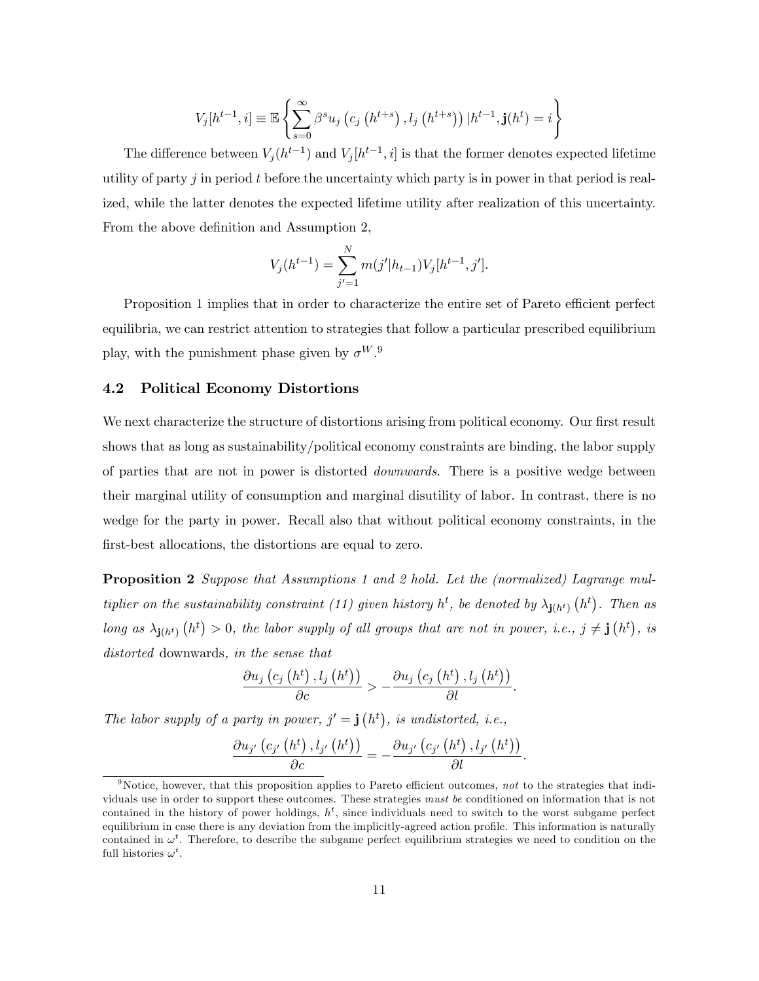$$
V_j[h^{t-1}, i] \equiv \mathbb{E}\left\{ \sum_{s=0}^{\infty} \beta^s u_j \left( c_j \left( h^{t+s} \right), l_j \left( h^{t+s} \right) \right) | h^{t-1}, \mathbf{j}(h^t) = i \right\}
$$

The difference between  $V_j(h^{t-1})$  and  $V_j[h^{t-1}, i]$  is that the former denotes expected lifetime utility of party j in period t before the uncertainty which party is in power in that period is realized, while the latter denotes the expected lifetime utility after realization of this uncertainty. From the above definition and Assumption 2,

$$
V_j(h^{t-1}) = \sum_{j'=1}^{N} m(j'|h_{t-1}) V_j[h^{t-1}, j'].
$$

Proposition 1 implies that in order to characterize the entire set of Pareto efficient perfect equilibria, we can restrict attention to strategies that follow a particular prescribed equilibrium play, with the punishment phase given by  $\sigma^{W.9}$ 

#### 4.2 Political Economy Distortions

We next characterize the structure of distortions arising from political economy. Our first result shows that as long as sustainability/political economy constraints are binding, the labor supply of parties that are not in power is distorted downwards. There is a positive wedge between their marginal utility of consumption and marginal disutility of labor. In contrast, there is no wedge for the party in power. Recall also that without political economy constraints, in the first-best allocations, the distortions are equal to zero.

Proposition 2 Suppose that Assumptions 1 and 2 hold. Let the (normalized) Lagrange multiplier on the sustainability constraint (11) given history  $h^t$ , be denoted by  $\lambda_{\mathbf{j}(h^t)}(h^t)$ . Then as long as  $\lambda_{j(h^t)}(h^t) > 0$ , the labor supply of all groups that are not in power, i.e.,  $j \neq j(h^t)$ , is distorted downwards, in the sense that

$$
\frac{\partial u_j\left(c_j\left(h^t\right),l_j\left(h^t\right)\right)}{\partial c} > -\frac{\partial u_j\left(c_j\left(h^t\right),l_j\left(h^t\right)\right)}{\partial l}.
$$

The labor supply of a party in power,  $j' = j(h^t)$ , is undistorted, i.e.,

$$
\frac{\partial u_{j'}}{(c_{j'}(h^t), l_{j'}(h^t))} = -\frac{\partial u_{j'}}{(c_{j'}(h^t), l_{j'}(h^t))}.
$$

<sup>&</sup>lt;sup>9</sup>Notice, however, that this proposition applies to Pareto efficient outcomes, not to the strategies that individuals use in order to support these outcomes. These strategies must be conditioned on information that is not contained in the history of power holdings,  $h^t$ , since individuals need to switch to the worst subgame perfect equilibrium in case there is any deviation from the implicitly-agreed action profile. This information is naturally contained in  $\omega^t$ . Therefore, to describe the subgame perfect equilibrium strategies we need to condition on the full histories  $\omega^t$ .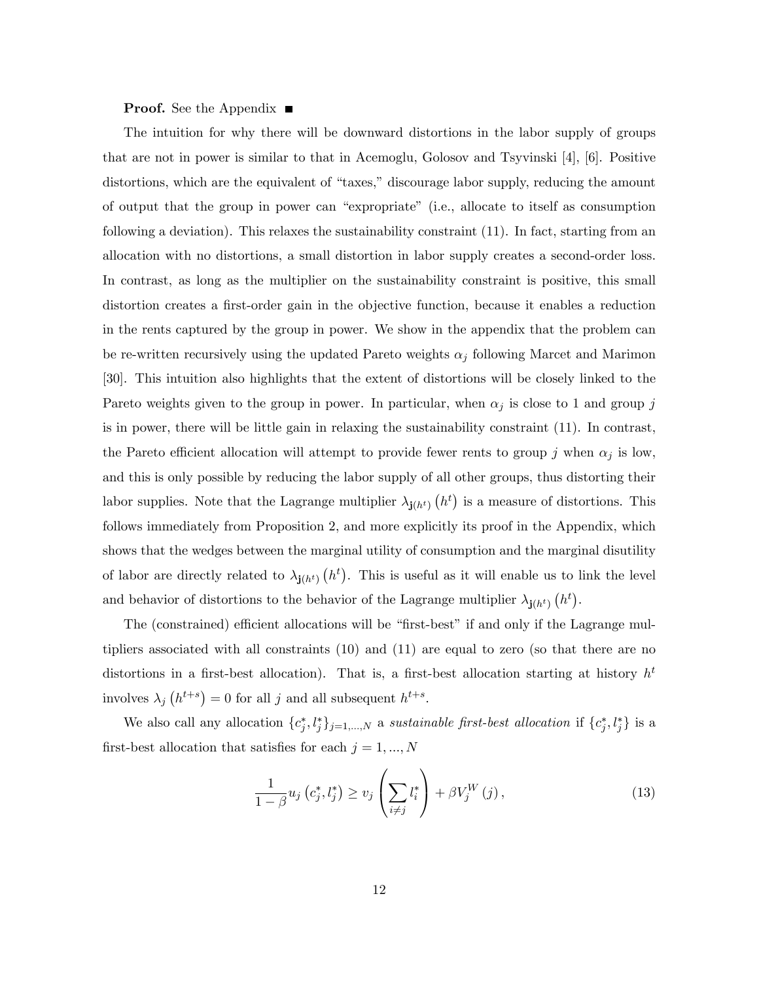#### **Proof.** See the Appendix ■

The intuition for why there will be downward distortions in the labor supply of groups that are not in power is similar to that in Acemoglu, Golosov and Tsyvinski [4], [6]. Positive distortions, which are the equivalent of "taxes," discourage labor supply, reducing the amount of output that the group in power can "expropriate" (i.e., allocate to itself as consumption following a deviation). This relaxes the sustainability constraint (11). In fact, starting from an allocation with no distortions, a small distortion in labor supply creates a second-order loss. In contrast, as long as the multiplier on the sustainability constraint is positive, this small distortion creates a first-order gain in the objective function, because it enables a reduction in the rents captured by the group in power. We show in the appendix that the problem can be re-written recursively using the updated Pareto weights  $\alpha_i$  following Marcet and Marimon [30]. This intuition also highlights that the extent of distortions will be closely linked to the Pareto weights given to the group in power. In particular, when  $\alpha_j$  is close to 1 and group j is in power, there will be little gain in relaxing the sustainability constraint (11). In contrast, the Pareto efficient allocation will attempt to provide fewer rents to group j when  $\alpha_j$  is low, and this is only possible by reducing the labor supply of all other groups, thus distorting their labor supplies. Note that the Lagrange multiplier  $\lambda_{j(h^t)}(h^t)$  is a measure of distortions. This follows immediately from Proposition 2, and more explicitly its proof in the Appendix, which shows that the wedges between the marginal utility of consumption and the marginal disutility of labor are directly related to  $\lambda_{j(h^t)}(h^t)$ . This is useful as it will enable us to link the level and behavior of distortions to the behavior of the Lagrange multiplier  $\lambda_{j(h^t)}(h^t)$ .

The (constrained) efficient allocations will be "first-best" if and only if the Lagrange multipliers associated with all constraints (10) and (11) are equal to zero (so that there are no distortions in a first-best allocation). That is, a first-best allocation starting at history  $h^t$ involves  $\lambda_j(h^{t+s}) = 0$  for all j and all subsequent  $h^{t+s}$ .

We also call any allocation  $\{c_j^*, l_j^*\}_{j=1,\dots,N}$  a *sustainable first-best allocation* if  $\{c_j^*, l_j^*\}$  is a first-best allocation that satisfies for each  $j = 1, ..., N$ 

$$
\frac{1}{1-\beta}u_j\left(c_j^*, l_j^*\right) \ge v_j\left(\sum_{i\neq j}l_i^*\right) + \beta V_j^W\left(j\right),\tag{13}
$$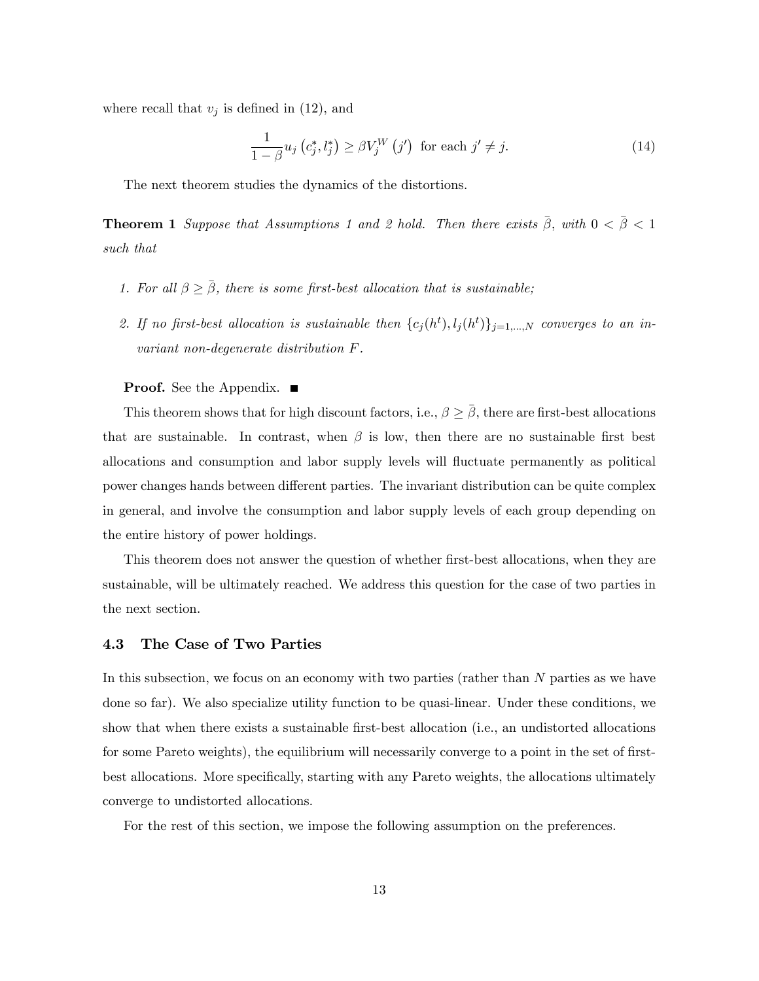where recall that  $v_j$  is defined in (12), and

$$
\frac{1}{1-\beta}u_j\left(c_j^*,l_j^*\right) \ge \beta V_j^W\left(j'\right) \text{ for each } j' \ne j. \tag{14}
$$

The next theorem studies the dynamics of the distortions.

**Theorem 1** Suppose that Assumptions 1 and 2 hold. Then there exists  $\bar{\beta}$ , with  $0 < \bar{\beta} < 1$ such that

- 1. For all  $\beta \geq \overline{\beta}$ , there is some first-best allocation that is sustainable;
- 2. If no first-best allocation is sustainable then  $\{c_j(h^t), l_j(h^t)\}_{j=1,\dots,N}$  converges to an invariant non-degenerate distribution F.

#### **Proof.** See the Appendix. ■

This theorem shows that for high discount factors, i.e.,  $\beta \geq \bar{\beta}$ , there are first-best allocations that are sustainable. In contrast, when  $\beta$  is low, then there are no sustainable first best allocations and consumption and labor supply levels will fluctuate permanently as political power changes hands between different parties. The invariant distribution can be quite complex in general, and involve the consumption and labor supply levels of each group depending on the entire history of power holdings.

This theorem does not answer the question of whether first-best allocations, when they are sustainable, will be ultimately reached. We address this question for the case of two parties in the next section.

#### 4.3 The Case of Two Parties

In this subsection, we focus on an economy with two parties (rather than N parties as we have done so far). We also specialize utility function to be quasi-linear. Under these conditions, we show that when there exists a sustainable first-best allocation (i.e., an undistorted allocations for some Pareto weights), the equilibrium will necessarily converge to a point in the set of firstbest allocations. More specifically, starting with any Pareto weights, the allocations ultimately converge to undistorted allocations.

For the rest of this section, we impose the following assumption on the preferences.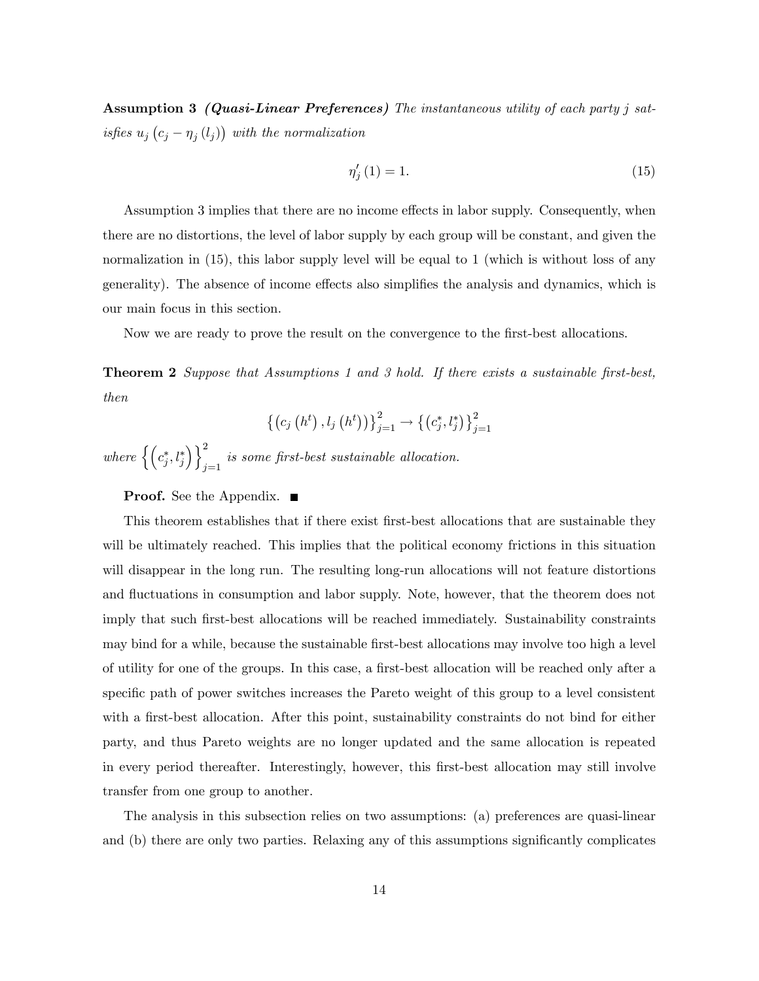**Assumption 3 (Quasi-Linear Preferences)** The instantaneous utility of each party j satisfies  $u_j(c_j - \eta_j(l_j))$  with the normalization

$$
\eta_j'(1) = 1.\t(15)
$$

Assumption 3 implies that there are no income effects in labor supply. Consequently, when there are no distortions, the level of labor supply by each group will be constant, and given the normalization in (15), this labor supply level will be equal to 1 (which is without loss of any generality). The absence of income effects also simplifies the analysis and dynamics, which is our main focus in this section.

Now we are ready to prove the result on the convergence to the first-best allocations.

**Theorem 2** Suppose that Assumptions 1 and 3 hold. If there exists a sustainable first-best, then

$$
\{(c_j(h^t), l_j(h^t))\}_{j=1}^2 \to \{(c_j^*, l_j^*)\}_{j=1}^2
$$

where  $\left\{ \left( c_{j}^{\ast },l_{j}^{\ast }\right) \right\}$  $\setminus$ <sup>2</sup> is some first-best sustainable allocation.<br> $j=1$ 

**Proof.** See the Appendix. ■

This theorem establishes that if there exist first-best allocations that are sustainable they will be ultimately reached. This implies that the political economy frictions in this situation will disappear in the long run. The resulting long-run allocations will not feature distortions and fluctuations in consumption and labor supply. Note, however, that the theorem does not imply that such first-best allocations will be reached immediately. Sustainability constraints may bind for a while, because the sustainable first-best allocations may involve too high a level of utility for one of the groups. In this case, a first-best allocation will be reached only after a specific path of power switches increases the Pareto weight of this group to a level consistent with a first-best allocation. After this point, sustainability constraints do not bind for either party, and thus Pareto weights are no longer updated and the same allocation is repeated in every period thereafter. Interestingly, however, this first-best allocation may still involve transfer from one group to another.

The analysis in this subsection relies on two assumptions: (a) preferences are quasi-linear and (b) there are only two parties. Relaxing any of this assumptions significantly complicates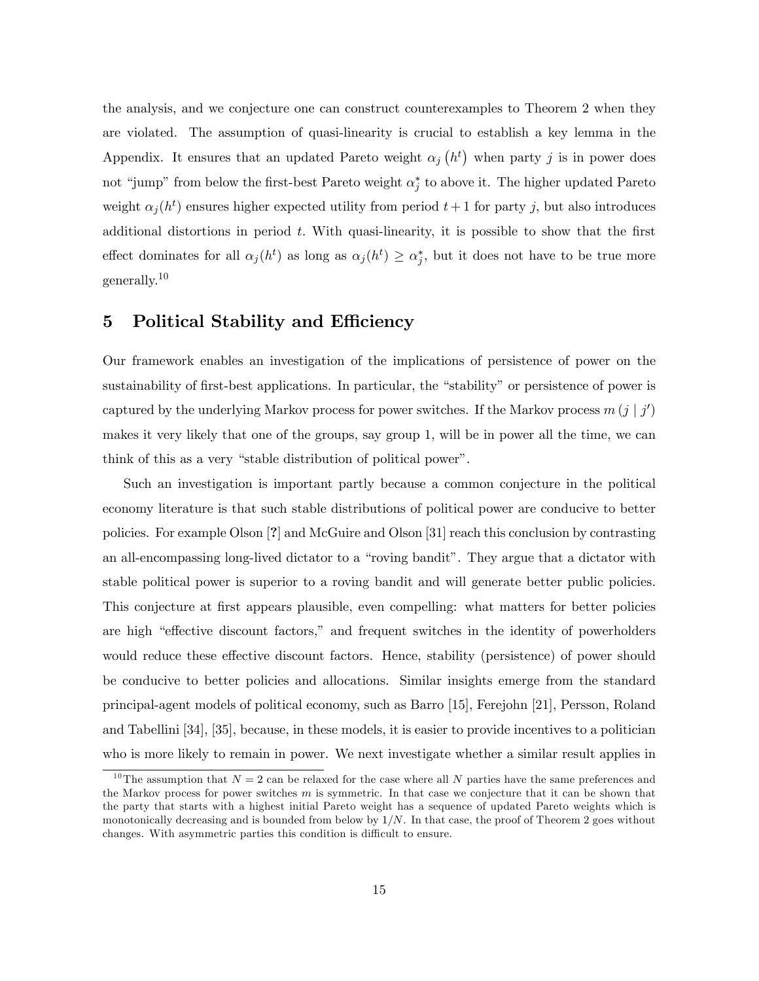the analysis, and we conjecture one can construct counterexamples to Theorem 2 when they are violated. The assumption of quasi-linearity is crucial to establish a key lemma in the Appendix. It ensures that an updated Pareto weight  $\alpha_j(h^t)$  when party j is in power does not "jump" from below the first-best Pareto weight  $\alpha_j^*$  to above it. The higher updated Pareto weight  $\alpha_j(h^t)$  ensures higher expected utility from period  $t + 1$  for party j, but also introduces additional distortions in period  $t$ . With quasi-linearity, it is possible to show that the first effect dominates for all  $\alpha_j(h^t)$  as long as  $\alpha_j(h^t) \geq \alpha_j^*$ , but it does not have to be true more generally.<sup>10</sup>

# 5 Political Stability and Efficiency

Our framework enables an investigation of the implications of persistence of power on the sustainability of first-best applications. In particular, the "stability" or persistence of power is captured by the underlying Markov process for power switches. If the Markov process  $m(j | j')$ makes it very likely that one of the groups, say group 1, will be in power all the time, we can think of this as a very "stable distribution of political power".

Such an investigation is important partly because a common conjecture in the political economy literature is that such stable distributions of political power are conducive to better policies. For example Olson [?] and McGuire and Olson [31] reach this conclusion by contrasting an all-encompassing long-lived dictator to a "roving bandit". They argue that a dictator with stable political power is superior to a roving bandit and will generate better public policies. This conjecture at first appears plausible, even compelling: what matters for better policies are high "effective discount factors," and frequent switches in the identity of powerholders would reduce these effective discount factors. Hence, stability (persistence) of power should be conducive to better policies and allocations. Similar insights emerge from the standard principal-agent models of political economy, such as Barro [15], Ferejohn [21], Persson, Roland and Tabellini [34], [35], because, in these models, it is easier to provide incentives to a politician who is more likely to remain in power. We next investigate whether a similar result applies in

<sup>&</sup>lt;sup>10</sup>The assumption that  $N = 2$  can be relaxed for the case where all N parties have the same preferences and the Markov process for power switches m is symmetric. In that case we conjecture that it can be shown that the party that starts with a highest initial Pareto weight has a sequence of updated Pareto weights which is monotonically decreasing and is bounded from below by  $1/N$ . In that case, the proof of Theorem 2 goes without changes. With asymmetric parties this condition is difficult to ensure.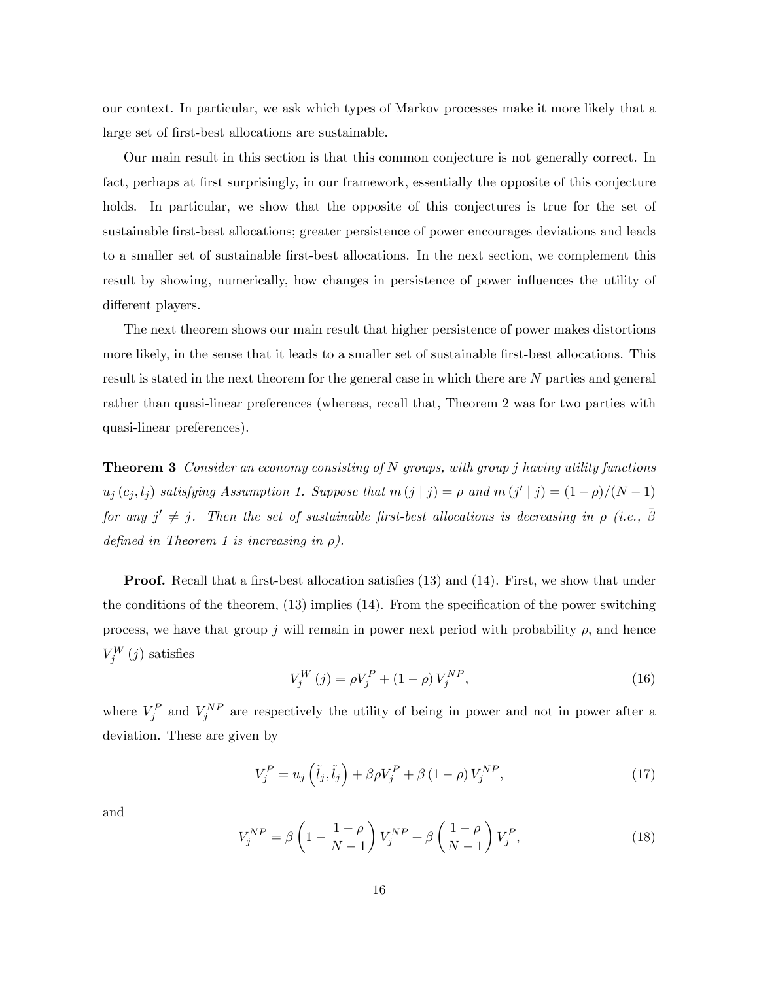our context. In particular, we ask which types of Markov processes make it more likely that a large set of first-best allocations are sustainable.

Our main result in this section is that this common conjecture is not generally correct. In fact, perhaps at first surprisingly, in our framework, essentially the opposite of this conjecture holds. In particular, we show that the opposite of this conjectures is true for the set of sustainable first-best allocations; greater persistence of power encourages deviations and leads to a smaller set of sustainable first-best allocations. In the next section, we complement this result by showing, numerically, how changes in persistence of power influences the utility of different players.

The next theorem shows our main result that higher persistence of power makes distortions more likely, in the sense that it leads to a smaller set of sustainable first-best allocations. This result is stated in the next theorem for the general case in which there are N parties and general rather than quasi-linear preferences (whereas, recall that, Theorem 2 was for two parties with quasi-linear preferences).

**Theorem 3** Consider an economy consisting of N groups, with group j having utility functions  $u_j(c_j, l_j)$  satisfying Assumption 1. Suppose that  $m(j | j) = \rho$  and  $m(j' | j) = (1 - \rho)/(N - 1)$ for any  $j' \neq j$ . Then the set of sustainable first-best allocations is decreasing in  $\rho$  (i.e.,  $\bar{\beta}$ defined in Theorem 1 is increasing in  $\rho$ ).

**Proof.** Recall that a first-best allocation satisfies (13) and (14). First, we show that under the conditions of the theorem,  $(13)$  implies  $(14)$ . From the specification of the power switching process, we have that group j will remain in power next period with probability  $\rho$ , and hence  $V_j^W(j)$  satisfies

$$
V_j^W(j) = \rho V_j^P + (1 - \rho) V_j^{NP}, \qquad (16)
$$

where  $V_j^P$  and  $V_j^{NP}$  are respectively the utility of being in power and not in power after a deviation. These are given by

$$
V_j^P = u_j \left( \tilde{l}_j, \tilde{l}_j \right) + \beta \rho V_j^P + \beta \left( 1 - \rho \right) V_j^{NP}, \tag{17}
$$

and

$$
V_j^{NP} = \beta \left( 1 - \frac{1 - \rho}{N - 1} \right) V_j^{NP} + \beta \left( \frac{1 - \rho}{N - 1} \right) V_j^P,\tag{18}
$$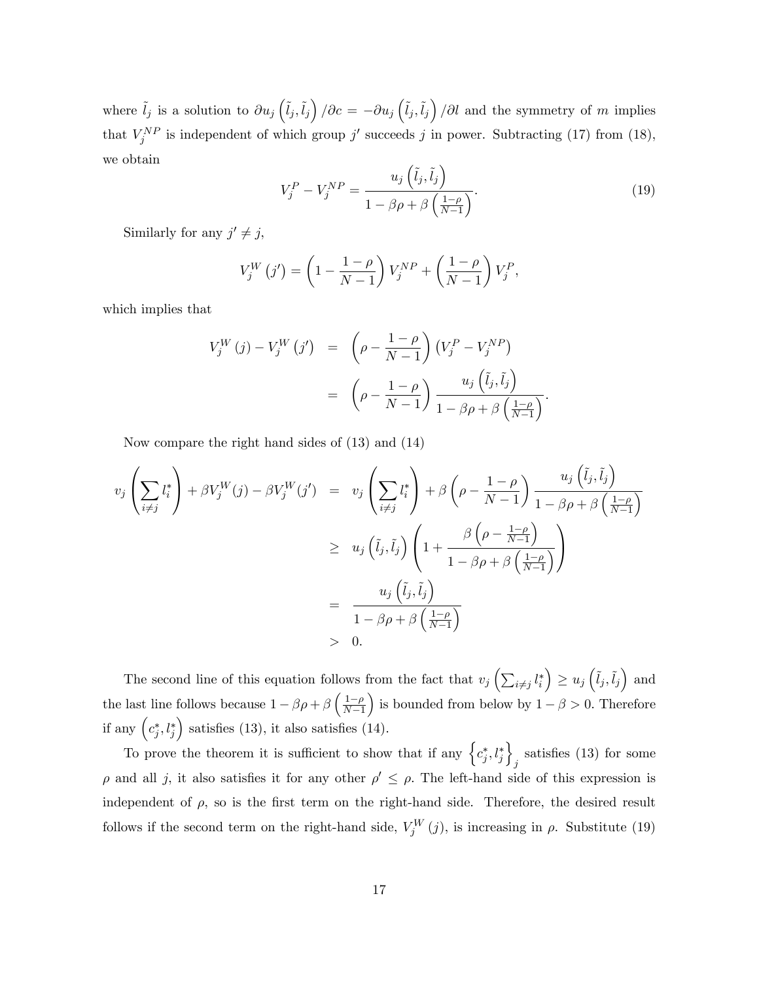where  $\tilde{l}_j$  is a solution to  $\partial u_j\left(\tilde{l}_j, \tilde{l}_j\right)/\partial c = -\partial u_j\left(\tilde{l}_j, \tilde{l}_j\right)/\partial l$  and the symmetry of m implies that  $V_j^{NP}$  is independent of which group j' succeeds j in power. Subtracting (17) from (18), we obtain

$$
V_j^P - V_j^{NP} = \frac{u_j\left(\tilde{l}_j, \tilde{l}_j\right)}{1 - \beta \rho + \beta \left(\frac{1-\rho}{N-1}\right)}.\tag{19}
$$

Similarly for any  $j' \neq j$ ,

$$
V_j^W(j') = \left(1 - \frac{1-\rho}{N-1}\right) V_j^{NP} + \left(\frac{1-\rho}{N-1}\right) V_j^P,
$$

which implies that

$$
V_j^W(j) - V_j^W(j') = \left(\rho - \frac{1-\rho}{N-1}\right) \left(V_j^P - V_j^{NP}\right)
$$
  
= 
$$
\left(\rho - \frac{1-\rho}{N-1}\right) \frac{u_j\left(\tilde{l}_j, \tilde{l}_j\right)}{1-\beta\rho+\beta\left(\frac{1-\rho}{N-1}\right)}.
$$

Now compare the right hand sides of (13) and (14)

$$
v_j\left(\sum_{i\neq j} l_i^*\right) + \beta V_j^W(j) - \beta V_j^W(j') = v_j\left(\sum_{i\neq j} l_i^*\right) + \beta\left(\rho - \frac{1-\rho}{N-1}\right) \frac{u_j\left(\tilde{l}_j, \tilde{l}_j\right)}{1-\beta\rho+\beta\left(\frac{1-\rho}{N-1}\right)}
$$
  

$$
\geq u_j\left(\tilde{l}_j, \tilde{l}_j\right)\left(1 + \frac{\beta\left(\rho - \frac{1-\rho}{N-1}\right)}{1-\beta\rho+\beta\left(\frac{1-\rho}{N-1}\right)}\right)
$$
  

$$
= \frac{u_j\left(\tilde{l}_j, \tilde{l}_j\right)}{1-\beta\rho+\beta\left(\frac{1-\rho}{N-1}\right)}
$$
  

$$
> 0.
$$

The second line of this equation follows from the fact that  $v_j\left(\sum_{i\neq j}l_i^*\right)$  $\Big) \geq u_j\left(\tilde{l}_j, \tilde{l}_j\right) \text{ and }$ the last line follows because  $1 - \beta \rho + \beta \left( \frac{1 - \rho}{N - 1} \right)$  $N-1$ ) is bounded from below by  $1 - \beta > 0$ . Therefore if any  $(c_j^*, l_j^*)$ ) satisfies (13), it also satisfies  $(14)$ .

To prove the theorem it is sufficient to show that if any  $\left\{c_j^*, l_j^*\right\}$  $\mathcal{L}$ satisfies (13) for some  $j$  $\rho$  and all j, it also satisfies it for any other  $\rho' \leq \rho$ . The left-hand side of this expression is independent of  $\rho$ , so is the first term on the right-hand side. Therefore, the desired result follows if the second term on the right-hand side,  $V_j^W(j)$ , is increasing in  $\rho$ . Substitute (19)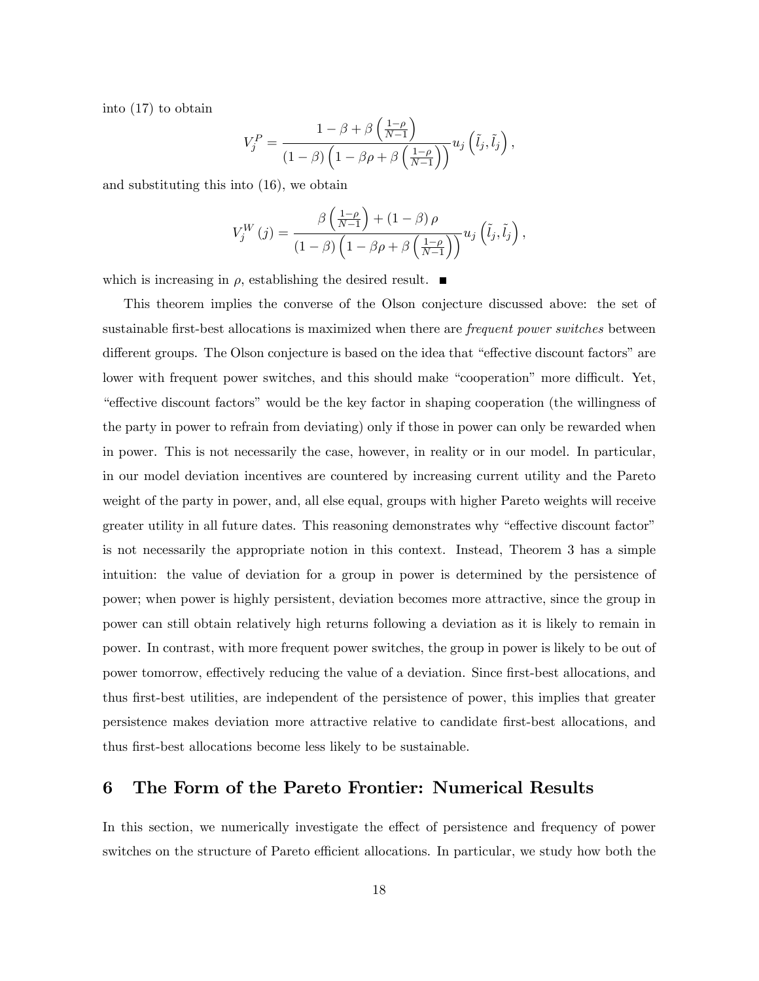into (17) to obtain

$$
V_j^P = \frac{1 - \beta + \beta \left(\frac{1-\rho}{N-1}\right)}{(1-\beta)\left(1 - \beta \rho + \beta \left(\frac{1-\rho}{N-1}\right)\right)} u_j\left(\tilde{l}_j, \tilde{l}_j\right),\,
$$

and substituting this into (16), we obtain

$$
V_j^W(j) = \frac{\beta \left(\frac{1-\rho}{N-1}\right) + (1-\beta)\rho}{(1-\beta)\left(1-\beta\rho + \beta \left(\frac{1-\rho}{N-1}\right)\right)} u_j\left(\tilde{l}_j, \tilde{l}_j\right),
$$

which is increasing in  $\rho$ , establishing the desired result.  $\blacksquare$ 

This theorem implies the converse of the Olson conjecture discussed above: the set of sustainable first-best allocations is maximized when there are *frequent power switches* between different groups. The Olson conjecture is based on the idea that "effective discount factors" are lower with frequent power switches, and this should make "cooperation" more difficult. Yet, ìe§ective discount factorsîwould be the key factor in shaping cooperation (the willingness of the party in power to refrain from deviating) only if those in power can only be rewarded when in power. This is not necessarily the case, however, in reality or in our model. In particular, in our model deviation incentives are countered by increasing current utility and the Pareto weight of the party in power, and, all else equal, groups with higher Pareto weights will receive greater utility in all future dates. This reasoning demonstrates why "effective discount factor" is not necessarily the appropriate notion in this context. Instead, Theorem 3 has a simple intuition: the value of deviation for a group in power is determined by the persistence of power; when power is highly persistent, deviation becomes more attractive, since the group in power can still obtain relatively high returns following a deviation as it is likely to remain in power. In contrast, with more frequent power switches, the group in power is likely to be out of power tomorrow, effectively reducing the value of a deviation. Since first-best allocations, and thus Örst-best utilities, are independent of the persistence of power, this implies that greater persistence makes deviation more attractive relative to candidate Örst-best allocations, and thus first-best allocations become less likely to be sustainable.

### 6 The Form of the Pareto Frontier: Numerical Results

In this section, we numerically investigate the effect of persistence and frequency of power switches on the structure of Pareto efficient allocations. In particular, we study how both the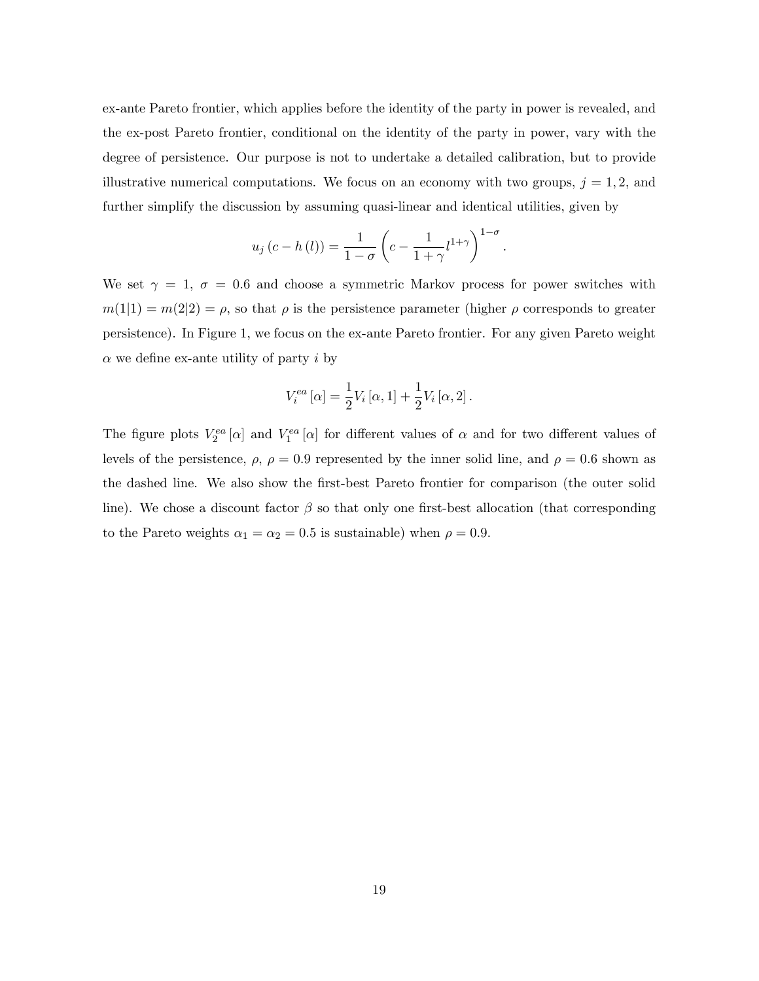ex-ante Pareto frontier, which applies before the identity of the party in power is revealed, and the ex-post Pareto frontier, conditional on the identity of the party in power, vary with the degree of persistence. Our purpose is not to undertake a detailed calibration, but to provide illustrative numerical computations. We focus on an economy with two groups,  $j = 1, 2$ , and further simplify the discussion by assuming quasi-linear and identical utilities, given by

$$
u_j(c - h(l)) = \frac{1}{1 - \sigma} \left( c - \frac{1}{1 + \gamma} l^{1 + \gamma} \right)^{1 - \sigma}
$$

:

We set  $\gamma = 1, \sigma = 0.6$  and choose a symmetric Markov process for power switches with  $m(1|1) = m(2|2) = \rho$ , so that  $\rho$  is the persistence parameter (higher  $\rho$  corresponds to greater persistence). In Figure 1, we focus on the ex-ante Pareto frontier. For any given Pareto weight  $\alpha$  we define ex-ante utility of party i by

$$
V_i^{ea}\left[\alpha\right] = \frac{1}{2}V_i\left[\alpha,1\right] + \frac{1}{2}V_i\left[\alpha,2\right].
$$

The figure plots  $V_2^{ea}[\alpha]$  and  $V_1^{ea}[\alpha]$  for different values of  $\alpha$  and for two different values of levels of the persistence,  $\rho$ ,  $\rho = 0.9$  represented by the inner solid line, and  $\rho = 0.6$  shown as the dashed line. We also show the first-best Pareto frontier for comparison (the outer solid line). We chose a discount factor  $\beta$  so that only one first-best allocation (that corresponding to the Pareto weights  $\alpha_1 = \alpha_2 = 0.5$  is sustainable) when  $\rho = 0.9$ .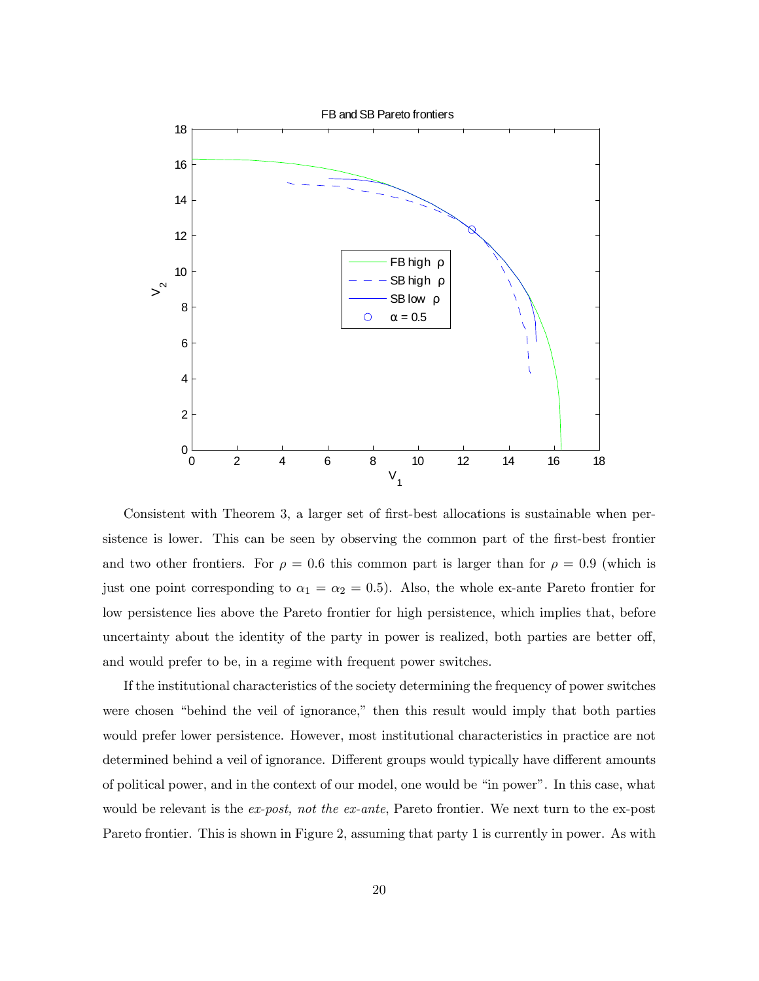

Consistent with Theorem 3, a larger set of first-best allocations is sustainable when persistence is lower. This can be seen by observing the common part of the first-best frontier and two other frontiers. For  $\rho = 0.6$  this common part is larger than for  $\rho = 0.9$  (which is just one point corresponding to  $\alpha_1 = \alpha_2 = 0.5$ . Also, the whole ex-ante Pareto frontier for low persistence lies above the Pareto frontier for high persistence, which implies that, before uncertainty about the identity of the party in power is realized, both parties are better off, and would prefer to be, in a regime with frequent power switches.

If the institutional characteristics of the society determining the frequency of power switches were chosen "behind the veil of ignorance," then this result would imply that both parties would prefer lower persistence. However, most institutional characteristics in practice are not determined behind a veil of ignorance. Different groups would typically have different amounts of political power, and in the context of our model, one would be "in power". In this case, what would be relevant is the ex-post, not the ex-ante, Pareto frontier. We next turn to the ex-post Pareto frontier. This is shown in Figure 2, assuming that party 1 is currently in power. As with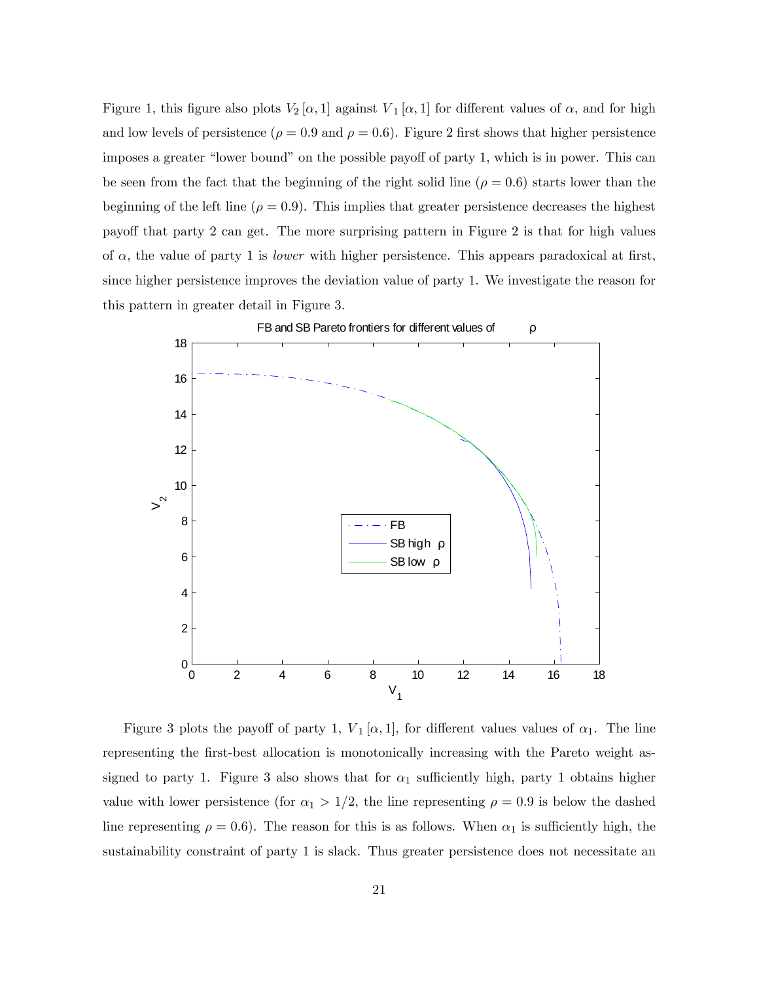Figure 1, this figure also plots  $V_2[\alpha, 1]$  against  $V_1[\alpha, 1]$  for different values of  $\alpha$ , and for high and low levels of persistence ( $\rho = 0.9$  and  $\rho = 0.6$ ). Figure 2 first shows that higher persistence imposes a greater "lower bound" on the possible payoff of party 1, which is in power. This can be seen from the fact that the beginning of the right solid line ( $\rho = 0.6$ ) starts lower than the beginning of the left line ( $\rho = 0.9$ ). This implies that greater persistence decreases the highest payo§ that party 2 can get. The more surprising pattern in Figure 2 is that for high values of  $\alpha$ , the value of party 1 is *lower* with higher persistence. This appears paradoxical at first, since higher persistence improves the deviation value of party 1. We investigate the reason for this pattern in greater detail in Figure 3.



Figure 3 plots the payoff of party 1,  $V_1[\alpha,1]$ , for different values values of  $\alpha_1$ . The line representing the first-best allocation is monotonically increasing with the Pareto weight assigned to party 1. Figure 3 also shows that for  $\alpha_1$  sufficiently high, party 1 obtains higher value with lower persistence (for  $\alpha_1 > 1/2$ , the line representing  $\rho = 0.9$  is below the dashed line representing  $\rho = 0.6$ ). The reason for this is as follows. When  $\alpha_1$  is sufficiently high, the sustainability constraint of party 1 is slack. Thus greater persistence does not necessitate an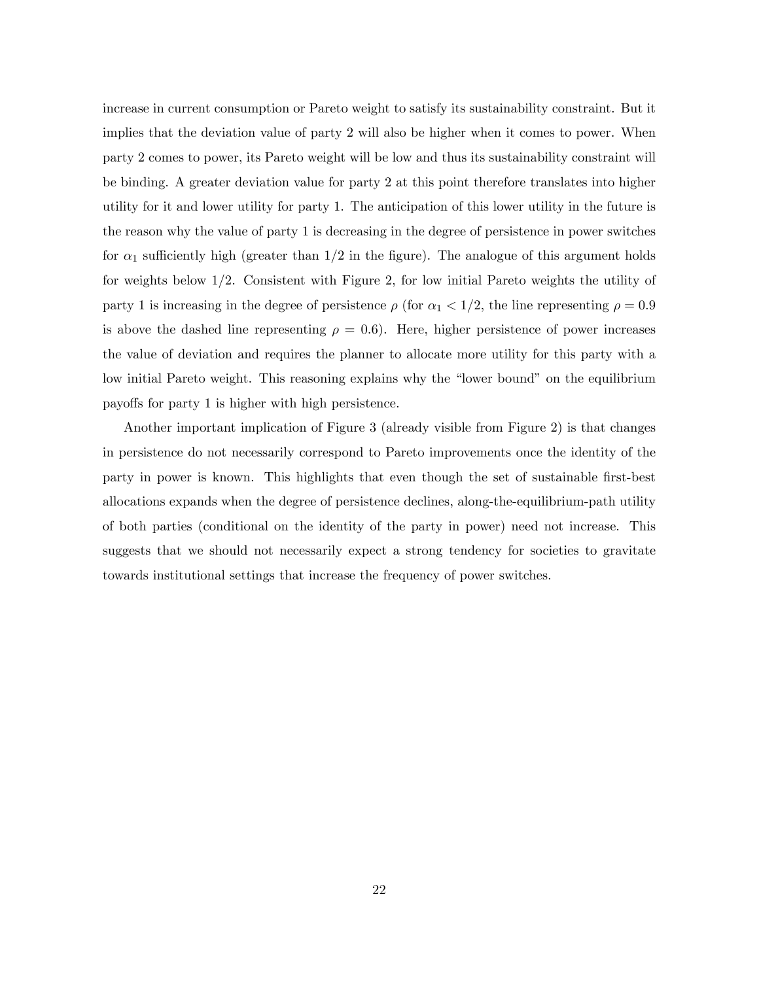increase in current consumption or Pareto weight to satisfy its sustainability constraint. But it implies that the deviation value of party 2 will also be higher when it comes to power. When party 2 comes to power, its Pareto weight will be low and thus its sustainability constraint will be binding. A greater deviation value for party 2 at this point therefore translates into higher utility for it and lower utility for party 1. The anticipation of this lower utility in the future is the reason why the value of party 1 is decreasing in the degree of persistence in power switches for  $\alpha_1$  sufficiently high (greater than  $1/2$  in the figure). The analogue of this argument holds for weights below 1/2. Consistent with Figure 2, for low initial Pareto weights the utility of party 1 is increasing in the degree of persistence  $\rho$  (for  $\alpha_1 < 1/2$ , the line representing  $\rho = 0.9$ is above the dashed line representing  $\rho = 0.6$ . Here, higher persistence of power increases the value of deviation and requires the planner to allocate more utility for this party with a low initial Pareto weight. This reasoning explains why the "lower bound" on the equilibrium payo§s for party 1 is higher with high persistence.

Another important implication of Figure 3 (already visible from Figure 2) is that changes in persistence do not necessarily correspond to Pareto improvements once the identity of the party in power is known. This highlights that even though the set of sustainable first-best allocations expands when the degree of persistence declines, along-the-equilibrium-path utility of both parties (conditional on the identity of the party in power) need not increase. This suggests that we should not necessarily expect a strong tendency for societies to gravitate towards institutional settings that increase the frequency of power switches.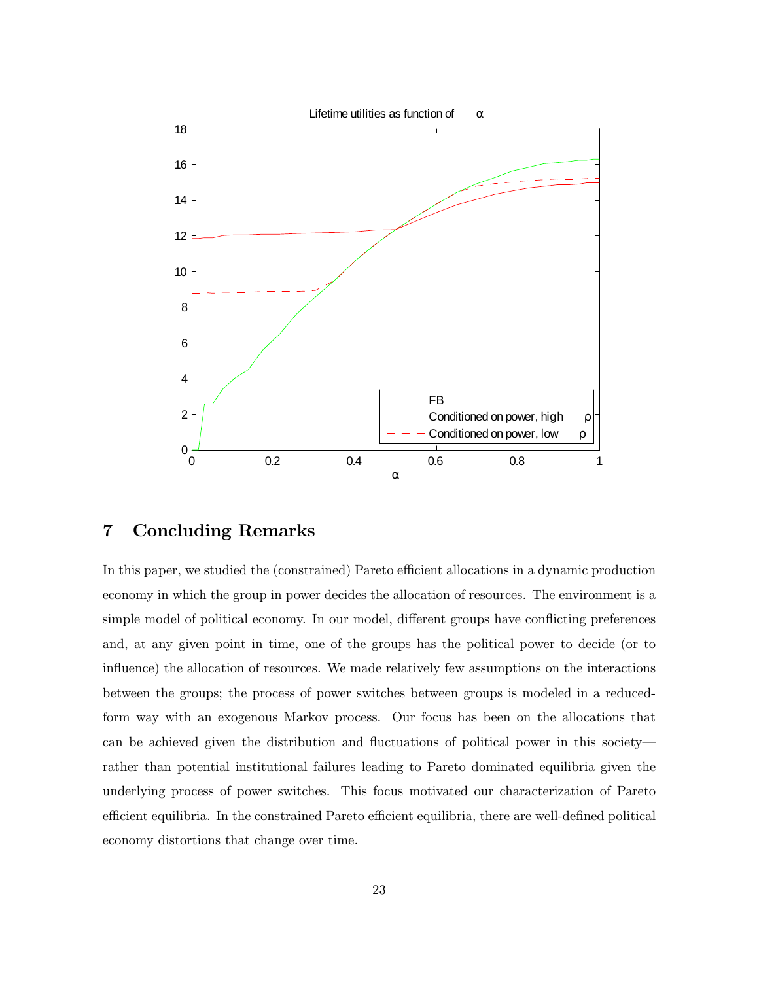

# 7 Concluding Remarks

In this paper, we studied the (constrained) Pareto efficient allocations in a dynamic production economy in which the group in power decides the allocation of resources. The environment is a simple model of political economy. In our model, different groups have conflicting preferences and, at any given point in time, one of the groups has the political power to decide (or to influence) the allocation of resources. We made relatively few assumptions on the interactions between the groups; the process of power switches between groups is modeled in a reducedform way with an exogenous Markov process. Our focus has been on the allocations that can be achieved given the distribution and fluctuations of political power in this society rather than potential institutional failures leading to Pareto dominated equilibria given the underlying process of power switches. This focus motivated our characterization of Pareto efficient equilibria. In the constrained Pareto efficient equilibria, there are well-defined political economy distortions that change over time.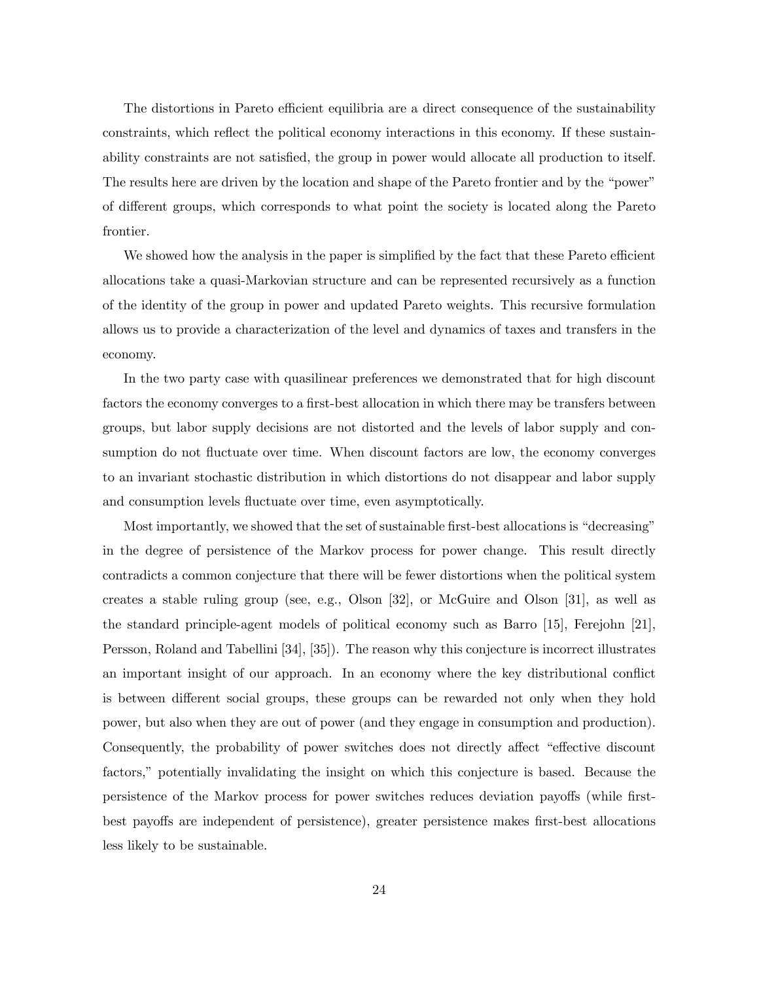The distortions in Pareto efficient equilibria are a direct consequence of the sustainability constraints, which reflect the political economy interactions in this economy. If these sustainability constraints are not satisfied, the group in power would allocate all production to itself. The results here are driven by the location and shape of the Pareto frontier and by the "power" of different groups, which corresponds to what point the society is located along the Pareto frontier.

We showed how the analysis in the paper is simplified by the fact that these Pareto efficient allocations take a quasi-Markovian structure and can be represented recursively as a function of the identity of the group in power and updated Pareto weights. This recursive formulation allows us to provide a characterization of the level and dynamics of taxes and transfers in the economy.

In the two party case with quasilinear preferences we demonstrated that for high discount factors the economy converges to a first-best allocation in which there may be transfers between groups, but labor supply decisions are not distorted and the levels of labor supply and consumption do not fluctuate over time. When discount factors are low, the economy converges to an invariant stochastic distribution in which distortions do not disappear and labor supply and consumption levels fluctuate over time, even asymptotically.

Most importantly, we showed that the set of sustainable first-best allocations is "decreasing" in the degree of persistence of the Markov process for power change. This result directly contradicts a common conjecture that there will be fewer distortions when the political system creates a stable ruling group (see, e.g., Olson [32], or McGuire and Olson [31], as well as the standard principle-agent models of political economy such as Barro [15], Ferejohn [21], Persson, Roland and Tabellini [34], [35]). The reason why this conjecture is incorrect illustrates an important insight of our approach. In an economy where the key distributional conflict is between different social groups, these groups can be rewarded not only when they hold power, but also when they are out of power (and they engage in consumption and production). Consequently, the probability of power switches does not directly affect "effective discount factors," potentially invalidating the insight on which this conjecture is based. Because the persistence of the Markov process for power switches reduces deviation payoffs (while firstbest payoffs are independent of persistence), greater persistence makes first-best allocations less likely to be sustainable.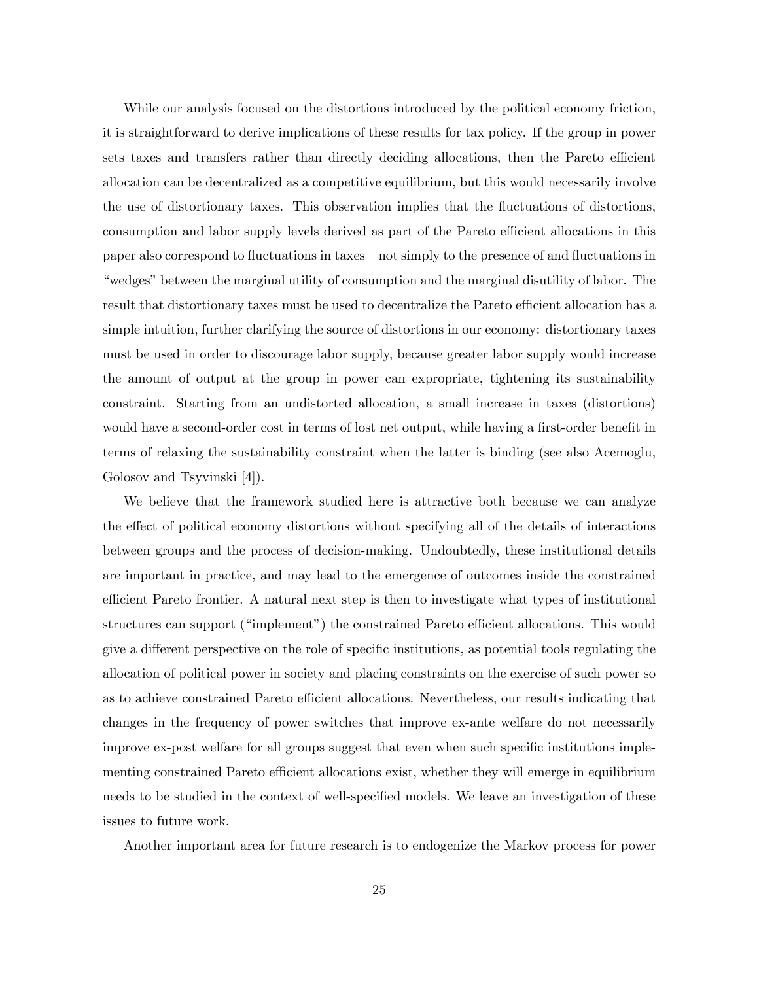While our analysis focused on the distortions introduced by the political economy friction, it is straightforward to derive implications of these results for tax policy. If the group in power sets taxes and transfers rather than directly deciding allocations, then the Pareto efficient allocation can be decentralized as a competitive equilibrium, but this would necessarily involve the use of distortionary taxes. This observation implies that the fluctuations of distortions, consumption and labor supply levels derived as part of the Pareto efficient allocations in this paper also correspond to fluctuations in taxes—not simply to the presence of and fluctuations in ìwedgesîbetween the marginal utility of consumption and the marginal disutility of labor. The result that distortionary taxes must be used to decentralize the Pareto efficient allocation has a simple intuition, further clarifying the source of distortions in our economy: distortionary taxes must be used in order to discourage labor supply, because greater labor supply would increase the amount of output at the group in power can expropriate, tightening its sustainability constraint. Starting from an undistorted allocation, a small increase in taxes (distortions) would have a second-order cost in terms of lost net output, while having a first-order benefit in terms of relaxing the sustainability constraint when the latter is binding (see also Acemoglu, Golosov and Tsyvinski [4]).

We believe that the framework studied here is attractive both because we can analyze the effect of political economy distortions without specifying all of the details of interactions between groups and the process of decision-making. Undoubtedly, these institutional details are important in practice, and may lead to the emergence of outcomes inside the constrained efficient Pareto frontier. A natural next step is then to investigate what types of institutional structures can support ("implement") the constrained Pareto efficient allocations. This would give a different perspective on the role of specific institutions, as potential tools regulating the allocation of political power in society and placing constraints on the exercise of such power so as to achieve constrained Pareto efficient allocations. Nevertheless, our results indicating that changes in the frequency of power switches that improve ex-ante welfare do not necessarily improve ex-post welfare for all groups suggest that even when such specific institutions implementing constrained Pareto efficient allocations exist, whether they will emerge in equilibrium needs to be studied in the context of well-specified models. We leave an investigation of these issues to future work.

Another important area for future research is to endogenize the Markov process for power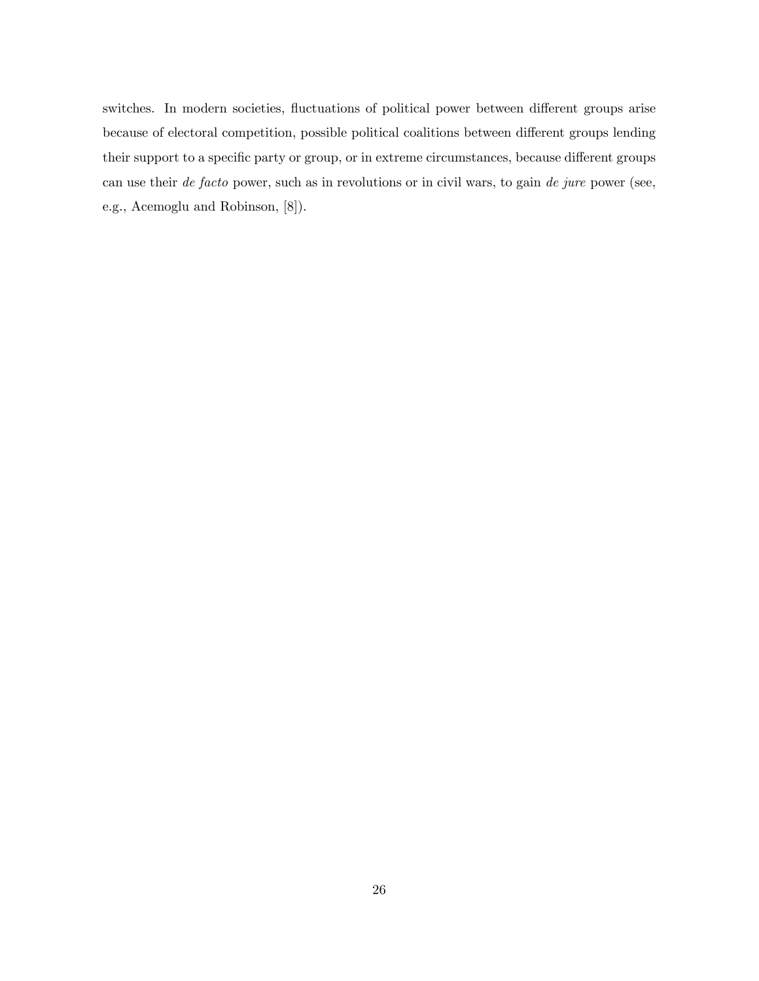switches. In modern societies, fluctuations of political power between different groups arise because of electoral competition, possible political coalitions between different groups lending their support to a specific party or group, or in extreme circumstances, because different groups can use their de facto power, such as in revolutions or in civil wars, to gain de jure power (see, e.g., Acemoglu and Robinson, [8]).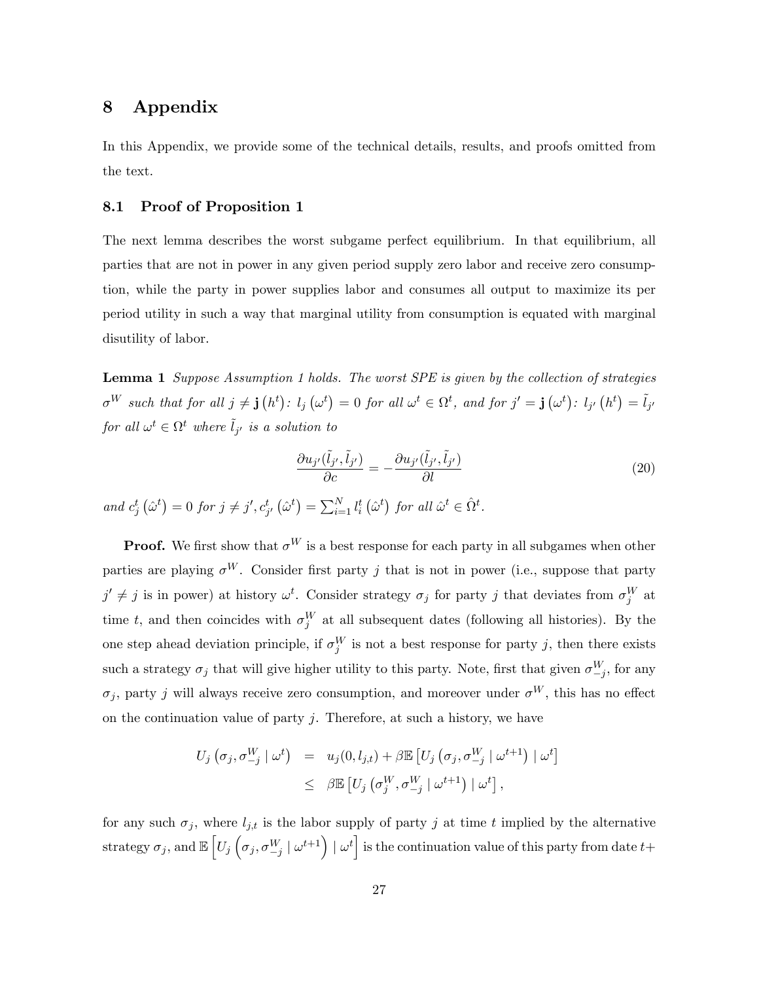# 8 Appendix

In this Appendix, we provide some of the technical details, results, and proofs omitted from the text.

### 8.1 Proof of Proposition 1

The next lemma describes the worst subgame perfect equilibrium. In that equilibrium, all parties that are not in power in any given period supply zero labor and receive zero consumption, while the party in power supplies labor and consumes all output to maximize its per period utility in such a way that marginal utility from consumption is equated with marginal disutility of labor.

Lemma 1 Suppose Assumption 1 holds. The worst SPE is given by the collection of strategies  $\sigma^W$  such that for all  $j \neq j(h^t)$ :  $l_j(\omega^t) = 0$  for all  $\omega^t \in \Omega^t$ , and for  $j' = j(\omega^t)$ :  $l_{j'}(h^t) = \tilde{l}_{j'}$ for all  $\omega^t \in \Omega^t$  where  $\tilde{l}_{j'}$  is a solution to

$$
\frac{\partial u_{j'}(\tilde{l}_{j'},\tilde{l}_{j'})}{\partial c} = -\frac{\partial u_{j'}(\tilde{l}_{j'},\tilde{l}_{j'})}{\partial l} \tag{20}
$$

and  $c_j^t(\hat{\omega}^t) = 0$  for  $j \neq j', c_{j'}^t(\hat{\omega}^t) = \sum_{i=1}^N l_i^t(\hat{\omega}^t)$  for all  $\hat{\omega}^t \in \hat{\Omega}^t$ .

**Proof.** We first show that  $\sigma^W$  is a best response for each party in all subgames when other parties are playing  $\sigma^W$ . Consider first party j that is not in power (i.e., suppose that party  $j' \neq j$  is in power) at history  $\omega^t$ . Consider strategy  $\sigma_j$  for party j that deviates from  $\sigma_j^W$  at time t, and then coincides with  $\sigma_j^W$  at all subsequent dates (following all histories). By the one step ahead deviation principle, if  $\sigma_j^W$  is not a best response for party j, then there exists such a strategy  $\sigma_j$  that will give higher utility to this party. Note, first that given  $\sigma_{-j}^W$ , for any  $\sigma_j$ , party j will always receive zero consumption, and moreover under  $\sigma^W$ , this has no effect on the continuation value of party  $j$ . Therefore, at such a history, we have

$$
U_j(\sigma_j, \sigma_{-j}^W \mid \omega^t) = u_j(0, l_{j,t}) + \beta \mathbb{E} [U_j(\sigma_j, \sigma_{-j}^W \mid \omega^{t+1}) \mid \omega^t]
$$
  

$$
\leq \beta \mathbb{E} [U_j(\sigma_j^W, \sigma_{-j}^W \mid \omega^{t+1}) \mid \omega^t],
$$

for any such  $\sigma_j$ , where  $l_{j,t}$  is the labor supply of party j at time t implied by the alternative strategy  $\sigma_j$ , and  $\mathbb{E}\left[U_j\left(\sigma_j, \sigma_{-j}^W \mid \omega^{t+1}\right) \mid \omega^t\right]$  is the continuation value of this party from date  $t+$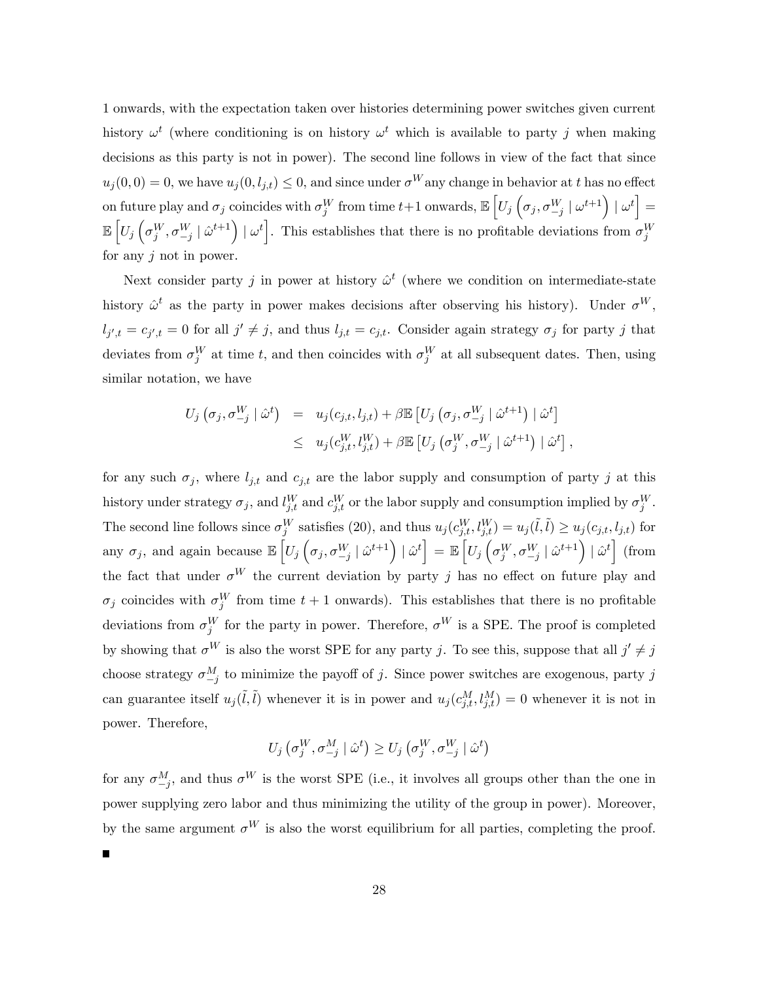1 onwards, with the expectation taken over histories determining power switches given current history  $\omega^t$  (where conditioning is on history  $\omega^t$  which is available to party j when making decisions as this party is not in power). The second line follows in view of the fact that since  $u_j(0,0) = 0$ , we have  $u_j(0, l_{j,t}) \leq 0$ , and since under  $\sigma^W$  any change in behavior at t has no effect on future play and  $\sigma_j$  coincides with  $\sigma_j^W$  from time  $t+1$  onwards,  $\mathbb{E}\left[U_j\left(\sigma_j, \sigma_{-j}^W \mid \omega^{t+1}\right) \mid \omega^t\right] =$  $\mathbb{E}\left[U_j\left(\sigma_j^W, \sigma_{-j}^W \mid \hat{\omega}^{t+1}\right) \mid \omega^t\right]$ . This establishes that there is no profitable deviations from  $\sigma_j^W$ for any  $j$  not in power.

Next consider party j in power at history  $\hat{\omega}^t$  (where we condition on intermediate-state history  $\hat{\omega}^t$  as the party in power makes decisions after observing his history). Under  $\sigma^W$ ,  $l_{j',t} = c_{j',t} = 0$  for all  $j' \neq j$ , and thus  $l_{j,t} = c_{j,t}$ . Consider again strategy  $\sigma_j$  for party j that deviates from  $\sigma_j^W$  at time t, and then coincides with  $\sigma_j^W$  at all subsequent dates. Then, using similar notation, we have

$$
U_j\left(\sigma_j, \sigma_{-j}^W \mid \hat{\omega}^t\right) = u_j(c_{j,t}, l_{j,t}) + \beta \mathbb{E}\left[U_j\left(\sigma_j, \sigma_{-j}^W \mid \hat{\omega}^{t+1}\right) \mid \hat{\omega}^t\right]
$$
  

$$
\leq u_j(c_{j,t}^W, l_{j,t}^W) + \beta \mathbb{E}\left[U_j\left(\sigma_j^W, \sigma_{-j}^W \mid \hat{\omega}^{t+1}\right) \mid \hat{\omega}^t\right],
$$

for any such  $\sigma_j$ , where  $l_{j,t}$  and  $c_{j,t}$  are the labor supply and consumption of party j at this history under strategy  $\sigma_j$ , and  $l_{j,t}^W$  and  $c_{j,t}^W$  or the labor supply and consumption implied by  $\sigma_j^W$ . The second line follows since  $\sigma_j^W$  satisfies (20), and thus  $u_j(c_{j,t}^W, l_{j,t}^W) = u_j(\tilde{l}, \tilde{l}) \ge u_j(c_{j,t}, l_{j,t})$  for any  $\sigma_j$ , and again because  $\mathbb{E}\left[U_j\left(\sigma_j, \sigma_{-j}^W \mid \hat{\omega}^{t+1}\right) \mid \hat{\omega}^t\right] = \mathbb{E}\left[U_j\left(\sigma_j^W, \sigma_{-j}^W \mid \hat{\omega}^{t+1}\right) \mid \hat{\omega}^t\right]$  (from the fact that under  $\sigma^W$  the current deviation by party j has no effect on future play and  $\sigma_j$  coincides with  $\sigma_j^W$  from time  $t+1$  onwards). This establishes that there is no profitable deviations from  $\sigma_j^W$  for the party in power. Therefore,  $\sigma^W$  is a SPE. The proof is completed by showing that  $\sigma^W$  is also the worst SPE for any party j. To see this, suppose that all  $j' \neq j$ choose strategy  $\sigma_{-j}^M$  to minimize the payoff of j. Since power switches are exogenous, party j can guarantee itself  $u_j(\tilde{l}, \tilde{l})$  whenever it is in power and  $u_j(c_{j,t}^M, l_{j,t}^M) = 0$  whenever it is not in power. Therefore,

$$
U_j\left(\sigma_j^W, \sigma_{-j}^M \mid \hat{\omega}^t\right) \ge U_j\left(\sigma_j^W, \sigma_{-j}^W \mid \hat{\omega}^t\right)
$$

for any  $\sigma_{-j}^M$ , and thus  $\sigma^W$  is the worst SPE (i.e., it involves all groups other than the one in power supplying zero labor and thus minimizing the utility of the group in power). Moreover, by the same argument  $\sigma^W$  is also the worst equilibrium for all parties, completing the proof.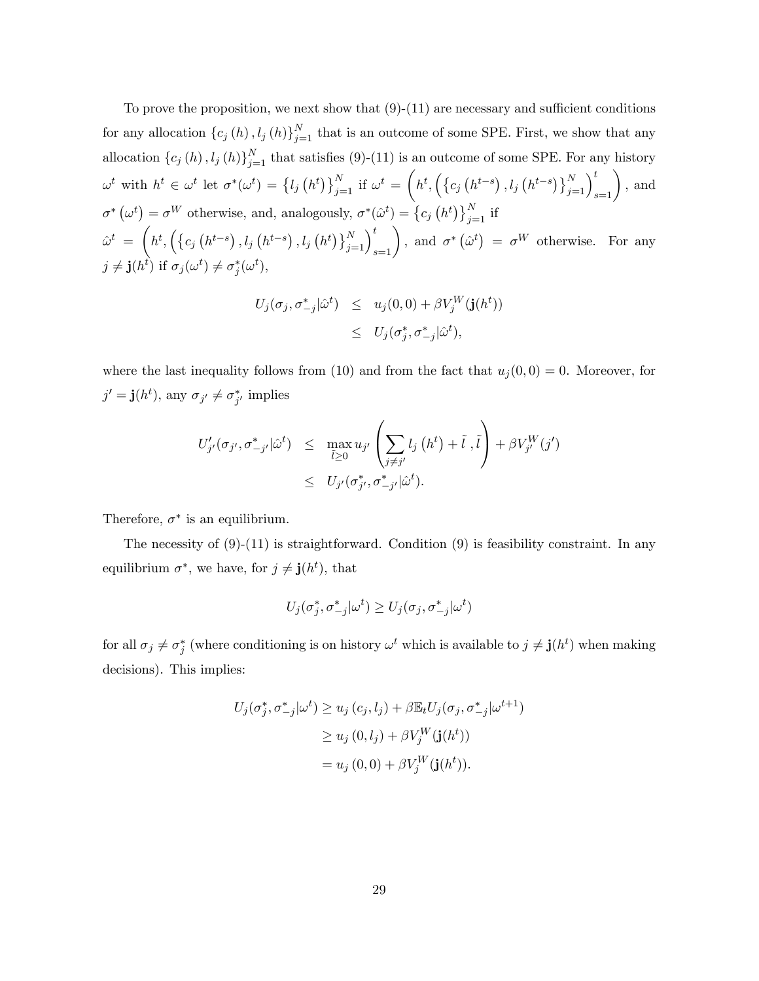To prove the proposition, we next show that  $(9)-(11)$  are necessary and sufficient conditions for any allocation  $\{c_j(h), l_j(h)\}_{j=1}^N$  that is an outcome of some SPE. First, we show that any allocation  $\{c_j(h), l_j(h)\}_{j=1}^N$  that satisfies (9)-(11) is an outcome of some SPE. For any history  $\omega^t$  with  $h^t \in \omega^t$  let  $\sigma^*(\omega^t) = \left\{l_j(h^t)\right\}_{j=1}^N$  if  $\omega^t = \left(\frac{1}{\sigma^t}\right)$  $h^t, \left( \left\{ c_j\left( h^{t-s} \right) ,l_j\left( h^{t-s} \right) \right\}_{j=1}^N \right)_{s=1}^t \right)$ , and  $\sigma^* (\omega^t) = \sigma^W$  otherwise, and, analogously,  $\sigma^* (\hat{\omega}^t) = \{c_j (h^t)\}_{j=1}^N$  if  $\hat{\omega}^t = \left( \begin{array}{c} 1 \end{array} \right)$  $h^t, \left( \left\{ c_j\left( h^{t-s} \right), l_j\left( h^{t-s} \right), l_j\left( h^{t} \right) \right\}_{j=1}^N \right)_{s=1}^t \right)$ , and  $\sigma^* \left( \hat{\omega}^t \right) = \sigma^W$  otherwise. For any  $j \neq \mathbf{j}(h^t)$  if  $\sigma_j(\omega^t) \neq \sigma_j^*(\omega^t)$ ,

$$
U_j(\sigma_j, \sigma^*_{-j}|\hat{\omega}^t) \leq u_j(0,0) + \beta V_j^W(\mathbf{j}(h^t))
$$
  

$$
\leq U_j(\sigma^*_j, \sigma^*_{-j}|\hat{\omega}^t),
$$

where the last inequality follows from (10) and from the fact that  $u_j(0,0) = 0$ . Moreover, for  $j' = \mathbf{j}(h^t)$ , any  $\sigma_{j'} \neq \sigma_{j'}^*$  implies

$$
U'_{j'}(\sigma_{j'}, \sigma^*_{-j'}|\hat{\omega}^t) \leq \max_{\tilde{l}\geq 0} u_{j'}\left(\sum_{j\neq j'} l_j(h^t) + \tilde{l}, \tilde{l}\right) + \beta V_{j'}^W(j')
$$
  

$$
\leq U_{j'}(\sigma^*_{j'}, \sigma^*_{-j'}|\hat{\omega}^t).
$$

Therefore,  $\sigma^*$  is an equilibrium.

The necessity of  $(9)-(11)$  is straightforward. Condition  $(9)$  is feasibility constraint. In any equilibrium  $\sigma^*$ , we have, for  $j \neq \mathbf{j}(h^t)$ , that

$$
U_j(\sigma_j^*,\sigma_{-j}^*|\omega^t) \ge U_j(\sigma_j,\sigma_{-j}^*|\omega^t)
$$

for all  $\sigma_j \neq \sigma_j^*$  (where conditioning is on history  $\omega^t$  which is available to  $j \neq \mathbf{j}(h^t)$  when making decisions). This implies:

$$
U_j(\sigma_j^*, \sigma_{-j}^* | \omega^t) \ge u_j(c_j, l_j) + \beta \mathbb{E}_t U_j(\sigma_j, \sigma_{-j}^* | \omega^{t+1})
$$
  
\n
$$
\ge u_j(0, l_j) + \beta V_j^W(\mathbf{j}(h^t))
$$
  
\n
$$
= u_j(0, 0) + \beta V_j^W(\mathbf{j}(h^t)).
$$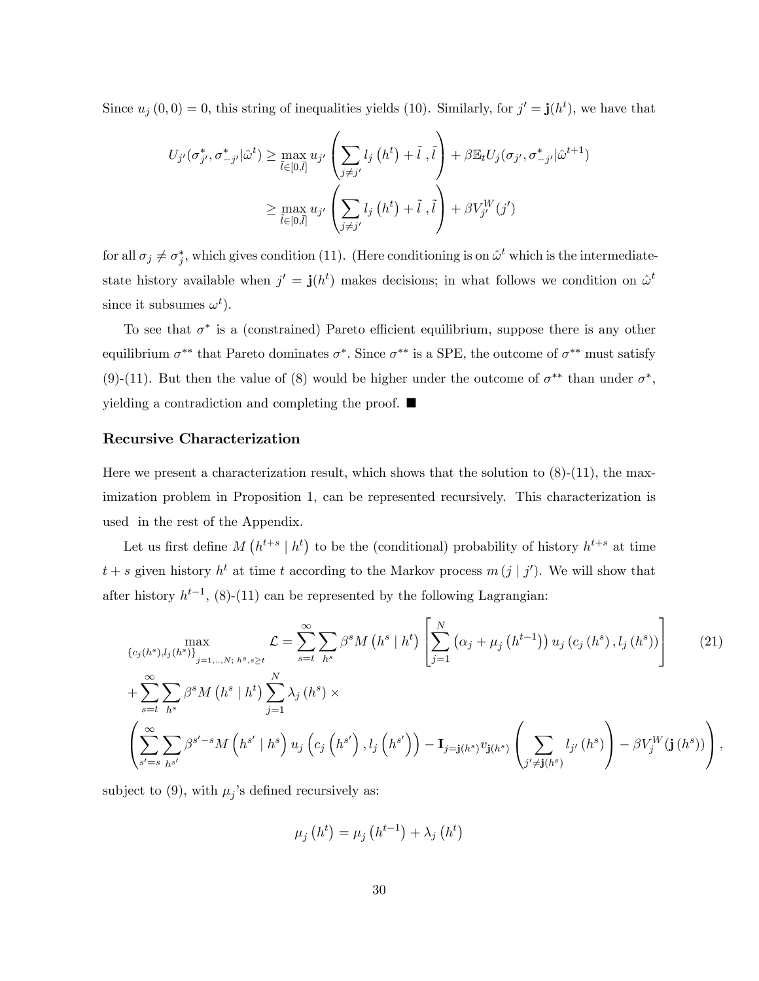Since  $u_j(0,0) = 0$ , this string of inequalities yields (10). Similarly, for  $j' = \mathbf{j}(h^t)$ , we have that

$$
U_{j'}(\sigma_{j'}^*, \sigma_{-j'}^*|\hat{\omega}^t) \ge \max_{\tilde{l} \in [0,\bar{l}]} u_{j'} \left( \sum_{j \neq j'} l_j(h^t) + \tilde{l}, \tilde{l} \right) + \beta \mathbb{E}_t U_j(\sigma_{j'}, \sigma_{-j'}^*|\hat{\omega}^{t+1})
$$
  

$$
\ge \max_{\tilde{l} \in [0,\bar{l}]} u_{j'} \left( \sum_{j \neq j'} l_j(h^t) + \tilde{l}, \tilde{l} \right) + \beta V_{j'}^W(j')
$$

for all  $\sigma_j \neq \sigma_j^*$ , which gives condition (11). (Here conditioning is on  $\hat{\omega}^t$  which is the intermediatestate history available when  $j' = \mathbf{j}(h^t)$  makes decisions; in what follows we condition on  $\hat{\omega}^t$ since it subsumes  $\omega^t$ ).

To see that  $\sigma^*$  is a (constrained) Pareto efficient equilibrium, suppose there is any other equilibrium  $\sigma^{**}$  that Pareto dominates  $\sigma^*$ . Since  $\sigma^{**}$  is a SPE, the outcome of  $\sigma^{**}$  must satisfy (9)-(11). But then the value of (8) would be higher under the outcome of  $\sigma^{**}$  than under  $\sigma^*$ , yielding a contradiction and completing the proof.  $\blacksquare$ 

#### Recursive Characterization

Here we present a characterization result, which shows that the solution to  $(8)-(11)$ , the maximization problem in Proposition 1, can be represented recursively. This characterization is used in the rest of the Appendix.

Let us first define  $M(h^{t+s} | h^t)$  to be the (conditional) probability of history  $h^{t+s}$  at time  $t + s$  given history  $h^t$  at time t according to the Markov process  $m(j | j')$ . We will show that after history  $h^{t-1}$ , (8)-(11) can be represented by the following Lagrangian:

$$
\max_{\{c_j(h^s), l_j(h^s)\}_{j=1,...,N;\;h^s,s\geq t}} \mathcal{L} = \sum_{s=t}^{\infty} \sum_{h^s} \beta^s M\left(h^s \mid h^t\right) \left[\sum_{j=1}^N \left(\alpha_j + \mu_j\left(h^{t-1}\right)\right) u_j\left(c_j\left(h^s\right), l_j\left(h^s\right)\right)\right]
$$
\n
$$
+ \sum_{s=1}^{\infty} \sum_{h^s} \beta^s M\left(h^s \mid h^t\right) \sum_{h^s} \lambda_j\left(h^s\right) \times
$$
\n(21)

$$
\left(\sum_{s'=s}^{\infty}\sum_{h^{s'}}\beta^{s'-s}M\left(h^{s'}\mid h^{s}\right)u_j\left(c_j\left(h^{s'}\right),l_j\left(h^{s'}\right)\right)-\mathbf{I}_{j=\mathbf{j}(h^{s})}v_{\mathbf{j}(h^{s})}\left(\sum_{j'\neq\mathbf{j}(h^{s})}l_{j'}\left(h^{s}\right)\right)-\beta V_j^W(\mathbf{j}(h^{s}))\right),
$$

subject to (9), with  $\mu_j$ 's defined recursively as:

$$
\mu_j\left(h^t\right) = \mu_j\left(h^{t-1}\right) + \lambda_j\left(h^t\right)
$$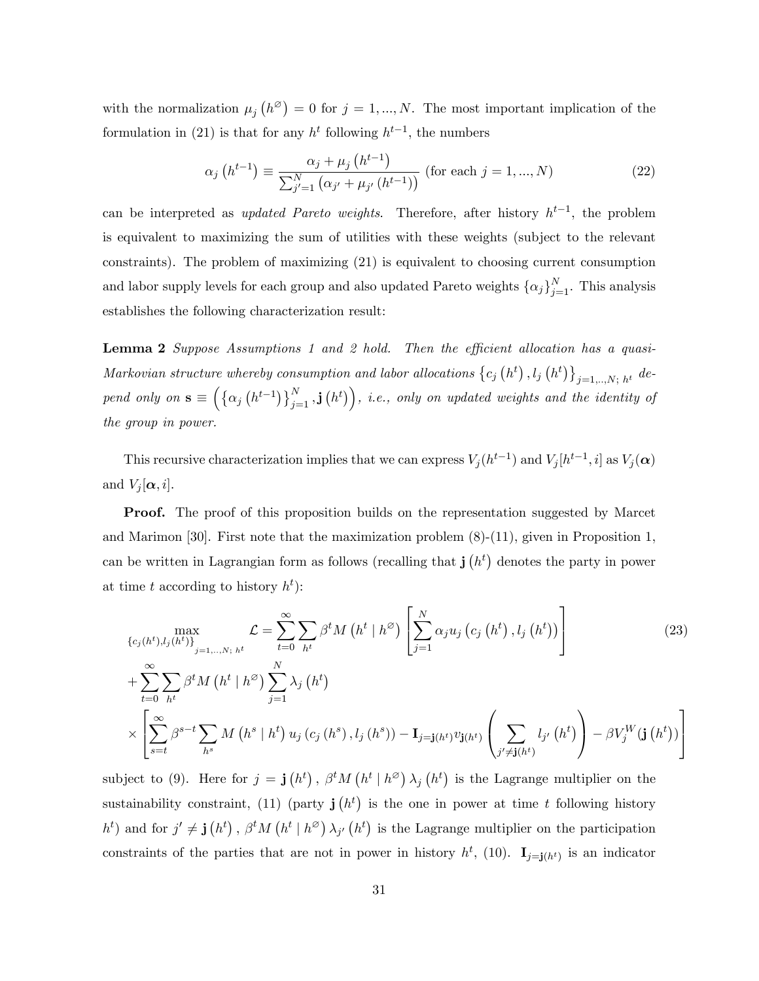with the normalization  $\mu_j(h^{\emptyset}) = 0$  for  $j = 1, ..., N$ . The most important implication of the formulation in (21) is that for any  $h<sup>t</sup>$  following  $h<sup>t-1</sup>$ , the numbers

$$
\alpha_j \left( h^{t-1} \right) \equiv \frac{\alpha_j + \mu_j \left( h^{t-1} \right)}{\sum_{j'=1}^N \left( \alpha_{j'} + \mu_{j'} \left( h^{t-1} \right) \right)} \text{ (for each } j = 1, ..., N \text{)}
$$
 (22)

can be interpreted as *updated Pareto weights*. Therefore, after history  $h^{t-1}$ , the problem is equivalent to maximizing the sum of utilities with these weights (subject to the relevant constraints). The problem of maximizing (21) is equivalent to choosing current consumption and labor supply levels for each group and also updated Pareto weights  $\{\alpha_j\}_{j=1}^N$ . This analysis establishes the following characterization result:

**Lemma 2** Suppose Assumptions 1 and 2 hold. Then the efficient allocation has a quasi-Markovian structure whereby consumption and labor allocations  $\{c_j(h^t), l_j(h^t)\}_{j=1,..,N;\;h^t}$  depend only on  $\mathbf{s} \equiv \left( \left\{ \alpha_j \left( h^{t-1} \right) \right\}_{j=1}^N, \mathbf{j} \left( h^{t} \right) \right)$ , i.e., only on updated weights and the identity of the group in power.

This recursive characterization implies that we can express  $V_j(h^{t-1})$  and  $V_j[h^{t-1}, i]$  as  $V_j(\alpha)$ and  $V_i[\boldsymbol{\alpha}, i]$ .

Proof. The proof of this proposition builds on the representation suggested by Marcet and Marimon [30]. First note that the maximization problem  $(8)-(11)$ , given in Proposition 1, can be written in Lagrangian form as follows (recalling that  $j(h^t)$  denotes the party in power at time t according to history  $h^t$ ):

$$
\max_{\{c_j(h^t), l_j(h^t)\}_{j=1,\ldots,N;\;h^t}} \mathcal{L} = \sum_{t=0}^{\infty} \sum_{h^t} \beta^t M\left(h^t \mid h^{\emptyset}\right) \left[\sum_{j=1}^N \alpha_j u_j\left(c_j\left(h^t\right), l_j\left(h^t\right)\right)\right]
$$
\n
$$
+ \sum_{t=0}^{\infty} \sum_{h^t} \beta^t M\left(h^t \mid h^{\emptyset}\right) \sum_{j=1}^N \lambda_j\left(h^t\right)
$$
\n
$$
\times \left[\sum_{s=t}^{\infty} \beta^{s-t} \sum_{h^s} M\left(h^s \mid h^t\right) u_j\left(c_j\left(h^s\right), l_j\left(h^s\right)\right) - \mathbf{I}_{j=j(h^t)} v_{j(h^t)}\left(\sum_{j'\neq j(h^t)} l_{j'}\left(h^t\right)\right) - \beta V_j^W(\mathbf{j}\left(h^t\right))\right]
$$
\n(23)

subject to (9). Here for  $j = \mathbf{j}(h^t)$ ,  $\beta^t M(h^t | h^\varnothing) \lambda_j(h^t)$  is the Lagrange multiplier on the sustainability constraint, (11) (party  $\mathbf{j}(h^t)$  is the one in power at time t following history  $h^t$ ) and for  $j' \neq \mathbf{j}(h^t), \beta^t M(h^t | h^{\emptyset}) \lambda_{j'}(h^t)$  is the Lagrange multiplier on the participation constraints of the parties that are not in power in history  $h^t$ , (10).  $\mathbf{I}_{j=j(h^t)}$  is an indicator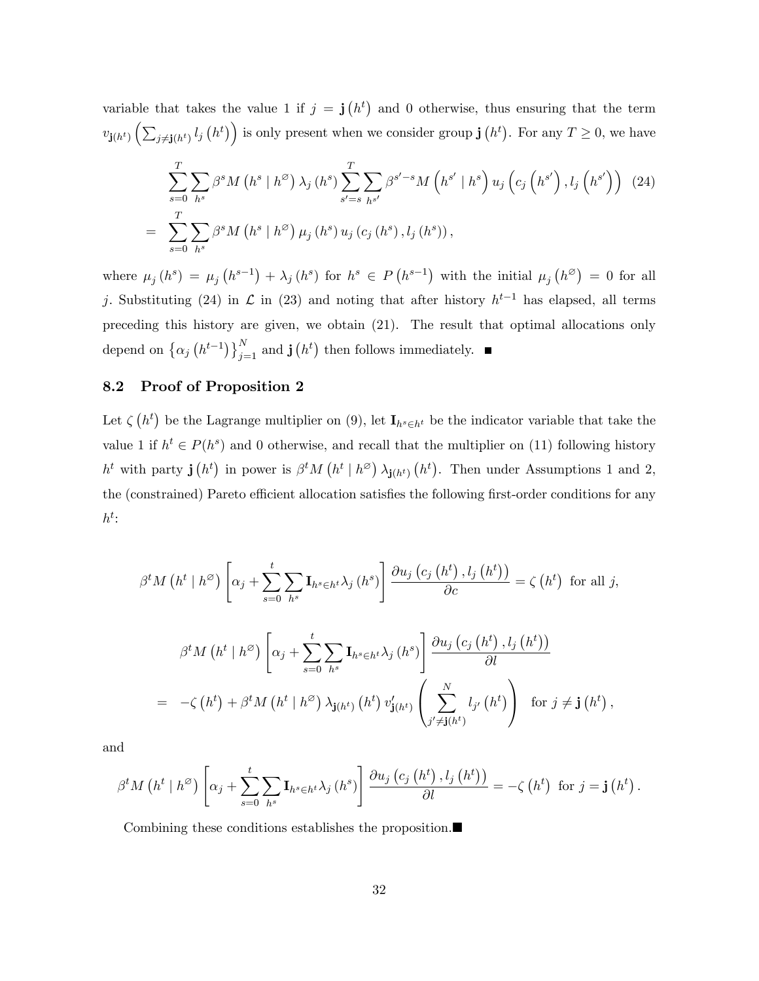variable that takes the value 1 if  $j = j(h^t)$  and 0 otherwise, thus ensuring that the term  $v_{\mathbf{j}(h^t)}\left(\sum_{j\neq\mathbf{j}(h^t)}l_j\left(h^t\right)\right)$  is only present when we consider group  $\mathbf{j}(h^t)$ . For any  $T\geq 0$ , we have

$$
\sum_{s=0}^{T} \sum_{h^s} \beta^s M\left(h^s \mid h^{\varnothing}\right) \lambda_j\left(h^s\right) \sum_{s'=s}^{T} \sum_{h^{s'}} \beta^{s'-s} M\left(h^{s'} \mid h^s\right) u_j\left(c_j\left(h^{s'}\right), l_j\left(h^{s'}\right)\right) (24)
$$

$$
= \sum_{s=0}^{T} \sum_{h^s} \beta^s M\left(h^s \mid h^{\varnothing}\right) \mu_j\left(h^s\right) u_j\left(c_j\left(h^s\right), l_j\left(h^s\right)\right),
$$

where  $\mu_j(h^s) = \mu_j(h^{s-1}) + \lambda_j(h^s)$  for  $h^s \in P(h^{s-1})$  with the initial  $\mu_j(h^{\varnothing}) = 0$  for all j. Substituting (24) in  $\mathcal L$  in (23) and noting that after history  $h^{t-1}$  has elapsed, all terms preceding this history are given, we obtain (21). The result that optimal allocations only depend on  $\{\alpha_j(h^{t-1})\}_{j=1}^N$  and  $\mathbf{j}(h^t)$  then follows immediately.

### 8.2 Proof of Proposition 2

Let  $\zeta(h^t)$  be the Lagrange multiplier on (9), let  $\mathbf{I}_{h^s \in h^t}$  be the indicator variable that take the value 1 if  $h^t \in P(h^s)$  and 0 otherwise, and recall that the multiplier on (11) following history  $h^t$  with party  $\mathbf{j}(h^t)$  in power is  $\beta^t M(h^t | h^{\varnothing}) \lambda_{\mathbf{j}(h^t)}(h^t)$ . Then under Assumptions 1 and 2, the (constrained) Pareto efficient allocation satisfies the following first-order conditions for any  $h^t$ :

$$
\beta^{t} M\left(h^{t} \mid h^{\varnothing}\right) \left[\alpha_{j} + \sum_{s=0}^{t} \sum_{h^{s}} \mathbf{I}_{h^{s} \in h^{t}} \lambda_{j}\left(h^{s}\right)\right] \frac{\partial u_{j}\left(c_{j}\left(h^{t}\right), l_{j}\left(h^{t}\right)\right)}{\partial c} = \zeta\left(h^{t}\right) \text{ for all } j,
$$
\n
$$
\beta^{t} M\left(h^{t} \mid h^{\varnothing}\right) \left[\alpha_{j} + \sum_{s=0}^{t} \sum_{h^{s}} \mathbf{I}_{h^{s} \in h^{t}} \lambda_{j}\left(h^{s}\right)\right] \frac{\partial u_{j}\left(c_{j}\left(h^{t}\right), l_{j}\left(h^{t}\right)\right)}{\partial l}
$$
\n
$$
= -\zeta\left(h^{t}\right) + \beta^{t} M\left(h^{t} \mid h^{\varnothing}\right) \lambda_{j\left(h^{t}\right)}\left(h^{t}\right) v'_{j\left(h^{t}\right)}\left(\sum_{j'\neq j\left(h^{t}\right)}^{N} l_{j'}\left(h^{t}\right)\right) \text{ for } j \neq j\left(h^{t}\right),
$$

and

$$
\beta^{t} M\left(h^{t} \mid h^{\varnothing}\right) \left[\alpha_{j} + \sum_{s=0}^{t} \sum_{h^{s}} \mathbf{I}_{h^{s} \in h^{t}} \lambda_{j}\left(h^{s}\right)\right] \frac{\partial u_{j}\left(c_{j}\left(h^{t}\right), l_{j}\left(h^{t}\right)\right)}{\partial l} = -\zeta\left(h^{t}\right) \text{ for } j = \mathbf{j}\left(h^{t}\right).
$$

Combining these conditions establishes the proposition.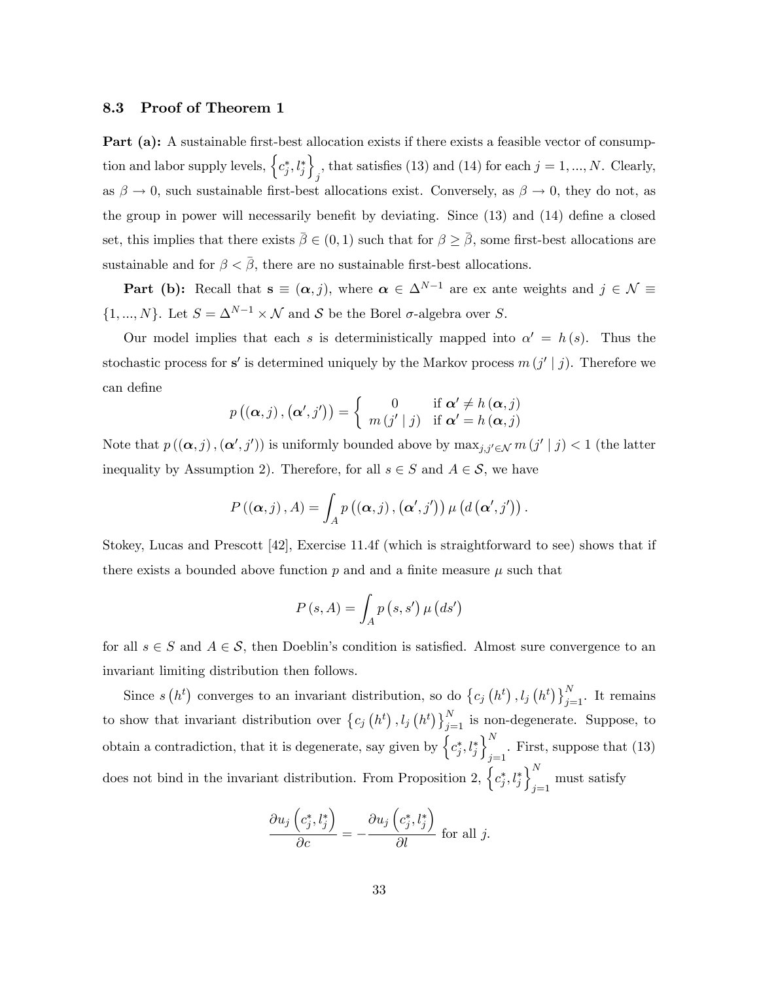#### 8.3 Proof of Theorem 1

Part (a): A sustainable first-best allocation exists if there exists a feasible vector of consumption and labor supply levels,  $\left\{c_j^*, l_j^*\right\}$  $\mathcal{L}$ , that satisfies (13) and (14) for each  $j = 1, ..., N$ . Clearly, as  $\beta \to 0$ , such sustainable first-best allocations exist. Conversely, as  $\beta \to 0$ , they do not, as the group in power will necessarily benefit by deviating. Since  $(13)$  and  $(14)$  define a closed set, this implies that there exists  $\bar{\beta} \in (0,1)$  such that for  $\beta \geq \bar{\beta}$ , some first-best allocations are sustainable and for  $\beta < \overline{\beta}$ , there are no sustainable first-best allocations.

**Part (b):** Recall that  $\mathbf{s} \equiv (\alpha, j)$ , where  $\alpha \in \Delta^{N-1}$  are ex ante weights and  $j \in \mathcal{N} \equiv$  $\{1, ..., N\}$ . Let  $S = \Delta^{N-1} \times \mathcal{N}$  and S be the Borel  $\sigma$ -algebra over S.

Our model implies that each s is deterministically mapped into  $\alpha' = h(s)$ . Thus the stochastic process for  $s'$  is determined uniquely by the Markov process  $m(j' | j)$ . Therefore we can define

$$
p((\boldsymbol{\alpha},j),(\boldsymbol{\alpha}',j')) = \begin{cases} 0 & \text{if } \boldsymbol{\alpha}' \neq h(\boldsymbol{\alpha},j) \\ m(j' \mid j) & \text{if } \boldsymbol{\alpha}' = h(\boldsymbol{\alpha},j) \end{cases}
$$

Note that  $p((\alpha, j), (\alpha', j'))$  is uniformly bounded above by  $\max_{j, j' \in \mathcal{N}} m(j' | j) < 1$  (the latter inequality by Assumption 2). Therefore, for all  $s \in S$  and  $A \in S$ , we have

$$
P((\boldsymbol{\alpha},j),A)=\int_A p(\left(\boldsymbol{\alpha},j\right),\left(\boldsymbol{\alpha}',j'\right))\,\mu\left(d\left(\boldsymbol{\alpha}',j'\right)\right).
$$

Stokey, Lucas and Prescott [42], Exercise 11.4f (which is straightforward to see) shows that if there exists a bounded above function  $p$  and and a finite measure  $\mu$  such that

$$
P(s, A) = \int_{A} p(s, s') \mu(ds')
$$

for all  $s \in S$  and  $A \in \mathcal{S}$ , then Doeblin's condition is satisfied. Almost sure convergence to an invariant limiting distribution then follows.

Since  $s(h^t)$  converges to an invariant distribution, so do  $\{c_j(h^t), l_j(h^t)\}_{j=1}^N$ . It remains to show that invariant distribution over  $\{c_j(h^t), l_j(h^t)\}_{j=1}^N$  is non-degenerate. Suppose, to obtain a contradiction, that it is degenerate, say given by  $\left\{c_j^*, l_j^*\right\}$  $\mathcal{N}$  $_{j=1}$ . First, suppose that (13) does not bind in the invariant distribution. From Proposition 2,  $\left\{c_j^*, l_j^*\right\}$  $\mathcal{N}$  $j=1$  must satisfy

$$
\frac{\partial u_j\left(c_j^*, l_j^*\right)}{\partial c} = -\frac{\partial u_j\left(c_j^*, l_j^*\right)}{\partial l} \text{ for all } j.
$$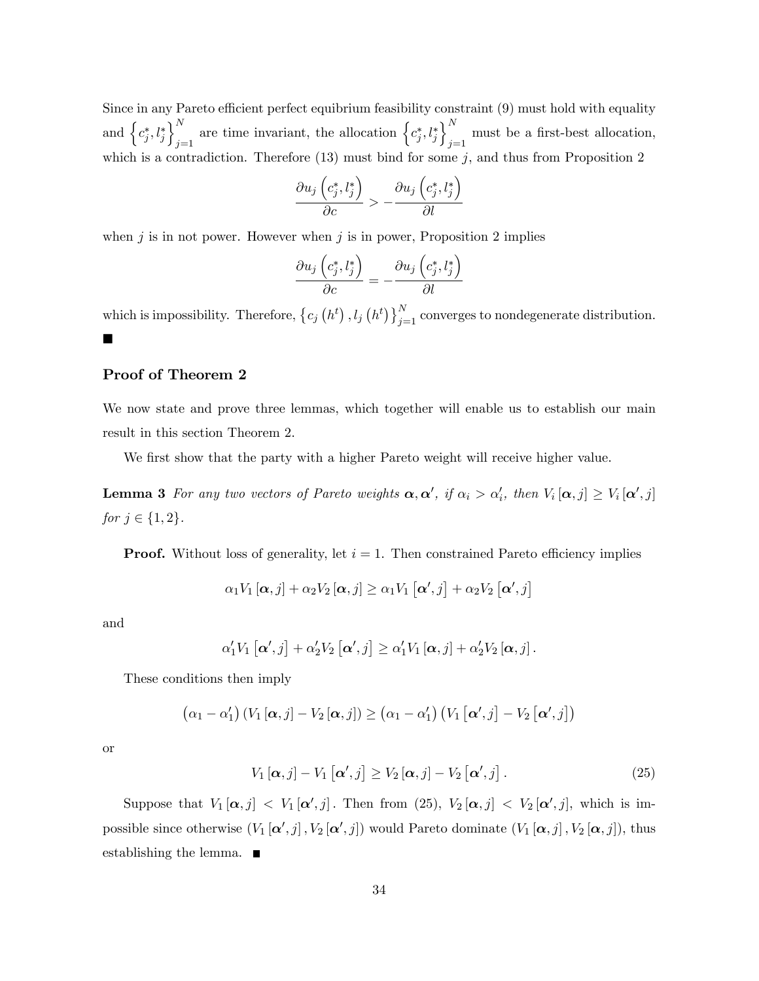Since in any Pareto efficient perfect equibrium feasibility constraint (9) must hold with equality and  $\left\{c_j^*, l_j^*\right\}$  $\mathcal{N}$  $\sum_{j=1}^{N}$  are time invariant, the allocation  $\left\{c_j^*, l_j^*\right\}$  $\mathcal{N}$ must be a first-best allocation,  $j=1$ which is a contradiction. Therefore  $(13)$  must bind for some j, and thus from Proposition 2

$$
\frac{\partial u_j\left(c_j^*, l_j^*\right)}{\partial c} > -\frac{\partial u_j\left(c_j^*, l_j^*\right)}{\partial l}
$$

when  $j$  is in not power. However when  $j$  is in power, Proposition 2 implies

$$
\frac{\partial u_j\left(c_j^*,l_j^*\right)}{\partial c}=-\frac{\partial u_j\left(c_j^*,l_j^*\right)}{\partial l}
$$

which is impossibility. Therefore,  $\{c_j(h^t), l_j(h^t)\}_{j=1}^N$  converges to nondegenerate distribution.  $\blacksquare$ 

### Proof of Theorem 2

We now state and prove three lemmas, which together will enable us to establish our main result in this section Theorem 2.

We first show that the party with a higher Pareto weight will receive higher value.

**Lemma 3** For any two vectors of Pareto weights  $\alpha, \alpha'$ , if  $\alpha_i > \alpha'_i$ , then  $V_i[\alpha, j] \ge V_i[\alpha', j]$ *for*  $j \in \{1, 2\}$ .

**Proof.** Without loss of generality, let  $i = 1$ . Then constrained Pareto efficiency implies

$$
\alpha_1 V_1\left[\boldsymbol{\alpha},j\right] + \alpha_2 V_2\left[\boldsymbol{\alpha},j\right] \geq \alpha_1 V_1\left[\boldsymbol{\alpha}',j\right] + \alpha_2 V_2\left[\boldsymbol{\alpha}',j\right]
$$

and

$$
\alpha_1' V_1\left[\boldsymbol{\alpha}',j\right] + \alpha_2' V_2\left[\boldsymbol{\alpha}',j\right] \geq \alpha_1' V_1\left[\boldsymbol{\alpha},j\right] + \alpha_2' V_2\left[\boldsymbol{\alpha},j\right].
$$

These conditions then imply

$$
(\alpha_1 - \alpha'_1) (V_1[\boldsymbol{\alpha},j] - V_2[\boldsymbol{\alpha},j]) \geq (\alpha_1 - \alpha'_1) (V_1[\boldsymbol{\alpha}',j] - V_2[\boldsymbol{\alpha}',j])
$$

or

$$
V_1\left[\boldsymbol{\alpha},j\right]-V_1\left[\boldsymbol{\alpha}',j\right] \ge V_2\left[\boldsymbol{\alpha},j\right]-V_2\left[\boldsymbol{\alpha}',j\right]. \tag{25}
$$

Suppose that  $V_1[\alpha, j] < V_1[\alpha', j]$ . Then from (25),  $V_2[\alpha, j] < V_2[\alpha', j]$ , which is impossible since otherwise  $(V_1[\alpha', j], V_2[\alpha', j])$  would Pareto dominate  $(V_1[\alpha, j], V_2[\alpha, j])$ , thus establishing the lemma.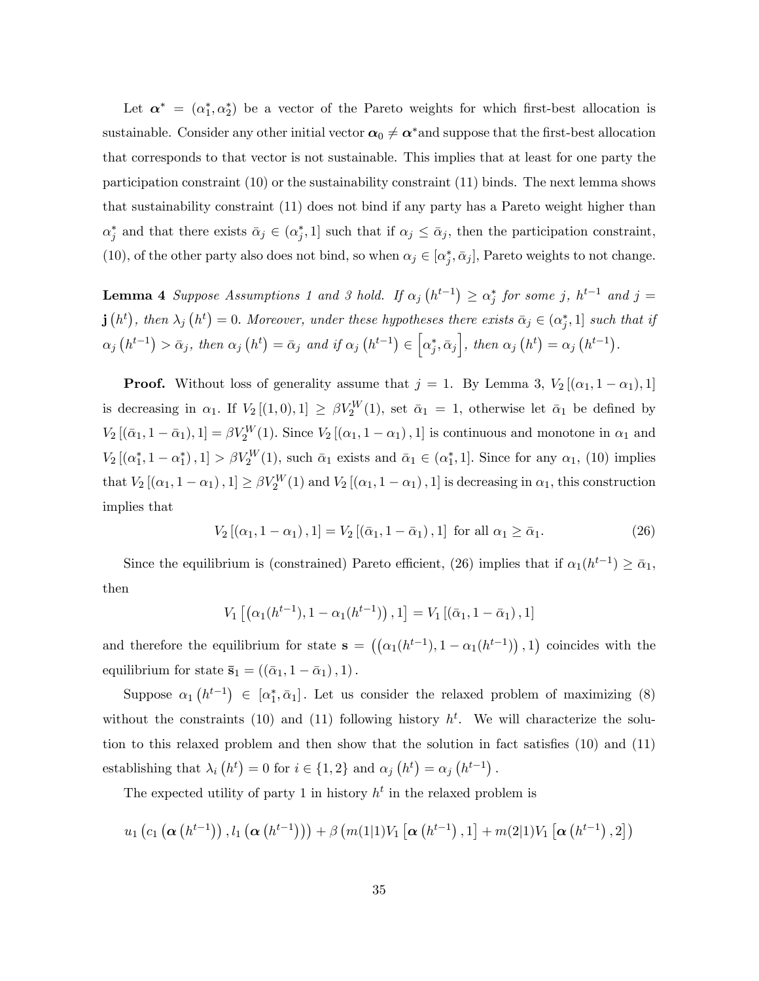Let  $\alpha^* = (\alpha_1^*, \alpha_2^*)$  be a vector of the Pareto weights for which first-best allocation is sustainable. Consider any other initial vector  $\alpha_0 \neq \alpha^*$  and suppose that the first-best allocation that corresponds to that vector is not sustainable. This implies that at least for one party the participation constraint (10) or the sustainability constraint (11) binds. The next lemma shows that sustainability constraint (11) does not bind if any party has a Pareto weight higher than  $\alpha_j^*$  and that there exists  $\bar{\alpha}_j \in (\alpha_j^*, 1]$  such that if  $\alpha_j \leq \bar{\alpha}_j$ , then the participation constraint, (10), of the other party also does not bind, so when  $\alpha_j \in [\alpha_j^*, \bar{\alpha}_j]$ , Pareto weights to not change.

**Lemma 4** Suppose Assumptions 1 and 3 hold. If  $\alpha_j(h^{t-1}) \geq \alpha_j^*$  for some j,  $h^{t-1}$  and  $j =$  $\mathbf{j}(h^t)$ , then  $\lambda_j(h^t) = 0$ . Moreover, under these hypotheses there exists  $\bar{\alpha}_j \in (\alpha_j^*, 1]$  such that if  $\alpha_j(h^{t-1}) > \bar{\alpha}_j$ , then  $\alpha_j(h^t) = \bar{\alpha}_j$  and if  $\alpha_j(h^{t-1}) \in$  $\left[\alpha_j^*, \bar{\alpha}_j\right]$ , then  $\alpha_j(h^t) = \alpha_j(h^{t-1})$ .

**Proof.** Without loss of generality assume that  $j = 1$ . By Lemma 3,  $V_2[(\alpha_1, 1 - \alpha_1), 1]$ is decreasing in  $\alpha_1$ . If  $V_2$  [(1,0), 1]  $\geq \beta V_2^W(1)$ , set  $\bar{\alpha}_1 = 1$ , otherwise let  $\bar{\alpha}_1$  be defined by  $V_2[(\bar{\alpha}_1, 1 - \bar{\alpha}_1), 1] = \beta V_2^W(1)$ . Since  $V_2[(\alpha_1, 1 - \alpha_1), 1]$  is continuous and monotone in  $\alpha_1$  and  $V_2[(\alpha_1^*, 1 - \alpha_1^*), 1] > \beta V_2^W(1)$ , such  $\bar{\alpha}_1$  exists and  $\bar{\alpha}_1 \in (\alpha_1^*, 1]$ . Since for any  $\alpha_1$ , (10) implies that  $V_2[(\alpha_1, 1 - \alpha_1), 1] \ge \beta V_2^W(1)$  and  $V_2[(\alpha_1, 1 - \alpha_1), 1]$  is decreasing in  $\alpha_1$ , this construction implies that

$$
V_2[(\alpha_1, 1 - \alpha_1), 1] = V_2[(\bar{\alpha}_1, 1 - \bar{\alpha}_1), 1] \text{ for all } \alpha_1 \ge \bar{\alpha}_1. \tag{26}
$$

Since the equilibrium is (constrained) Pareto efficient, (26) implies that if  $\alpha_1(h^{t-1}) \ge \bar{\alpha}_1$ , then

$$
V_1\left[\left(\alpha_1(h^{t-1}), 1-\alpha_1(h^{t-1})\right), 1\right] = V_1\left[\left(\bar{\alpha}_1, 1-\bar{\alpha}_1\right), 1\right]
$$

and therefore the equilibrium for state  $s = ((\alpha_1(h^{t-1}), 1 - \alpha_1(h^{t-1})), 1)$  coincides with the equilibrium for state  $\bar{\mathbf{s}}_1 = ((\bar{\alpha}_1, 1 - \bar{\alpha}_1), 1).$ 

Suppose  $\alpha_1(h^{t-1}) \in [\alpha_1^*, \bar{\alpha}_1]$ . Let us consider the relaxed problem of maximizing (8) without the constraints (10) and (11) following history  $h^t$ . We will characterize the solution to this relaxed problem and then show that the solution in fact satisfies  $(10)$  and  $(11)$ establishing that  $\lambda_i(h^t) = 0$  for  $i \in \{1, 2\}$  and  $\alpha_j(h^t) = \alpha_j(h^{t-1})$ .

The expected utility of party 1 in history  $h^t$  in the relaxed problem is

$$
u_1\left(c_1\left(\alpha\left(h^{t-1}\right)\right), l_1\left(\alpha\left(h^{t-1}\right)\right)\right) + \beta\left(m(1|1)V_1\left[\alpha\left(h^{t-1}\right), 1\right] + m(2|1)V_1\left[\alpha\left(h^{t-1}\right), 2\right]\right)
$$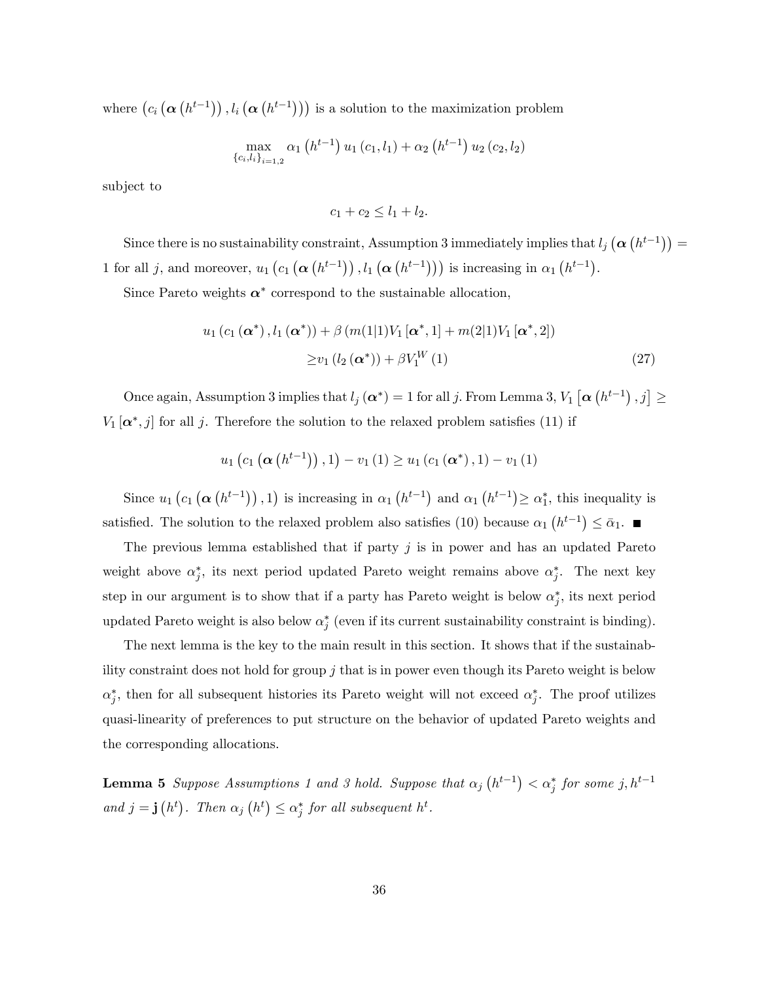where  $(c_i (\alpha(h^{t-1})), l_i (\alpha(h^{t-1})))$  is a solution to the maximization problem

$$
\max_{\{c_i, l_i\}_{i=1,2}} \alpha_1 \left(h^{t-1}\right) u_1(c_1, l_1) + \alpha_2 \left(h^{t-1}\right) u_2(c_2, l_2)
$$

subject to

$$
c_1 + c_2 \le l_1 + l_2.
$$

Since there is no sustainability constraint, Assumption 3 immediately implies that  $l_j(\alpha(h^{t-1})) =$ 1 for all j, and moreover,  $u_1(c_1 (\alpha (h^{t-1})), l_1 (\alpha (h^{t-1})))$  is increasing in  $\alpha_1 (h^{t-1})$ .

Since Pareto weights  $\alpha^*$  correspond to the sustainable allocation,

$$
u_1 (c_1 (\alpha^*), l_1 (\alpha^*)) + \beta (m(1|1)V_1 [\alpha^*, 1] + m(2|1)V_1 [\alpha^*, 2])
$$
  
 
$$
\geq v_1 (l_2 (\alpha^*)) + \beta V_1^W (1)
$$
 (27)

Once again, Assumption 3 implies that  $l_j(\boldsymbol{\alpha}^*) = 1$  for all j. From Lemma 3,  $V_1\left[\boldsymbol{\alpha}\left(h^{t-1}\right), j\right] \geq$  $V_1[\boldsymbol{\alpha}^*,j]$  for all j. Therefore the solution to the relaxed problem satisfies (11) if

$$
u_1\left(c_1\left(\alpha\left(h^{t-1}\right)\right),1\right)-v_1\left(1\right)\geq u_1\left(c_1\left(\alpha^*\right),1\right)-v_1\left(1\right)
$$

Since  $u_1(c_1(\alpha(h^{t-1}))$ , 1) is increasing in  $\alpha_1(h^{t-1})$  and  $\alpha_1(h^{t-1}) \ge \alpha_1^*$ , this inequality is satisfied. The solution to the relaxed problem also satisfies (10) because  $\alpha_1(h^{t-1}) \leq \bar{\alpha}_1$ .

The previous lemma established that if party j is in power and has an updated Pareto weight above  $\alpha_j^*$ , its next period updated Pareto weight remains above  $\alpha_j^*$ . The next key step in our argument is to show that if a party has Pareto weight is below  $\alpha_j^*$ , its next period updated Pareto weight is also below  $\alpha_j^*$  (even if its current sustainability constraint is binding).

The next lemma is the key to the main result in this section. It shows that if the sustainability constraint does not hold for group  $j$  that is in power even though its Pareto weight is below  $\alpha_j^*$ , then for all subsequent histories its Pareto weight will not exceed  $\alpha_j^*$ . The proof utilizes quasi-linearity of preferences to put structure on the behavior of updated Pareto weights and the corresponding allocations.

**Lemma 5** Suppose Assumptions 1 and 3 hold. Suppose that  $\alpha_j(h^{t-1}) < \alpha_j^*$  for some j,  $h^{t-1}$ and  $j = \mathbf{j}(h^t)$ . Then  $\alpha_j(h^t) \leq \alpha_j^*$  for all subsequent  $h^t$ .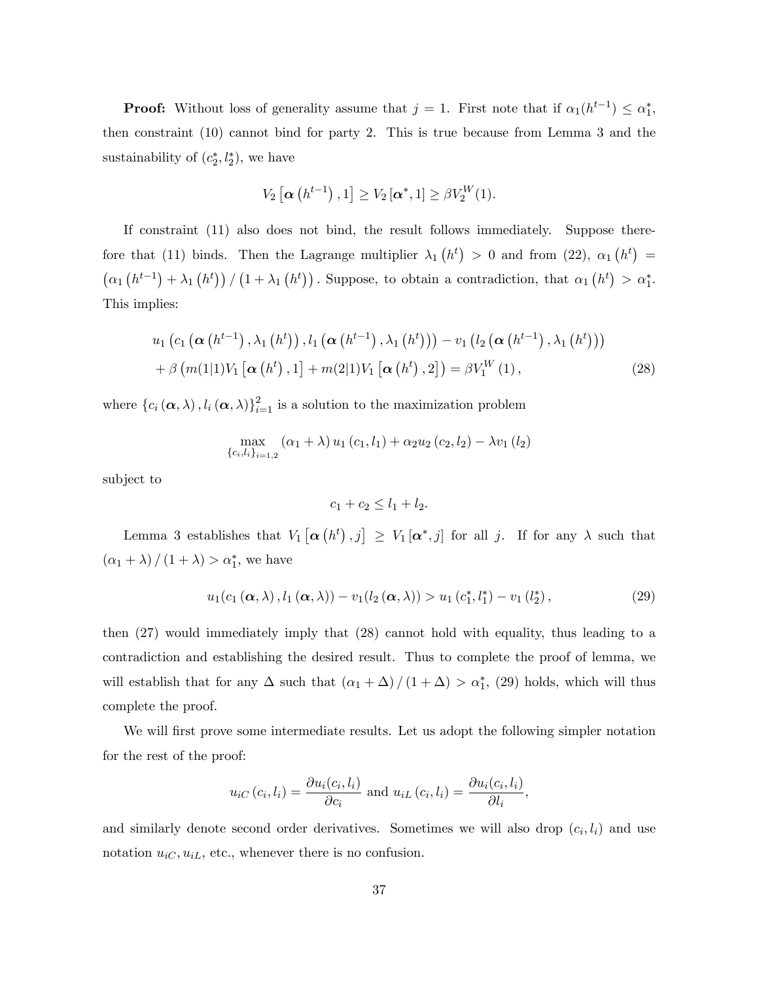**Proof:** Without loss of generality assume that  $j = 1$ . First note that if  $\alpha_1(h^{t-1}) \leq \alpha_1^*$ , then constraint (10) cannot bind for party 2. This is true because from Lemma 3 and the sustainability of  $(c_2^*, l_2^*)$ , we have

$$
V_2\left[\boldsymbol{\alpha}\left(h^{t-1}\right),1\right] \geq V_2\left[\boldsymbol{\alpha}^*,1\right] \geq \beta V_2^W(1).
$$

If constraint (11) also does not bind, the result follows immediately. Suppose therefore that (11) binds. Then the Lagrange multiplier  $\lambda_1(h^t) > 0$  and from (22),  $\alpha_1(h^t) =$  $(\alpha_1(h^{t-1}) + \lambda_1(h^t)) / (1 + \lambda_1(h^t))$ . Suppose, to obtain a contradiction, that  $\alpha_1(h^t) > \alpha_1^*$ . This implies:

$$
u_{1}(c_{1} (\alpha (h^{t-1}), \lambda_{1} (h^{t})), l_{1} (\alpha (h^{t-1}), \lambda_{1} (h^{t}))) - v_{1} (l_{2} (\alpha (h^{t-1}), \lambda_{1} (h^{t}))) + \beta (m(1|1)V_{1} [\alpha (h^{t}), 1] + m(2|1)V_{1} [\alpha (h^{t}), 2]) = \beta V_{1}^{W}(1),
$$
\n(28)

where  $\{c_i(\boldsymbol{\alpha}, \lambda), l_i(\boldsymbol{\alpha}, \lambda)\}_{i=1}^2$  is a solution to the maximization problem

$$
\max_{\{c_i, l_i\}_{i=1,2}} (\alpha_1 + \lambda) u_1(c_1, l_1) + \alpha_2 u_2(c_2, l_2) - \lambda v_1(l_2)
$$

subject to

$$
c_1 + c_2 \le l_1 + l_2.
$$

Lemma 3 establishes that  $V_1\left[\alpha\left(h^t\right),j\right] \geq V_1\left[\alpha^*,j\right]$  for all j. If for any  $\lambda$  such that  $(\alpha_1 + \lambda) / (1 + \lambda) > \alpha_1^*$ , we have

$$
u_1(c_1(\alpha,\lambda),l_1(\alpha,\lambda)) - v_1(l_2(\alpha,\lambda)) > u_1(c_1^*,l_1^*) - v_1(l_2^*),
$$
\n(29)

then (27) would immediately imply that (28) cannot hold with equality, thus leading to a contradiction and establishing the desired result. Thus to complete the proof of lemma, we will establish that for any  $\Delta$  such that  $(\alpha_1 + \Delta) / (1 + \Delta) > \alpha_1^*$ , (29) holds, which will thus complete the proof.

We will first prove some intermediate results. Let us adopt the following simpler notation for the rest of the proof:

$$
u_{iC}(c_i, l_i) = \frac{\partial u_i(c_i, l_i)}{\partial c_i} \text{ and } u_{iL}(c_i, l_i) = \frac{\partial u_i(c_i, l_i)}{\partial l_i},
$$

and similarly denote second order derivatives. Sometimes we will also drop  $(c_i, l_i)$  and use notation  $u_{iC}, u_{iL}$ , etc., whenever there is no confusion.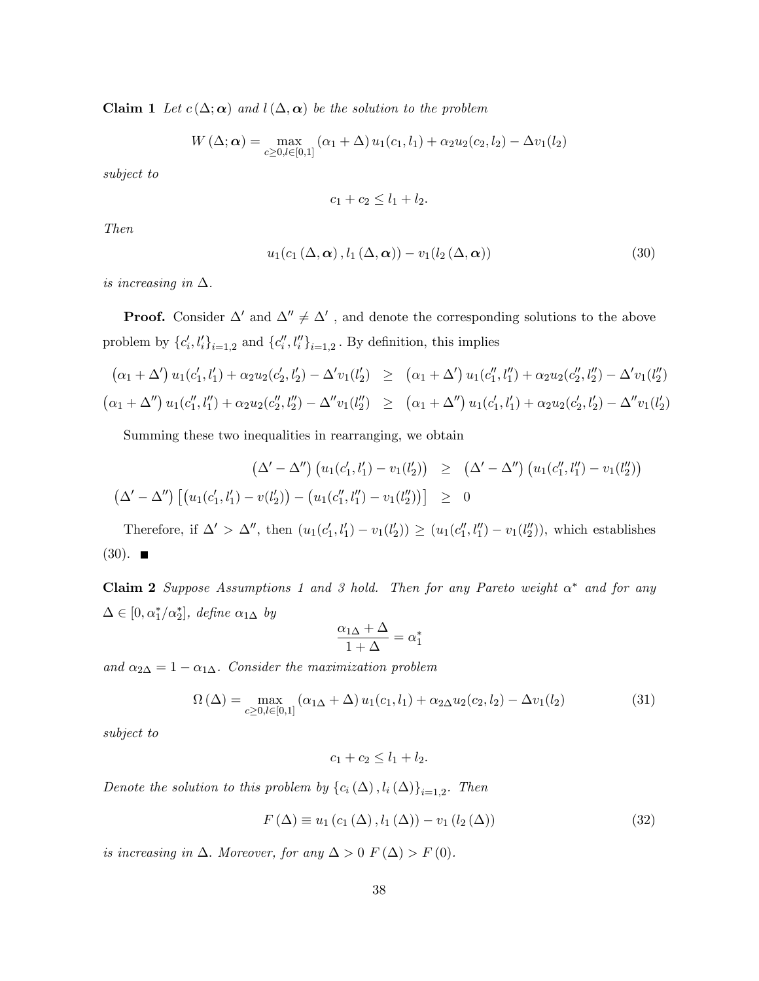**Claim 1** Let  $c(\Delta; \alpha)$  and  $l(\Delta, \alpha)$  be the solution to the problem

$$
W(\Delta; \alpha) = \max_{c \ge 0, l \in [0,1]} (\alpha_1 + \Delta) u_1(c_1, l_1) + \alpha_2 u_2(c_2, l_2) - \Delta v_1(l_2)
$$

subject to

$$
c_1 + c_2 \le l_1 + l_2.
$$

Then

$$
u_1(c_1 (\Delta, \alpha), l_1 (\Delta, \alpha)) - v_1(l_2 (\Delta, \alpha))
$$
\n(30)

is increasing in  $\Delta$ .

**Proof.** Consider  $\Delta'$  and  $\Delta'' \neq \Delta'$ , and denote the corresponding solutions to the above problem by  $\{c'_i, l'_i\}_{i=1,2}$  and  $\{c''_i, l''_i\}_{i=1,2}$ . By definition, this implies

$$
(\alpha_1 + \Delta') u_1(c'_1, l'_1) + \alpha_2 u_2(c'_2, l'_2) - \Delta' v_1(l'_2) \ge (\alpha_1 + \Delta') u_1(c''_1, l''_1) + \alpha_2 u_2(c''_2, l''_2) - \Delta' v_1(l''_2)
$$
  

$$
(\alpha_1 + \Delta'') u_1(c''_1, l''_1) + \alpha_2 u_2(c''_2, l''_2) - \Delta'' v_1(l''_2) \ge (\alpha_1 + \Delta'') u_1(c'_1, l'_1) + \alpha_2 u_2(c'_2, l'_2) - \Delta'' v_1(l'_2)
$$

Summing these two inequalities in rearranging, we obtain

$$
(\Delta' - \Delta'') (u_1(c'_1, l'_1) - v_1(l'_2)) \geq (\Delta' - \Delta'') (u_1(c''_1, l''_1) - v_1(l''_2))
$$
  

$$
(\Delta' - \Delta'') [(u_1(c'_1, l'_1) - v(l'_2)) - (u_1(c''_1, l''_1) - v_1(l''_2))] \geq 0
$$

Therefore, if  $\Delta' > \Delta''$ , then  $(u_1(c'_1, l'_1) - v_1(l'_2)) \ge (u_1(c''_1, l''_1) - v_1(l''_2))$ , which establishes  $(30)$ .

**Claim 2** Suppose Assumptions 1 and 3 hold. Then for any Pareto weight  $\alpha^*$  and for any  $\Delta \in [0, \alpha_1^*/\alpha_2^*], \text{ define } \alpha_{1\Delta} \text{ by }$ 

$$
\frac{\alpha_{1\Delta}+\Delta}{1+\Delta}=\alpha_{1}^{*}
$$

and  $\alpha_{2\Delta} = 1 - \alpha_{1\Delta}$ . Consider the maximization problem

$$
\Omega(\Delta) = \max_{c \ge 0, l \in [0,1]} (\alpha_{1\Delta} + \Delta) u_1(c_1, l_1) + \alpha_{2\Delta} u_2(c_2, l_2) - \Delta v_1(l_2)
$$
\n(31)

subject to

$$
c_1 + c_2 \le l_1 + l_2.
$$

Denote the solution to this problem by  $\{c_i(\Delta), l_i(\Delta)\}_{i=1,2}$ . Then

$$
F(\Delta) \equiv u_1(c_1(\Delta), l_1(\Delta)) - v_1(l_2(\Delta))
$$
\n(32)

is increasing in  $\Delta$ . Moreover, for any  $\Delta > 0$   $F(\Delta) > F(0)$ .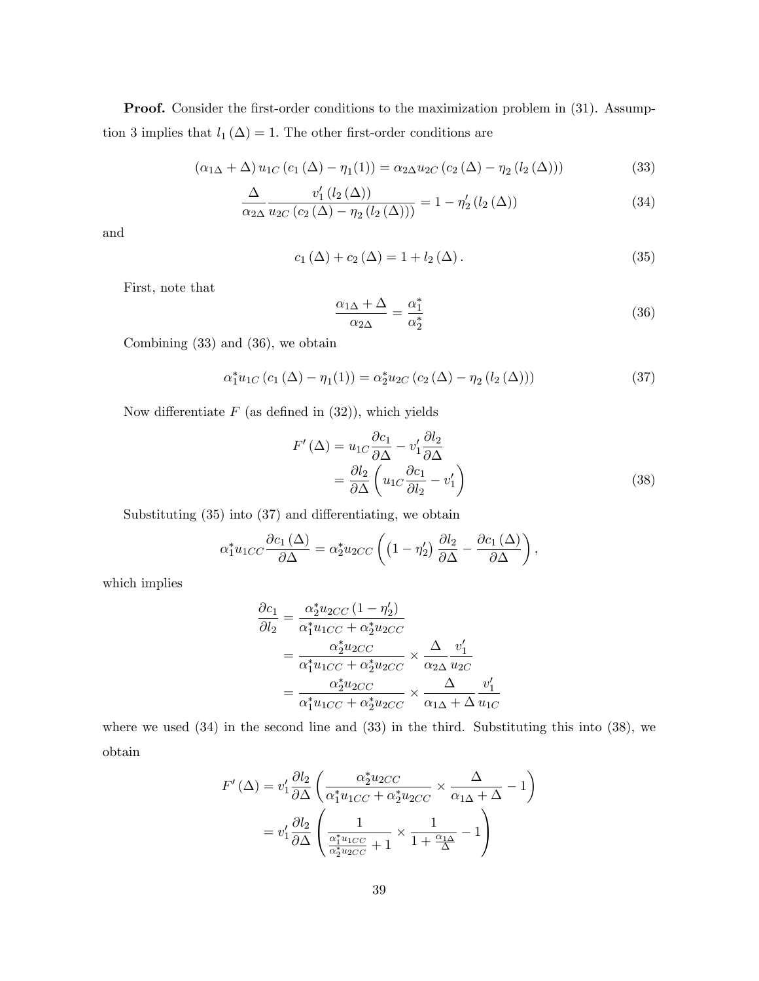**Proof.** Consider the first-order conditions to the maximization problem in (31). Assumption 3 implies that  $l_1(\Delta) = 1$ . The other first-order conditions are

$$
(\alpha_{1\Delta} + \Delta) u_{1C} (c_1 (\Delta) - \eta_1(1)) = \alpha_{2\Delta} u_{2C} (c_2 (\Delta) - \eta_2 (l_2 (\Delta)))
$$
\n(33)

$$
\frac{\Delta}{\alpha_{2\Delta}} \frac{v_1'(l_2(\Delta))}{u_{2C}(c_2(\Delta) - \eta_2(l_2(\Delta)))} = 1 - \eta_2'(l_2(\Delta))
$$
\n(34)

and

$$
c_1(\Delta) + c_2(\Delta) = 1 + l_2(\Delta). \tag{35}
$$

First, note that

$$
\frac{\alpha_{1\Delta} + \Delta}{\alpha_{2\Delta}} = \frac{\alpha_1^*}{\alpha_2^*}
$$
\n(36)

Combining (33) and (36), we obtain

$$
\alpha_1^* u_{1C} (c_1 (\Delta) - \eta_1(1)) = \alpha_2^* u_{2C} (c_2 (\Delta) - \eta_2 (l_2 (\Delta)))
$$
\n(37)

Now differentiate  $F$  (as defined in (32)), which yields

$$
F'(\Delta) = u_{1C} \frac{\partial c_1}{\partial \Delta} - v'_1 \frac{\partial l_2}{\partial \Delta} = \frac{\partial l_2}{\partial \Delta} \left( u_{1C} \frac{\partial c_1}{\partial l_2} - v'_1 \right)
$$
(38)

Substituting  $(35)$  into  $(37)$  and differentiating, we obtain

$$
\alpha_1^* u_{1CC} \frac{\partial c_1(\Delta)}{\partial \Delta} = \alpha_2^* u_{2CC} \left( \left( 1 - \eta_2' \right) \frac{\partial l_2}{\partial \Delta} - \frac{\partial c_1(\Delta)}{\partial \Delta} \right),
$$

which implies

$$
\frac{\partial c_1}{\partial l_2} = \frac{\alpha_2^* u_{2CC} (1 - \eta_2')}{\alpha_1^* u_{1CC} + \alpha_2^* u_{2CC}}
$$
\n
$$
= \frac{\alpha_2^* u_{2CC}}{\alpha_1^* u_{1CC} + \alpha_2^* u_{2CC}} \times \frac{\Delta}{\alpha_{2\Delta}} \frac{v_1'}{u_{2CC}}
$$
\n
$$
= \frac{\alpha_2^* u_{2CC}}{\alpha_1^* u_{1CC} + \alpha_2^* u_{2CC}} \times \frac{\Delta}{\alpha_{1\Delta} + \Delta} \frac{v_1'}{u_{1C}}
$$

where we used (34) in the second line and (33) in the third. Substituting this into (38), we obtain

$$
F'(\Delta) = v'_1 \frac{\partial l_2}{\partial \Delta} \left( \frac{\alpha_2^* u_{2CC}}{\alpha_1^* u_{1CC} + \alpha_2^* u_{2CC}} \times \frac{\Delta}{\alpha_{1\Delta} + \Delta} - 1 \right)
$$

$$
= v'_1 \frac{\partial l_2}{\partial \Delta} \left( \frac{1}{\frac{\alpha_1^* u_{1CC}}{\alpha_2^* u_{2CC}} + 1} \times \frac{1}{1 + \frac{\alpha_{1\Delta}}{\Delta}} - 1 \right)
$$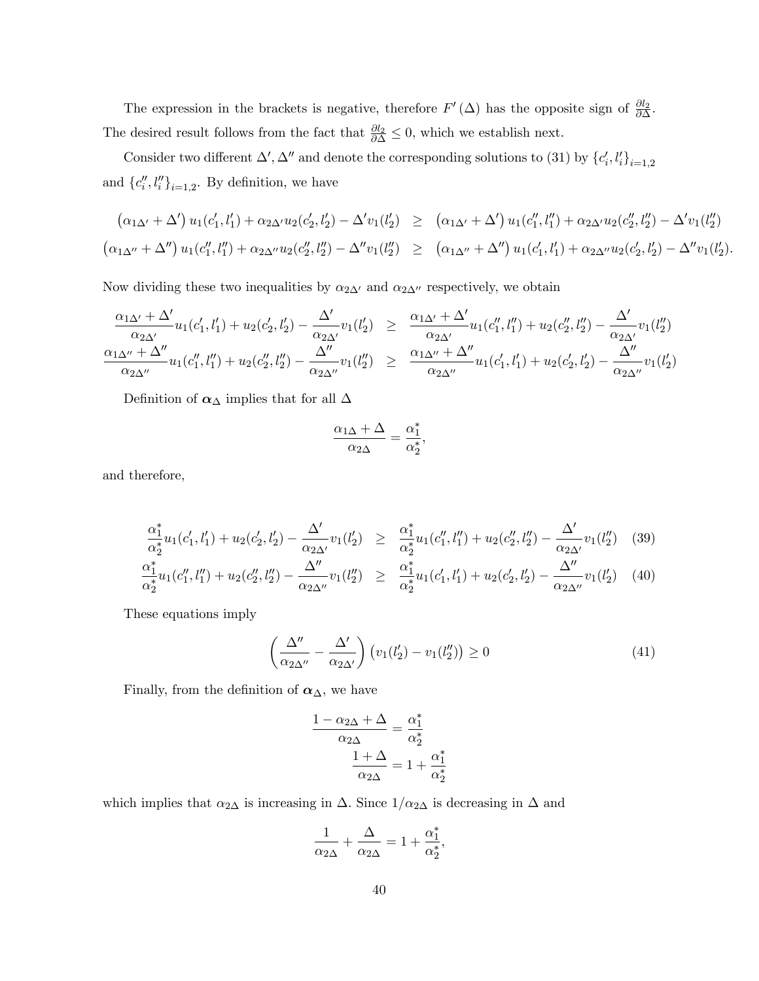The expression in the brackets is negative, therefore  $F'(\Delta)$  has the opposite sign of  $\frac{\partial l_2}{\partial \Delta}$ . The desired result follows from the fact that  $\frac{\partial l_2}{\partial \Delta} \leq 0$ , which we establish next.

Consider two different  $\Delta', \Delta''$  and denote the corresponding solutions to (31) by  $\{c'_i, l'_i\}_{i=1,2}$ and  $\{c''_i, l''_i\}_{i=1,2}$ . By definition, we have

$$
(\alpha_{1\Delta'} + \Delta') u_1(c'_1, l'_1) + \alpha_{2\Delta'} u_2(c'_2, l'_2) - \Delta' v_1(l'_2) \ge (\alpha_{1\Delta'} + \Delta') u_1(c''_1, l''_1) + \alpha_{2\Delta'} u_2(c''_2, l''_2) - \Delta' v_1(l''_2)
$$
  

$$
(\alpha_{1\Delta''} + \Delta'') u_1(c''_1, l''_1) + \alpha_{2\Delta''} u_2(c''_2, l''_2) - \Delta'' v_1(l''_2) \ge (\alpha_{1\Delta''} + \Delta'') u_1(c'_1, l'_1) + \alpha_{2\Delta''} u_2(c'_2, l'_2) - \Delta'' v_1(l'_2).
$$

Now dividing these two inequalities by  $\alpha_{2\Delta'}$  and  $\alpha_{2\Delta''}$  respectively, we obtain

$$
\frac{\alpha_{1\Delta'} + \Delta'}{\alpha_{2\Delta'}} u_1(c'_1, l'_1) + u_2(c'_2, l'_2) - \frac{\Delta'}{\alpha_{2\Delta'}} v_1(l'_2) \ge \frac{\alpha_{1\Delta'} + \Delta'}{\alpha_{2\Delta'}} u_1(c''_1, l''_1) + u_2(c''_2, l''_2) - \frac{\Delta'}{\alpha_{2\Delta'}} v_1(l''_2)
$$
  

$$
\frac{\alpha_{1\Delta''} + \Delta''}{\alpha_{2\Delta''}} u_1(c''_1, l''_1) + u_2(c''_2, l''_2) - \frac{\Delta''}{\alpha_{2\Delta''}} v_1(l''_2) \ge \frac{\alpha_{1\Delta''} + \Delta''}{\alpha_{2\Delta''}} u_1(c'_1, l'_1) + u_2(c'_2, l'_2) - \frac{\Delta''}{\alpha_{2\Delta''}} v_1(l'_2)
$$

Definition of  $\alpha_{\Delta}$  implies that for all  $\Delta$ 

$$
\frac{\alpha_{1\Delta} + \Delta}{\alpha_{2\Delta}} = \frac{\alpha_1^*}{\alpha_2^*}
$$

and therefore,

$$
\frac{\alpha_1^*}{\alpha_2^*}u_1(c'_1, l'_1) + u_2(c'_2, l'_2) - \frac{\Delta'}{\alpha_2\Delta'}v_1(l'_2) \ge \frac{\alpha_1^*}{\alpha_2^*}u_1(c''_1, l''_1) + u_2(c''_2, l''_2) - \frac{\Delta'}{\alpha_2\Delta'}v_1(l''_2)
$$
(39)

;

$$
\frac{\alpha_1^*}{\alpha_2^*}u_1(c_1'', l_1'') + u_2(c_2'', l_2'') - \frac{\Delta''}{\alpha_{2\Delta''}}v_1(l_2'') \ge \frac{\alpha_1^*}{\alpha_2^*}u_1(c_1', l_1') + u_2(c_2', l_2') - \frac{\Delta''}{\alpha_{2\Delta''}}v_1(l_2') \tag{40}
$$

These equations imply

$$
\left(\frac{\Delta''}{\alpha_{2\Delta''}} - \frac{\Delta'}{\alpha_{2\Delta'}}\right) \left(v_1(l'_2) - v_1(l''_2)\right) \ge 0 \tag{41}
$$

Finally, from the definition of  $\pmb{\alpha}_\Delta,$  we have

$$
\frac{1 - \alpha_{2\Delta} + \Delta}{\alpha_{2\Delta}} = \frac{\alpha_1^*}{\alpha_2^*}
$$

$$
\frac{1 + \Delta}{\alpha_{2\Delta}} = 1 + \frac{\alpha_1^*}{\alpha_2^*}
$$

which implies that  $\alpha_{2\Delta}$  is increasing in  $\Delta$ . Since  $1/\alpha_{2\Delta}$  is decreasing in  $\Delta$  and

$$
\frac{1}{\alpha_{2\Delta}} + \frac{\Delta}{\alpha_{2\Delta}} = 1 + \frac{\alpha_1^*}{\alpha_2^*},
$$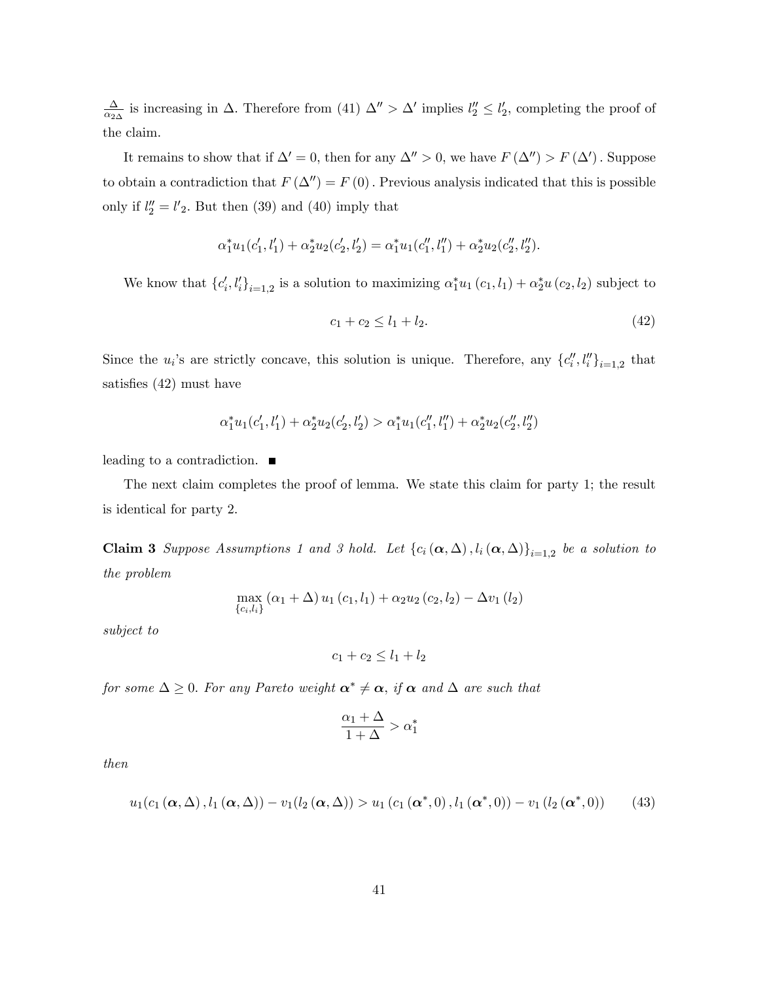$\Delta$  $\frac{\Delta}{\alpha_{2\Delta}}$  is increasing in  $\Delta$ . Therefore from (41)  $\Delta'' > \Delta'$  implies  $l''_2 \leq l'_2$ , completing the proof of the claim.

It remains to show that if  $\Delta' = 0$ , then for any  $\Delta'' > 0$ , we have  $F(\Delta'') > F(\Delta')$ . Suppose to obtain a contradiction that  $F(\Delta'') = F(0)$ . Previous analysis indicated that this is possible only if  $l''_2 = l'_2$ . But then (39) and (40) imply that

$$
\alpha_1^* u_1(c_1', l_1') + \alpha_2^* u_2(c_2', l_2') = \alpha_1^* u_1(c_1'', l_1'') + \alpha_2^* u_2(c_2'', l_2'').
$$

We know that  $\{c'_i, l'_i\}_{i=1,2}$  is a solution to maximizing  $\alpha_1^* u_1(c_1, l_1) + \alpha_2^* u(c_2, l_2)$  subject to

$$
c_1 + c_2 \le l_1 + l_2. \tag{42}
$$

Since the  $u_i$ 's are strictly concave, this solution is unique. Therefore, any  $\{c_i'', l_i''\}_{i=1,2}$  that satisfies  $(42)$  must have

$$
\alpha_1^* u_1(c_1', l_1') + \alpha_2^* u_2(c_2', l_2') > \alpha_1^* u_1(c_1'', l_1'') + \alpha_2^* u_2(c_2'', l_2'')
$$

leading to a contradiction.

The next claim completes the proof of lemma. We state this claim for party 1; the result is identical for party 2.

**Claim 3** Suppose Assumptions 1 and 3 hold. Let  $\{c_i(\alpha, \Delta), l_i(\alpha, \Delta)\}_{i=1,2}$  be a solution to the problem

$$
\max_{\{c_i, l_i\}} (\alpha_1 + \Delta) u_1 (c_1, l_1) + \alpha_2 u_2 (c_2, l_2) - \Delta v_1 (l_2)
$$

subject to

$$
c_1 + c_2 \le l_1 + l_2
$$

for some  $\Delta \geq 0$ . For any Pareto weight  $\alpha^* \neq \alpha$ , if  $\alpha$  and  $\Delta$  are such that

$$
\frac{\alpha_1 + \Delta}{1 + \Delta} > \alpha_1^*
$$

then

$$
u_1(c_1(\alpha, \Delta), l_1(\alpha, \Delta)) - v_1(l_2(\alpha, \Delta)) > u_1(c_1(\alpha^*, 0), l_1(\alpha^*, 0)) - v_1(l_2(\alpha^*, 0)) \tag{43}
$$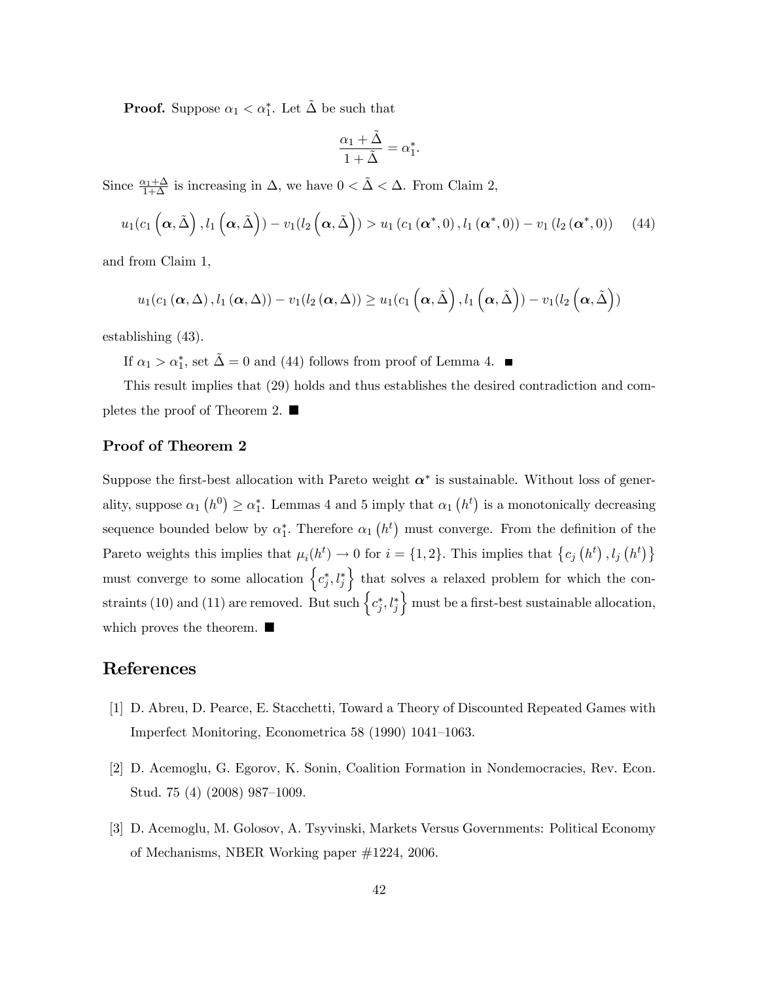**Proof.** Suppose  $\alpha_1 < \alpha_1^*$ . Let  $\tilde{\Delta}$  be such that

$$
\frac{\alpha_1+\tilde{\Delta}}{1+\tilde{\Delta}}=\alpha_1^*.
$$

Since  $\frac{\alpha_1 + \Delta}{1 + \Delta}$  is increasing in  $\Delta$ , we have  $0 < \tilde{\Delta} < \Delta$ . From Claim 2,

$$
u_1(c_1\left(\boldsymbol{\alpha},\tilde{\Delta}\right),l_1\left(\boldsymbol{\alpha},\tilde{\Delta}\right)) - v_1(l_2\left(\boldsymbol{\alpha},\tilde{\Delta}\right)) > u_1\left(c_1\left(\boldsymbol{\alpha}^*,0\right),l_1\left(\boldsymbol{\alpha}^*,0\right)\right) - v_1\left(l_2\left(\boldsymbol{\alpha}^*,0\right)\right) \tag{44}
$$

and from Claim 1,

$$
u_1(c_1(\boldsymbol{\alpha},\Delta),l_1(\boldsymbol{\alpha},\Delta)) - v_1(l_2(\boldsymbol{\alpha},\Delta)) \geq u_1(c_1(\boldsymbol{\alpha},\tilde{\Delta}),l_1(\boldsymbol{\alpha},\tilde{\Delta})) - v_1(l_2(\boldsymbol{\alpha},\tilde{\Delta}))
$$

establishing (43).

If  $\alpha_1 > \alpha_1^*$ , set  $\tilde{\Delta} = 0$  and (44) follows from proof of Lemma 4.

This result implies that (29) holds and thus establishes the desired contradiction and completes the proof of Theorem 2.  $\blacksquare$ 

#### Proof of Theorem 2

Suppose the first-best allocation with Pareto weight  $\alpha^*$  is sustainable. Without loss of generality, suppose  $\alpha_1(h^0) \ge \alpha_1^*$ . Lemmas 4 and 5 imply that  $\alpha_1(h^t)$  is a monotonically decreasing sequence bounded below by  $\alpha_1^*$ . Therefore  $\alpha_1(h^t)$  must converge. From the definition of the Pareto weights this implies that  $\mu_i(h^t) \to 0$  for  $i = \{1, 2\}$ . This implies that  $\{c_j(h^t), l_j(h^t)\}\$ must converge to some allocation  $\left\{c_j^*, l_j^*\right\}$ } that solves a relaxed problem for which the constraints (10) and (11) are removed. But such  $\left\{c_j^*, l_j^*\right\}$ } must be a first-best sustainable allocation, which proves the theorem.  $\blacksquare$ 

# References

- [1] D. Abreu, D. Pearce, E. Stacchetti, Toward a Theory of Discounted Repeated Games with Imperfect Monitoring, Econometrica 58 (1990) 1041–1063.
- [2] D. Acemoglu, G. Egorov, K. Sonin, Coalition Formation in Nondemocracies, Rev. Econ. Stud. 75 (4) (2008) 987-1009.
- [3] D. Acemoglu, M. Golosov, A. Tsyvinski, Markets Versus Governments: Political Economy of Mechanisms, NBER Working paper #1224, 2006.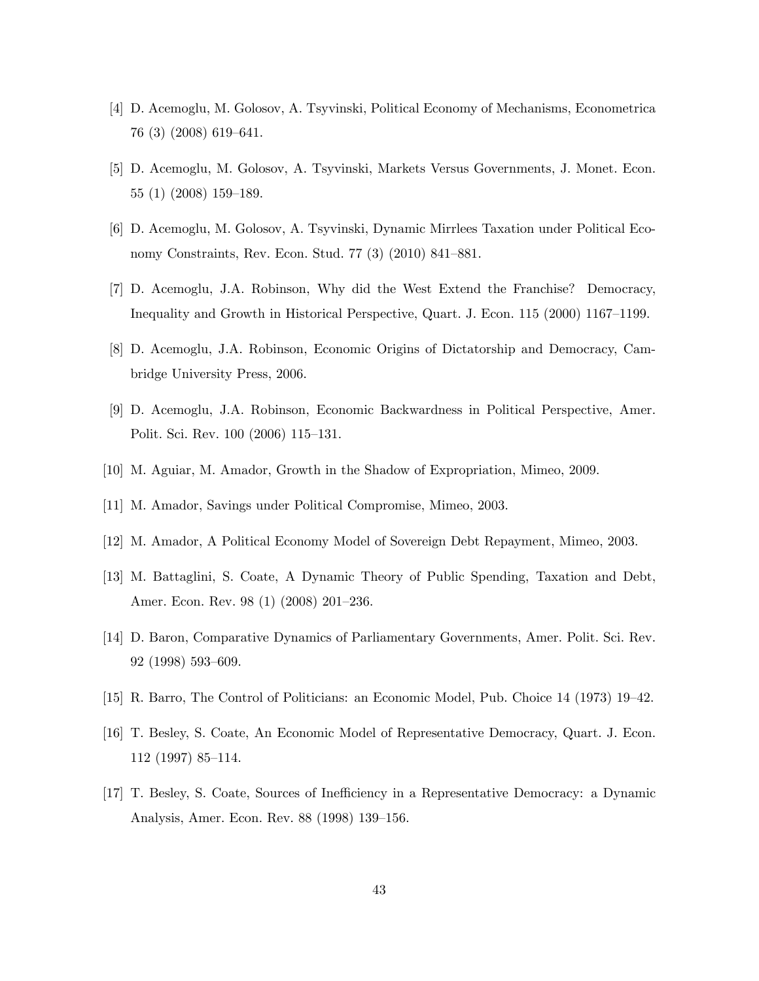- [4] D. Acemoglu, M. Golosov, A. Tsyvinski, Political Economy of Mechanisms, Econometrica  $76$  (3) (2008) 619–641.
- [5] D. Acemoglu, M. Golosov, A. Tsyvinski, Markets Versus Governments, J. Monet. Econ.  $55(1)(2008)159-189.$
- [6] D. Acemoglu, M. Golosov, A. Tsyvinski, Dynamic Mirrlees Taxation under Political Economy Constraints, Rev. Econ. Stud. 77 (3) (2010) 841–881.
- [7] D. Acemoglu, J.A. Robinson, Why did the West Extend the Franchise? Democracy, Inequality and Growth in Historical Perspective, Quart. J. Econ. 115 (2000) 1167–1199.
- [8] D. Acemoglu, J.A. Robinson, Economic Origins of Dictatorship and Democracy, Cambridge University Press, 2006.
- [9] D. Acemoglu, J.A. Robinson, Economic Backwardness in Political Perspective, Amer. Polit. Sci. Rev. 100 (2006) 115–131.
- [10] M. Aguiar, M. Amador, Growth in the Shadow of Expropriation, Mimeo, 2009.
- [11] M. Amador, Savings under Political Compromise, Mimeo, 2003.
- [12] M. Amador, A Political Economy Model of Sovereign Debt Repayment, Mimeo, 2003.
- [13] M. Battaglini, S. Coate, A Dynamic Theory of Public Spending, Taxation and Debt, Amer. Econ. Rev. 98 (1) (2008) 201-236.
- [14] D. Baron, Comparative Dynamics of Parliamentary Governments, Amer. Polit. Sci. Rev. 92 (1998) 593-609.
- [15] R. Barro, The Control of Politicians: an Economic Model, Pub. Choice 14 (1973)  $19-42$ .
- [16] T. Besley, S. Coate, An Economic Model of Representative Democracy, Quart. J. Econ.  $112$  (1997) 85–114.
- [17] T. Besley, S. Coate, Sources of Inefficiency in a Representative Democracy: a Dynamic Analysis, Amer. Econ. Rev. 88 (1998) 139-156.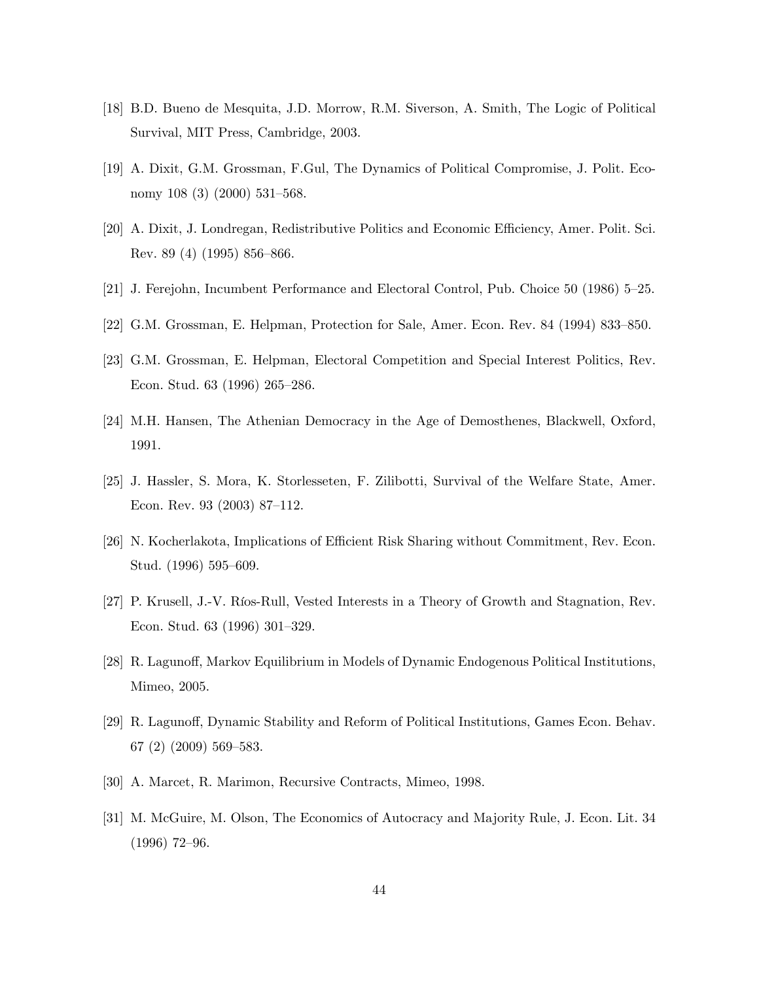- [18] B.D. Bueno de Mesquita, J.D. Morrow, R.M. Siverson, A. Smith, The Logic of Political Survival, MIT Press, Cambridge, 2003.
- [19] A. Dixit, G.M. Grossman, F.Gul, The Dynamics of Political Compromise, J. Polit. Economy 108 (3) (2000)  $531-568$ .
- [20] A. Dixit, J. Londregan, Redistributive Politics and Economic Efficiency, Amer. Polit. Sci. Rev. 89 (4) (1995) 856–866.
- [21] J. Ferejohn, Incumbent Performance and Electoral Control, Pub. Choice 50 (1986)  $5-25$ .
- [22] G.M. Grossman, E. Helpman, Protection for Sale, Amer. Econ. Rev. 84 (1994) 833–850.
- [23] G.M. Grossman, E. Helpman, Electoral Competition and Special Interest Politics, Rev. Econ. Stud. 63 (1996) 265-286.
- [24] M.H. Hansen, The Athenian Democracy in the Age of Demosthenes, Blackwell, Oxford, 1991.
- [25] J. Hassler, S. Mora, K. Storlesseten, F. Zilibotti, Survival of the Welfare State, Amer. Econ. Rev. 93  $(2003)$  87–112.
- [26] N. Kocherlakota, Implications of Efficient Risk Sharing without Commitment, Rev. Econ. Stud. (1996) 595–609.
- [27] P. Krusell, J.-V. RÌos-Rull, Vested Interests in a Theory of Growth and Stagnation, Rev. Econ. Stud. 63 (1996) 301–329.
- [28] R. Lagunoff, Markov Equilibrium in Models of Dynamic Endogenous Political Institutions, Mimeo, 2005.
- [29] R. Lagunoff, Dynamic Stability and Reform of Political Institutions, Games Econ. Behav. 67 $(2)$  $(2009)$  569-583.
- [30] A. Marcet, R. Marimon, Recursive Contracts, Mimeo, 1998.
- [31] M. McGuire, M. Olson, The Economics of Autocracy and Majority Rule, J. Econ. Lit. 34  $(1996)$  72–96.